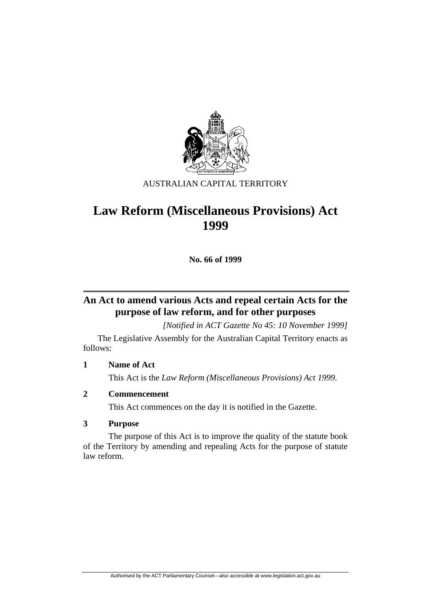

#### AUSTRALIAN CAPITAL TERRITORY

# **Law Reform (Miscellaneous Provisions) Act 1999**

**No. 66 of 1999** 

# **An Act to amend various Acts and repeal certain Acts for the purpose of law reform, and for other purposes**

*[Notified in ACT Gazette No 45: 10 November 1999]* 

 The Legislative Assembly for the Australian Capital Territory enacts as follows:

#### **1 Name of Act**

This Act is the *Law Reform (Miscellaneous Provisions) Act 1999.*

#### **2 Commencement**

This Act commences on the day it is notified in the Gazette.

#### **3 Purpose**

 The purpose of this Act is to improve the quality of the statute book of the Territory by amending and repealing Acts for the purpose of statute law reform.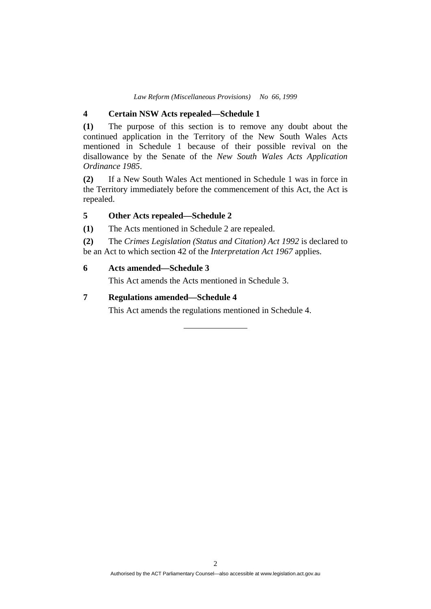*Law Reform (Miscellaneous Provisions) No 66, 1999* 

#### **4 Certain NSW Acts repealed—Schedule 1**

**(1)** The purpose of this section is to remove any doubt about the continued application in the Territory of the New South Wales Acts mentioned in Schedule 1 because of their possible revival on the disallowance by the Senate of the *New South Wales Acts Application Ordinance 1985*.

**(2)** If a New South Wales Act mentioned in Schedule 1 was in force in the Territory immediately before the commencement of this Act, the Act is repealed.

#### **5 Other Acts repealed—Schedule 2**

**(1)** The Acts mentioned in Schedule 2 are repealed.

**(2)** The *Crimes Legislation (Status and Citation) Act 1992* is declared to be an Act to which section 42 of the *Interpretation Act 1967* applies.

#### **6 Acts amended—Schedule 3**

This Act amends the Acts mentioned in Schedule 3.

#### **7 Regulations amended—Schedule 4**

This Act amends the regulations mentioned in Schedule 4.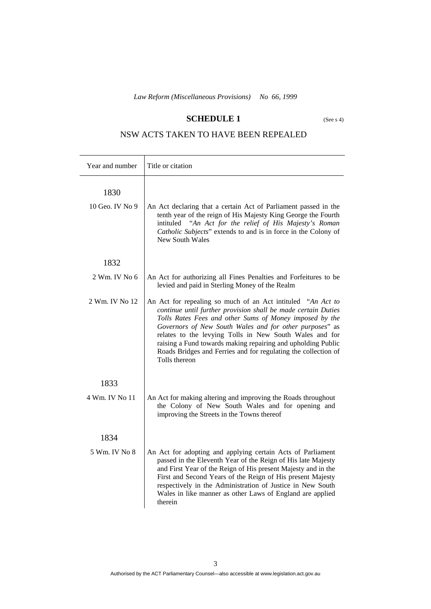#### **SCHEDULE 1** (See s 4)

# NSW ACTS TAKEN TO HAVE BEEN REPEALED

| Year and number         | Title or citation                                                                                                                                                                                                                                                                                                                                                                                                                                                |
|-------------------------|------------------------------------------------------------------------------------------------------------------------------------------------------------------------------------------------------------------------------------------------------------------------------------------------------------------------------------------------------------------------------------------------------------------------------------------------------------------|
| 1830<br>10 Geo. IV No 9 | An Act declaring that a certain Act of Parliament passed in the<br>tenth year of the reign of His Majesty King George the Fourth<br>"An Act for the relief of His Majesty's Roman<br>intituled<br>Catholic Subjects" extends to and is in force in the Colony of<br>New South Wales                                                                                                                                                                              |
| 1832                    |                                                                                                                                                                                                                                                                                                                                                                                                                                                                  |
| $2$ Wm. IV No 6         | An Act for authorizing all Fines Penalties and Forfeitures to be<br>levied and paid in Sterling Money of the Realm                                                                                                                                                                                                                                                                                                                                               |
| 2 Wm. IV No 12          | An Act for repealing so much of an Act intituled "An Act to<br>continue until further provision shall be made certain Duties<br>Tolls Rates Fees and other Sums of Money imposed by the<br>Governors of New South Wales and for other purposes" as<br>relates to the levying Tolls in New South Wales and for<br>raising a Fund towards making repairing and upholding Public<br>Roads Bridges and Ferries and for regulating the collection of<br>Tolls thereon |
| 1833                    |                                                                                                                                                                                                                                                                                                                                                                                                                                                                  |
| 4 Wm. IV No 11          | An Act for making altering and improving the Roads throughout<br>the Colony of New South Wales and for opening and<br>improving the Streets in the Towns thereof                                                                                                                                                                                                                                                                                                 |
| 1834                    |                                                                                                                                                                                                                                                                                                                                                                                                                                                                  |
| 5 Wm. IV No 8           | An Act for adopting and applying certain Acts of Parliament<br>passed in the Eleventh Year of the Reign of His late Majesty<br>and First Year of the Reign of His present Majesty and in the<br>First and Second Years of the Reign of His present Majesty<br>respectively in the Administration of Justice in New South<br>Wales in like manner as other Laws of England are applied<br>therein                                                                 |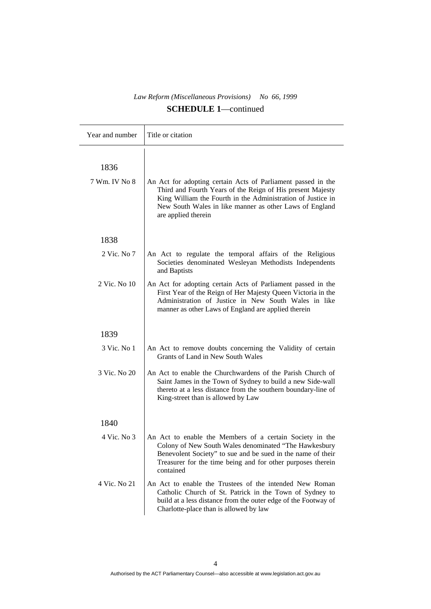| Year and number       | Title or citation                                                                                                                                                                                                                                                           |
|-----------------------|-----------------------------------------------------------------------------------------------------------------------------------------------------------------------------------------------------------------------------------------------------------------------------|
| 1836<br>7 Wm. IV No 8 | An Act for adopting certain Acts of Parliament passed in the<br>Third and Fourth Years of the Reign of His present Majesty<br>King William the Fourth in the Administration of Justice in<br>New South Wales in like manner as other Laws of England<br>are applied therein |
| 1838                  |                                                                                                                                                                                                                                                                             |
| $2$ Vic. No $7$       | An Act to regulate the temporal affairs of the Religious<br>Societies denominated Wesleyan Methodists Independents<br>and Baptists                                                                                                                                          |
| 2 Vic. No 10          | An Act for adopting certain Acts of Parliament passed in the<br>First Year of the Reign of Her Majesty Queen Victoria in the<br>Administration of Justice in New South Wales in like<br>manner as other Laws of England are applied therein                                 |
| 1839                  |                                                                                                                                                                                                                                                                             |
| 3 Vic. No 1           | An Act to remove doubts concerning the Validity of certain<br>Grants of Land in New South Wales                                                                                                                                                                             |
| 3 Vic. No 20          | An Act to enable the Churchwardens of the Parish Church of<br>Saint James in the Town of Sydney to build a new Side-wall<br>thereto at a less distance from the southern boundary-line of<br>King-street than is allowed by Law                                             |
| 1840                  |                                                                                                                                                                                                                                                                             |
| 4 Vic. No 3           | An Act to enable the Members of a certain Society in the<br>Colony of New South Wales denominated "The Hawkesbury<br>Benevolent Society" to sue and be sued in the name of their<br>Treasurer for the time being and for other purposes therein<br>contained                |
| 4 Vic. No 21          | An Act to enable the Trustees of the intended New Roman<br>Catholic Church of St. Patrick in the Town of Sydney to<br>build at a less distance from the outer edge of the Footway of<br>Charlotte-place than is allowed by law                                              |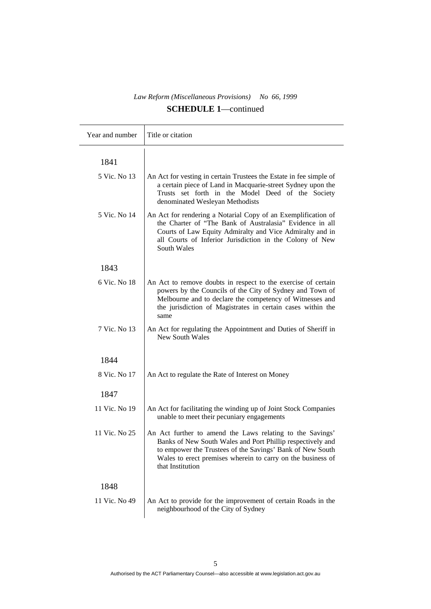| Year and number | Title or citation                                                                                                                                                                                                                                                       |
|-----------------|-------------------------------------------------------------------------------------------------------------------------------------------------------------------------------------------------------------------------------------------------------------------------|
| 1841            |                                                                                                                                                                                                                                                                         |
| 5 Vic. No 13    | An Act for vesting in certain Trustees the Estate in fee simple of<br>a certain piece of Land in Macquarie-street Sydney upon the<br>Trusts set forth in the Model Deed of the Society<br>denominated Wesleyan Methodists                                               |
| 5 Vic. No 14    | An Act for rendering a Notarial Copy of an Exemplification of<br>the Charter of "The Bank of Australasia" Evidence in all<br>Courts of Law Equity Admiralty and Vice Admiralty and in<br>all Courts of Inferior Jurisdiction in the Colony of New<br>South Wales        |
| 1843            |                                                                                                                                                                                                                                                                         |
| 6 Vic. No 18    | An Act to remove doubts in respect to the exercise of certain<br>powers by the Councils of the City of Sydney and Town of<br>Melbourne and to declare the competency of Witnesses and<br>the jurisdiction of Magistrates in certain cases within the<br>same            |
| 7 Vic. No 13    | An Act for regulating the Appointment and Duties of Sheriff in<br>New South Wales                                                                                                                                                                                       |
| 1844            |                                                                                                                                                                                                                                                                         |
| 8 Vic. No 17    | An Act to regulate the Rate of Interest on Money                                                                                                                                                                                                                        |
| 1847            |                                                                                                                                                                                                                                                                         |
| 11 Vic. No 19   | An Act for facilitating the winding up of Joint Stock Companies<br>unable to meet their pecuniary engagements                                                                                                                                                           |
| 11 Vic. No 25   | An Act further to amend the Laws relating to the Savings'<br>Banks of New South Wales and Port Phillip respectively and<br>to empower the Trustees of the Savings' Bank of New South<br>Wales to erect premises wherein to carry on the business of<br>that Institution |
| 1848            |                                                                                                                                                                                                                                                                         |
| 11 Vic. No 49   | An Act to provide for the improvement of certain Roads in the<br>neighbourhood of the City of Sydney                                                                                                                                                                    |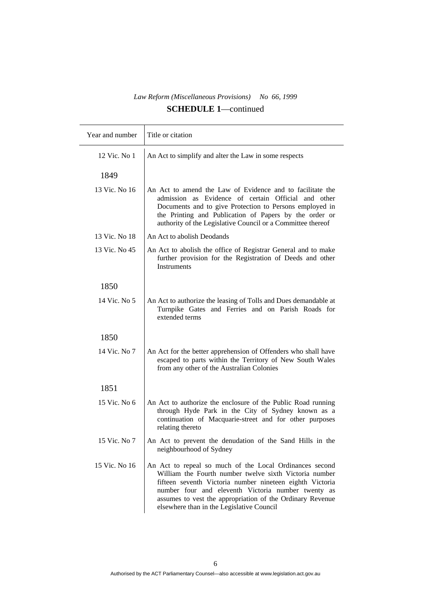| Year and number | Title or citation                                                                                                                                                                                                                                                                                                                             |
|-----------------|-----------------------------------------------------------------------------------------------------------------------------------------------------------------------------------------------------------------------------------------------------------------------------------------------------------------------------------------------|
| 12 Vic. No 1    | An Act to simplify and alter the Law in some respects                                                                                                                                                                                                                                                                                         |
| 1849            |                                                                                                                                                                                                                                                                                                                                               |
| 13 Vic. No 16   | An Act to amend the Law of Evidence and to facilitate the<br>admission as Evidence of certain Official and other<br>Documents and to give Protection to Persons employed in<br>the Printing and Publication of Papers by the order or<br>authority of the Legislative Council or a Committee thereof                                          |
| 13 Vic. No 18   | An Act to abolish Deodands                                                                                                                                                                                                                                                                                                                    |
| 13 Vic. No 45   | An Act to abolish the office of Registrar General and to make<br>further provision for the Registration of Deeds and other<br>Instruments                                                                                                                                                                                                     |
| 1850            |                                                                                                                                                                                                                                                                                                                                               |
| 14 Vic. No 5    | An Act to authorize the leasing of Tolls and Dues demandable at<br>Turnpike Gates and Ferries and on Parish Roads for<br>extended terms                                                                                                                                                                                                       |
| 1850            |                                                                                                                                                                                                                                                                                                                                               |
| 14 Vic. No 7    | An Act for the better apprehension of Offenders who shall have<br>escaped to parts within the Territory of New South Wales<br>from any other of the Australian Colonies                                                                                                                                                                       |
| 1851            |                                                                                                                                                                                                                                                                                                                                               |
| 15 Vic. No 6    | An Act to authorize the enclosure of the Public Road running<br>through Hyde Park in the City of Sydney known as a<br>continuation of Macquarie-street and for other purposes<br>relating thereto                                                                                                                                             |
| 15 Vic. No 7    | An Act to prevent the denudation of the Sand Hills in the<br>neighbourhood of Sydney                                                                                                                                                                                                                                                          |
| 15 Vic. No 16   | An Act to repeal so much of the Local Ordinances second<br>William the Fourth number twelve sixth Victoria number<br>fifteen seventh Victoria number nineteen eighth Victoria<br>number four and eleventh Victoria number twenty as<br>assumes to vest the appropriation of the Ordinary Revenue<br>elsewhere than in the Legislative Council |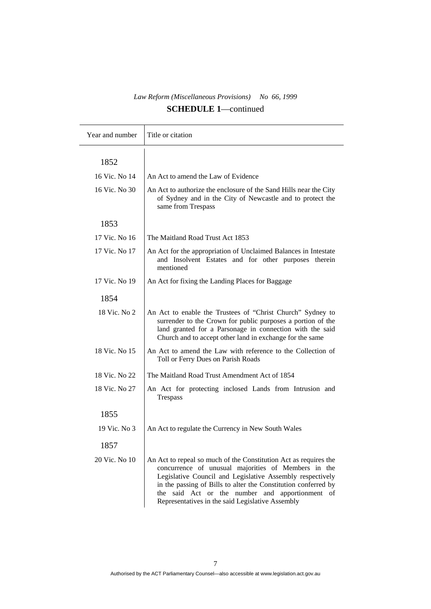| Year and number | Title or citation                                                                                                                                                                                                                                                                                                                                             |
|-----------------|---------------------------------------------------------------------------------------------------------------------------------------------------------------------------------------------------------------------------------------------------------------------------------------------------------------------------------------------------------------|
| 1852            |                                                                                                                                                                                                                                                                                                                                                               |
| 16 Vic. No 14   | An Act to amend the Law of Evidence                                                                                                                                                                                                                                                                                                                           |
| 16 Vic. No 30   | An Act to authorize the enclosure of the Sand Hills near the City<br>of Sydney and in the City of Newcastle and to protect the<br>same from Trespass                                                                                                                                                                                                          |
| 1853            |                                                                                                                                                                                                                                                                                                                                                               |
| 17 Vic. No 16   | The Maitland Road Trust Act 1853                                                                                                                                                                                                                                                                                                                              |
| 17 Vic. No 17   | An Act for the appropriation of Unclaimed Balances in Intestate<br>and Insolvent Estates and for other purposes therein<br>mentioned                                                                                                                                                                                                                          |
| 17 Vic. No 19   | An Act for fixing the Landing Places for Baggage                                                                                                                                                                                                                                                                                                              |
| 1854            |                                                                                                                                                                                                                                                                                                                                                               |
| 18 Vic. No 2    | An Act to enable the Trustees of "Christ Church" Sydney to<br>surrender to the Crown for public purposes a portion of the<br>land granted for a Parsonage in connection with the said<br>Church and to accept other land in exchange for the same                                                                                                             |
| 18 Vic. No 15   | An Act to amend the Law with reference to the Collection of<br>Toll or Ferry Dues on Parish Roads                                                                                                                                                                                                                                                             |
| 18 Vic. No 22   | The Maitland Road Trust Amendment Act of 1854                                                                                                                                                                                                                                                                                                                 |
| 18 Vic. No 27   | An Act for protecting inclosed Lands from Intrusion and<br>Trespass                                                                                                                                                                                                                                                                                           |
| 1855            |                                                                                                                                                                                                                                                                                                                                                               |
| 19 Vic. No 3    | An Act to regulate the Currency in New South Wales                                                                                                                                                                                                                                                                                                            |
| 1857            |                                                                                                                                                                                                                                                                                                                                                               |
| 20 Vic. No 10   | An Act to repeal so much of the Constitution Act as requires the<br>concurrence of unusual majorities of Members in the<br>Legislative Council and Legislative Assembly respectively<br>in the passing of Bills to alter the Constitution conferred by<br>the said Act or the number and apportionment of<br>Representatives in the said Legislative Assembly |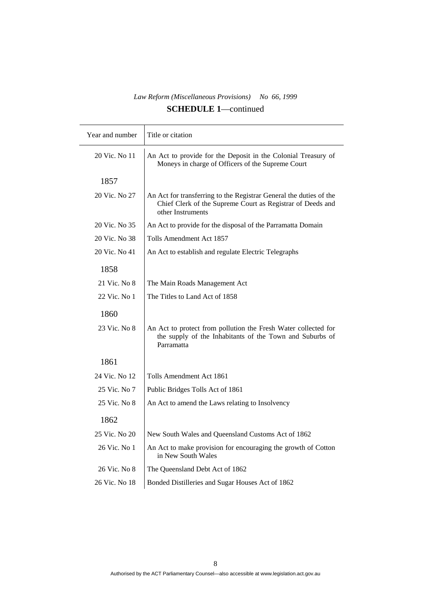| Year and number | Title or citation                                                                                                                                     |
|-----------------|-------------------------------------------------------------------------------------------------------------------------------------------------------|
| 20 Vic. No 11   | An Act to provide for the Deposit in the Colonial Treasury of<br>Moneys in charge of Officers of the Supreme Court                                    |
| 1857            |                                                                                                                                                       |
| 20 Vic. No 27   | An Act for transferring to the Registrar General the duties of the<br>Chief Clerk of the Supreme Court as Registrar of Deeds and<br>other Instruments |
| 20 Vic. No 35   | An Act to provide for the disposal of the Parramatta Domain                                                                                           |
| 20 Vic. No 38   | Tolls Amendment Act 1857                                                                                                                              |
| 20 Vic. No 41   | An Act to establish and regulate Electric Telegraphs                                                                                                  |
| 1858            |                                                                                                                                                       |
| 21 Vic. No 8    | The Main Roads Management Act                                                                                                                         |
| 22 Vic. No 1    | The Titles to Land Act of 1858                                                                                                                        |
| 1860            |                                                                                                                                                       |
| 23 Vic. No 8    | An Act to protect from pollution the Fresh Water collected for<br>the supply of the Inhabitants of the Town and Suburbs of<br>Parramatta              |
| 1861            |                                                                                                                                                       |
| 24 Vic. No 12   | Tolls Amendment Act 1861                                                                                                                              |
| 25 Vic. No 7    | Public Bridges Tolls Act of 1861                                                                                                                      |
| 25 Vic. No 8    | An Act to amend the Laws relating to Insolvency                                                                                                       |
| 1862            |                                                                                                                                                       |
| 25 Vic. No 20   | New South Wales and Queensland Customs Act of 1862                                                                                                    |
| 26 Vic. No 1    | An Act to make provision for encouraging the growth of Cotton<br>in New South Wales                                                                   |
| 26 Vic. No 8    | The Queensland Debt Act of 1862                                                                                                                       |
| 26 Vic. No 18   | Bonded Distilleries and Sugar Houses Act of 1862                                                                                                      |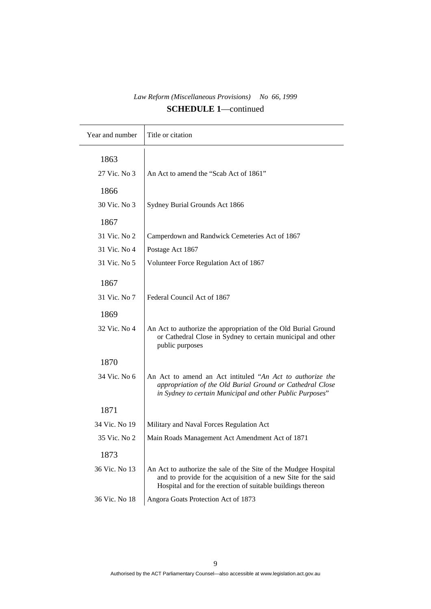| Year and number | Title or citation                                                                                                                                                                               |
|-----------------|-------------------------------------------------------------------------------------------------------------------------------------------------------------------------------------------------|
| 1863            |                                                                                                                                                                                                 |
| 27 Vic. No 3    | An Act to amend the "Scab Act of 1861"                                                                                                                                                          |
| 1866            |                                                                                                                                                                                                 |
|                 |                                                                                                                                                                                                 |
| 30 Vic. No 3    | Sydney Burial Grounds Act 1866                                                                                                                                                                  |
| 1867            |                                                                                                                                                                                                 |
| 31 Vic. No 2    | Camperdown and Randwick Cemeteries Act of 1867                                                                                                                                                  |
| 31 Vic. No 4    | Postage Act 1867                                                                                                                                                                                |
| 31 Vic. No 5    | Volunteer Force Regulation Act of 1867                                                                                                                                                          |
| 1867            |                                                                                                                                                                                                 |
| 31 Vic. No 7    | Federal Council Act of 1867                                                                                                                                                                     |
|                 |                                                                                                                                                                                                 |
| 1869            |                                                                                                                                                                                                 |
| 32 Vic. No 4    | An Act to authorize the appropriation of the Old Burial Ground<br>or Cathedral Close in Sydney to certain municipal and other<br>public purposes                                                |
| 1870            |                                                                                                                                                                                                 |
| 34 Vic. No 6    | An Act to amend an Act intituled "An Act to authorize the<br>appropriation of the Old Burial Ground or Cathedral Close<br>in Sydney to certain Municipal and other Public Purposes"             |
| 1871            |                                                                                                                                                                                                 |
| 34 Vic. No 19   | Military and Naval Forces Regulation Act                                                                                                                                                        |
| 35 Vic. No 2    | Main Roads Management Act Amendment Act of 1871                                                                                                                                                 |
| 1873            |                                                                                                                                                                                                 |
| 36 Vic. No 13   | An Act to authorize the sale of the Site of the Mudgee Hospital<br>and to provide for the acquisition of a new Site for the said<br>Hospital and for the erection of suitable buildings thereon |
| 36 Vic. No 18   | Angora Goats Protection Act of 1873                                                                                                                                                             |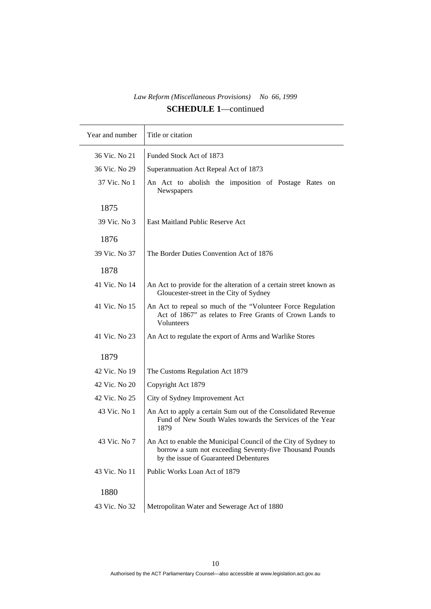$\overline{\phantom{a}}$ 

| Funded Stock Act of 1873<br>36 Vic. No 21<br>36 Vic. No 29<br>Superannuation Act Repeal Act of 1873<br>37 Vic. No 1<br>An Act to abolish the imposition of Postage Rates on<br>Newspapers<br>1875<br>39 Vic. No 3<br>East Maitland Public Reserve Act<br>1876<br>The Border Duties Convention Act of 1876<br>39 Vic. No 37<br>1878<br>41 Vic. No 14<br>An Act to provide for the alteration of a certain street known as<br>Gloucester-street in the City of Sydney<br>41 Vic. No 15<br>An Act to repeal so much of the "Volunteer Force Regulation"<br>Act of 1867" as relates to Free Grants of Crown Lands to<br>Volunteers<br>41 Vic. No 23<br>An Act to regulate the export of Arms and Warlike Stores<br>1879<br>42 Vic. No 19<br>The Customs Regulation Act 1879<br>42 Vic. No 20<br>Copyright Act 1879<br>42 Vic. No 25<br>City of Sydney Improvement Act<br>43 Vic. No 1<br>An Act to apply a certain Sum out of the Consolidated Revenue |
|----------------------------------------------------------------------------------------------------------------------------------------------------------------------------------------------------------------------------------------------------------------------------------------------------------------------------------------------------------------------------------------------------------------------------------------------------------------------------------------------------------------------------------------------------------------------------------------------------------------------------------------------------------------------------------------------------------------------------------------------------------------------------------------------------------------------------------------------------------------------------------------------------------------------------------------------------|
|                                                                                                                                                                                                                                                                                                                                                                                                                                                                                                                                                                                                                                                                                                                                                                                                                                                                                                                                                    |
|                                                                                                                                                                                                                                                                                                                                                                                                                                                                                                                                                                                                                                                                                                                                                                                                                                                                                                                                                    |
|                                                                                                                                                                                                                                                                                                                                                                                                                                                                                                                                                                                                                                                                                                                                                                                                                                                                                                                                                    |
|                                                                                                                                                                                                                                                                                                                                                                                                                                                                                                                                                                                                                                                                                                                                                                                                                                                                                                                                                    |
|                                                                                                                                                                                                                                                                                                                                                                                                                                                                                                                                                                                                                                                                                                                                                                                                                                                                                                                                                    |
|                                                                                                                                                                                                                                                                                                                                                                                                                                                                                                                                                                                                                                                                                                                                                                                                                                                                                                                                                    |
|                                                                                                                                                                                                                                                                                                                                                                                                                                                                                                                                                                                                                                                                                                                                                                                                                                                                                                                                                    |
|                                                                                                                                                                                                                                                                                                                                                                                                                                                                                                                                                                                                                                                                                                                                                                                                                                                                                                                                                    |
|                                                                                                                                                                                                                                                                                                                                                                                                                                                                                                                                                                                                                                                                                                                                                                                                                                                                                                                                                    |
|                                                                                                                                                                                                                                                                                                                                                                                                                                                                                                                                                                                                                                                                                                                                                                                                                                                                                                                                                    |
|                                                                                                                                                                                                                                                                                                                                                                                                                                                                                                                                                                                                                                                                                                                                                                                                                                                                                                                                                    |
|                                                                                                                                                                                                                                                                                                                                                                                                                                                                                                                                                                                                                                                                                                                                                                                                                                                                                                                                                    |
|                                                                                                                                                                                                                                                                                                                                                                                                                                                                                                                                                                                                                                                                                                                                                                                                                                                                                                                                                    |
|                                                                                                                                                                                                                                                                                                                                                                                                                                                                                                                                                                                                                                                                                                                                                                                                                                                                                                                                                    |
|                                                                                                                                                                                                                                                                                                                                                                                                                                                                                                                                                                                                                                                                                                                                                                                                                                                                                                                                                    |
| Fund of New South Wales towards the Services of the Year<br>1879                                                                                                                                                                                                                                                                                                                                                                                                                                                                                                                                                                                                                                                                                                                                                                                                                                                                                   |
| 43 Vic. No 7<br>An Act to enable the Municipal Council of the City of Sydney to<br>borrow a sum not exceeding Seventy-five Thousand Pounds<br>by the issue of Guaranteed Debentures                                                                                                                                                                                                                                                                                                                                                                                                                                                                                                                                                                                                                                                                                                                                                                |
| Public Works Loan Act of 1879<br>43 Vic. No 11                                                                                                                                                                                                                                                                                                                                                                                                                                                                                                                                                                                                                                                                                                                                                                                                                                                                                                     |
| 1880                                                                                                                                                                                                                                                                                                                                                                                                                                                                                                                                                                                                                                                                                                                                                                                                                                                                                                                                               |
| Metropolitan Water and Sewerage Act of 1880<br>43 Vic. No 32                                                                                                                                                                                                                                                                                                                                                                                                                                                                                                                                                                                                                                                                                                                                                                                                                                                                                       |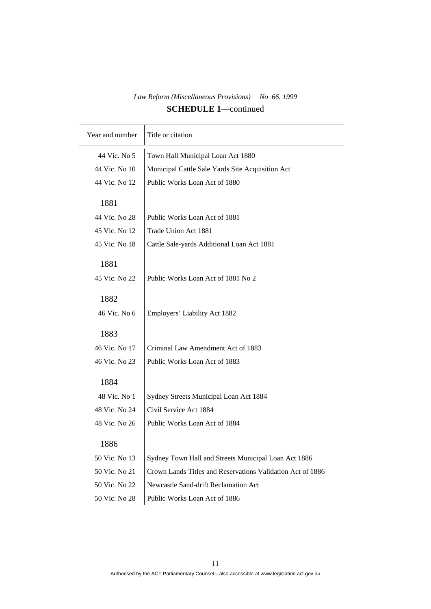| Year and number | Title or citation                                          |
|-----------------|------------------------------------------------------------|
| 44 Vic. No 5    | Town Hall Municipal Loan Act 1880                          |
| 44 Vic. No 10   | Municipal Cattle Sale Yards Site Acquisition Act           |
| 44 Vic. No 12   | Public Works Loan Act of 1880                              |
|                 |                                                            |
| 1881            |                                                            |
| 44 Vic. No 28   | Public Works Loan Act of 1881                              |
| 45 Vic. No 12   | Trade Union Act 1881                                       |
| 45 Vic. No 18   | Cattle Sale-yards Additional Loan Act 1881                 |
| 1881            |                                                            |
|                 |                                                            |
| 45 Vic. No 22   | Public Works Loan Act of 1881 No 2                         |
| 1882            |                                                            |
| 46 Vic. No 6    | Employers' Liability Act 1882                              |
|                 |                                                            |
| 1883            |                                                            |
| 46 Vic. No 17   | Criminal Law Amendment Act of 1883                         |
| 46 Vic. No 23   | Public Works Loan Act of 1883                              |
|                 |                                                            |
| 1884            |                                                            |
| 48 Vic. No 1    | Sydney Streets Municipal Loan Act 1884                     |
| 48 Vic. No 24   | Civil Service Act 1884                                     |
| 48 Vic. No 26   | Public Works Loan Act of 1884                              |
| 1886            |                                                            |
| 50 Vic. No 13   | Sydney Town Hall and Streets Municipal Loan Act 1886       |
| 50 Vic. No 21   | Crown Lands Titles and Reservations Validation Act of 1886 |
|                 |                                                            |
| 50 Vic. No 22   | Newcastle Sand-drift Reclamation Act                       |
| 50 Vic. No 28   | Public Works Loan Act of 1886                              |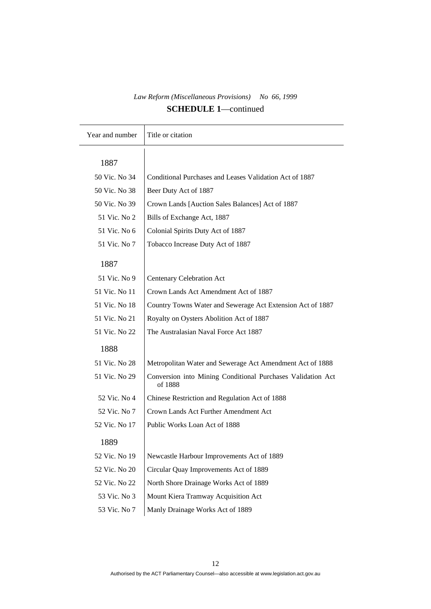| Year and number | Title or citation                                                      |
|-----------------|------------------------------------------------------------------------|
|                 |                                                                        |
| 1887            |                                                                        |
| 50 Vic. No 34   | Conditional Purchases and Leases Validation Act of 1887                |
| 50 Vic. No 38   | Beer Duty Act of 1887                                                  |
| 50 Vic. No 39   | Crown Lands [Auction Sales Balances] Act of 1887                       |
| 51 Vic. No 2    | Bills of Exchange Act, 1887                                            |
| 51 Vic. No 6    | Colonial Spirits Duty Act of 1887                                      |
| 51 Vic. No 7    | Tobacco Increase Duty Act of 1887                                      |
| 1887            |                                                                        |
| 51 Vic. No 9    | Centenary Celebration Act                                              |
| 51 Vic. No 11   | Crown Lands Act Amendment Act of 1887                                  |
| 51 Vic. No 18   | Country Towns Water and Sewerage Act Extension Act of 1887             |
| 51 Vic. No 21   | Royalty on Oysters Abolition Act of 1887                               |
| 51 Vic. No 22   | The Australasian Naval Force Act 1887                                  |
| 1888            |                                                                        |
| 51 Vic. No 28   | Metropolitan Water and Sewerage Act Amendment Act of 1888              |
| 51 Vic. No 29   | Conversion into Mining Conditional Purchases Validation Act<br>of 1888 |
| 52 Vic. No 4    | Chinese Restriction and Regulation Act of 1888                         |
| 52 Vic. No 7    | Crown Lands Act Further Amendment Act                                  |
| 52 Vic. No 17   | Public Works Loan Act of 1888                                          |
| 1889            |                                                                        |
| 52 Vic. No 19   | Newcastle Harbour Improvements Act of 1889                             |
| 52 Vic. No 20   | Circular Quay Improvements Act of 1889                                 |
| 52 Vic. No 22   | North Shore Drainage Works Act of 1889                                 |
| 53 Vic. No 3    | Mount Kiera Tramway Acquisition Act                                    |
| 53 Vic. No 7    | Manly Drainage Works Act of 1889                                       |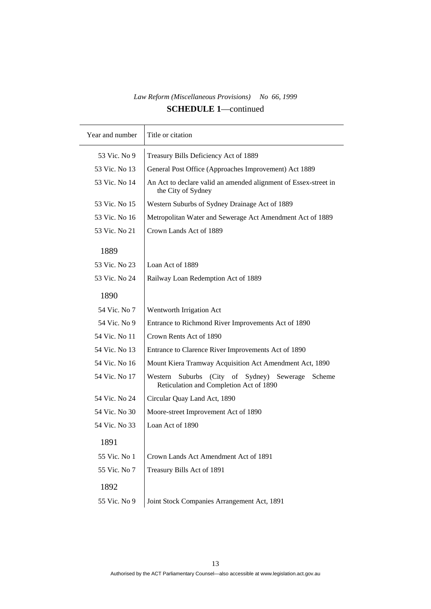| Year and number | Title or citation                                                                                          |
|-----------------|------------------------------------------------------------------------------------------------------------|
| 53 Vic. No 9    | Treasury Bills Deficiency Act of 1889                                                                      |
| 53 Vic. No 13   | General Post Office (Approaches Improvement) Act 1889                                                      |
| 53 Vic. No 14   | An Act to declare valid an amended alignment of Essex-street in<br>the City of Sydney                      |
| 53 Vic. No 15   | Western Suburbs of Sydney Drainage Act of 1889                                                             |
| 53 Vic. No 16   | Metropolitan Water and Sewerage Act Amendment Act of 1889                                                  |
| 53 Vic. No 21   | Crown Lands Act of 1889                                                                                    |
| 1889            |                                                                                                            |
| 53 Vic. No 23   | Loan Act of 1889                                                                                           |
| 53 Vic. No 24   | Railway Loan Redemption Act of 1889                                                                        |
| 1890            |                                                                                                            |
| 54 Vic. No 7    | Wentworth Irrigation Act                                                                                   |
| 54 Vic. No 9    | Entrance to Richmond River Improvements Act of 1890                                                        |
| 54 Vic. No 11   | Crown Rents Act of 1890                                                                                    |
| 54 Vic. No 13   | Entrance to Clarence River Improvements Act of 1890                                                        |
| 54 Vic. No 16   | Mount Kiera Tramway Acquisition Act Amendment Act, 1890                                                    |
| 54 Vic. No 17   | (City of<br>Western<br>Suburbs<br>Sydney)<br>Sewerage<br>Scheme<br>Reticulation and Completion Act of 1890 |
| 54 Vic. No 24   | Circular Quay Land Act, 1890                                                                               |
| 54 Vic. No 30   | Moore-street Improvement Act of 1890                                                                       |
| 54 Vic. No 33   | Loan Act of 1890                                                                                           |
| 1891            |                                                                                                            |
| 55 Vic. No 1    | Crown Lands Act Amendment Act of 1891                                                                      |
| 55 Vic. No 7    | Treasury Bills Act of 1891                                                                                 |
| 1892            |                                                                                                            |
| 55 Vic. No 9    | Joint Stock Companies Arrangement Act, 1891                                                                |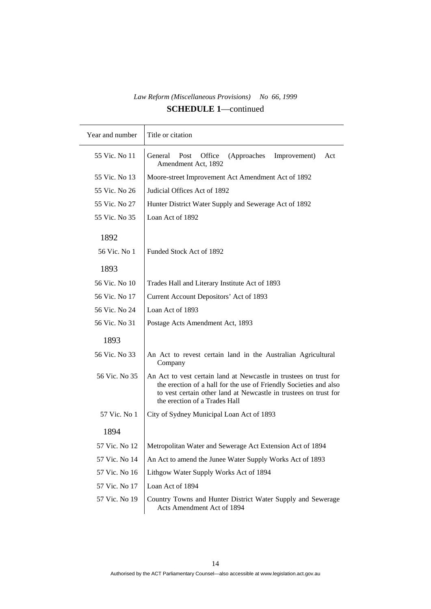| Year and number | Title or citation                                                                                                                                                                                                                           |
|-----------------|---------------------------------------------------------------------------------------------------------------------------------------------------------------------------------------------------------------------------------------------|
| 55 Vic. No 11   | Office<br>General<br>Post<br>(Approaches<br>Improvement)<br>Act<br>Amendment Act, 1892                                                                                                                                                      |
| 55 Vic. No 13   | Moore-street Improvement Act Amendment Act of 1892                                                                                                                                                                                          |
| 55 Vic. No 26   | Judicial Offices Act of 1892                                                                                                                                                                                                                |
| 55 Vic. No 27   | Hunter District Water Supply and Sewerage Act of 1892                                                                                                                                                                                       |
| 55 Vic. No 35   | Loan Act of 1892                                                                                                                                                                                                                            |
| 1892            |                                                                                                                                                                                                                                             |
| 56 Vic. No 1    | Funded Stock Act of 1892                                                                                                                                                                                                                    |
| 1893            |                                                                                                                                                                                                                                             |
| 56 Vic. No 10   | Trades Hall and Literary Institute Act of 1893                                                                                                                                                                                              |
| 56 Vic. No 17   | Current Account Depositors' Act of 1893                                                                                                                                                                                                     |
| 56 Vic. No 24   | Loan Act of 1893                                                                                                                                                                                                                            |
| 56 Vic. No 31   | Postage Acts Amendment Act, 1893                                                                                                                                                                                                            |
| 1893            |                                                                                                                                                                                                                                             |
| 56 Vic. No 33   | An Act to revest certain land in the Australian Agricultural<br>Company                                                                                                                                                                     |
| 56 Vic. No 35   | An Act to vest certain land at Newcastle in trustees on trust for<br>the erection of a hall for the use of Friendly Societies and also<br>to vest certain other land at Newcastle in trustees on trust for<br>the erection of a Trades Hall |
| 57 Vic. No 1    | City of Sydney Municipal Loan Act of 1893                                                                                                                                                                                                   |
| 1894            |                                                                                                                                                                                                                                             |
| 57 Vic. No 12   | Metropolitan Water and Sewerage Act Extension Act of 1894                                                                                                                                                                                   |
| 57 Vic. No 14   | An Act to amend the Junee Water Supply Works Act of 1893                                                                                                                                                                                    |
| 57 Vic. No 16   | Lithgow Water Supply Works Act of 1894                                                                                                                                                                                                      |
| 57 Vic. No 17   | Loan Act of 1894                                                                                                                                                                                                                            |
| 57 Vic. No 19   | Country Towns and Hunter District Water Supply and Sewerage<br>Acts Amendment Act of 1894                                                                                                                                                   |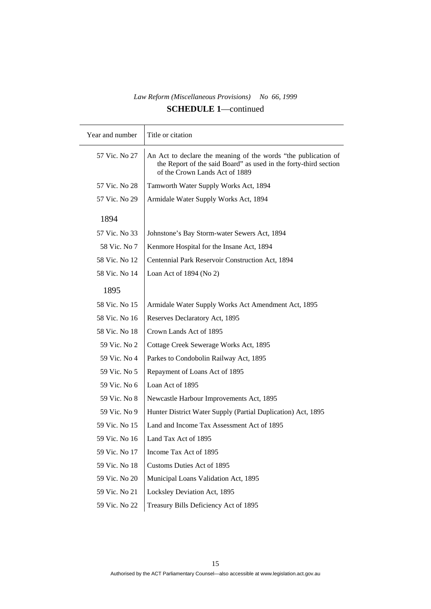| Year and number | Title or citation                                                                                                                                                    |
|-----------------|----------------------------------------------------------------------------------------------------------------------------------------------------------------------|
| 57 Vic. No 27   | An Act to declare the meaning of the words "the publication of<br>the Report of the said Board" as used in the forty-third section<br>of the Crown Lands Act of 1889 |
| 57 Vic. No 28   | Tamworth Water Supply Works Act, 1894                                                                                                                                |
| 57 Vic. No 29   | Armidale Water Supply Works Act, 1894                                                                                                                                |
| 1894            |                                                                                                                                                                      |
|                 |                                                                                                                                                                      |
| 57 Vic. No 33   | Johnstone's Bay Storm-water Sewers Act, 1894                                                                                                                         |
| 58 Vic. No 7    | Kenmore Hospital for the Insane Act, 1894                                                                                                                            |
| 58 Vic. No 12   | Centennial Park Reservoir Construction Act, 1894                                                                                                                     |
| 58 Vic. No 14   | Loan Act of $1894$ (No 2)                                                                                                                                            |
| 1895            |                                                                                                                                                                      |
| 58 Vic. No 15   | Armidale Water Supply Works Act Amendment Act, 1895                                                                                                                  |
| 58 Vic. No 16   | Reserves Declaratory Act, 1895                                                                                                                                       |
| 58 Vic. No 18   | Crown Lands Act of 1895                                                                                                                                              |
| 59 Vic. No 2    | Cottage Creek Sewerage Works Act, 1895                                                                                                                               |
| 59 Vic. No 4    | Parkes to Condobolin Railway Act, 1895                                                                                                                               |
| 59 Vic. No 5    | Repayment of Loans Act of 1895                                                                                                                                       |
| 59 Vic. No 6    | Loan Act of 1895                                                                                                                                                     |
| 59 Vic. No 8    | Newcastle Harbour Improvements Act, 1895                                                                                                                             |
| 59 Vic. No 9    | Hunter District Water Supply (Partial Duplication) Act, 1895                                                                                                         |
| 59 Vic. No 15   | Land and Income Tax Assessment Act of 1895                                                                                                                           |
| 59 Vic. No 16   | Land Tax Act of 1895                                                                                                                                                 |
| 59 Vic. No 17   | Income Tax Act of 1895                                                                                                                                               |
| 59 Vic. No 18   | <b>Customs Duties Act of 1895</b>                                                                                                                                    |
| 59 Vic. No 20   | Municipal Loans Validation Act, 1895                                                                                                                                 |
| 59 Vic. No 21   | Locksley Deviation Act, 1895                                                                                                                                         |
| 59 Vic. No 22   | Treasury Bills Deficiency Act of 1895                                                                                                                                |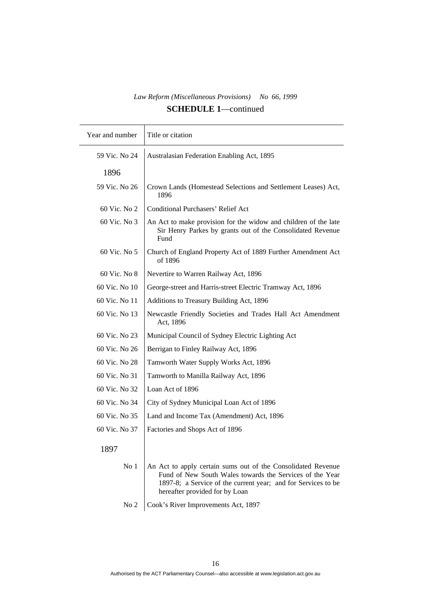| Year and number | Title or citation                                                                                                                                                                                                           |
|-----------------|-----------------------------------------------------------------------------------------------------------------------------------------------------------------------------------------------------------------------------|
| 59 Vic. No 24   | Australasian Federation Enabling Act, 1895                                                                                                                                                                                  |
| 1896            |                                                                                                                                                                                                                             |
| 59 Vic. No 26   | Crown Lands (Homestead Selections and Settlement Leases) Act,<br>1896                                                                                                                                                       |
| 60 Vic. No 2    | <b>Conditional Purchasers' Relief Act</b>                                                                                                                                                                                   |
| 60 Vic. No 3    | An Act to make provision for the widow and children of the late<br>Sir Henry Parkes by grants out of the Consolidated Revenue<br>Fund                                                                                       |
| 60 Vic. No 5    | Church of England Property Act of 1889 Further Amendment Act<br>of 1896                                                                                                                                                     |
| 60 Vic. No 8    | Nevertire to Warren Railway Act, 1896                                                                                                                                                                                       |
| 60 Vic. No 10   | George-street and Harris-street Electric Tramway Act, 1896                                                                                                                                                                  |
| 60 Vic. No 11   | Additions to Treasury Building Act, 1896                                                                                                                                                                                    |
| 60 Vic. No 13   | Newcastle Friendly Societies and Trades Hall Act Amendment<br>Act, 1896                                                                                                                                                     |
| 60 Vic. No 23   | Municipal Council of Sydney Electric Lighting Act                                                                                                                                                                           |
| 60 Vic. No 26   | Berrigan to Finley Railway Act, 1896                                                                                                                                                                                        |
| 60 Vic. No 28   | Tamworth Water Supply Works Act, 1896                                                                                                                                                                                       |
| 60 Vic. No 31   | Tamworth to Manilla Railway Act, 1896                                                                                                                                                                                       |
| 60 Vic. No 32   | Loan Act of 1896                                                                                                                                                                                                            |
| 60 Vic. No 34   | City of Sydney Municipal Loan Act of 1896                                                                                                                                                                                   |
| 60 Vic. No 35   | Land and Income Tax (Amendment) Act, 1896                                                                                                                                                                                   |
| 60 Vic. No 37   | Factories and Shops Act of 1896                                                                                                                                                                                             |
| 1897            |                                                                                                                                                                                                                             |
| No <sub>1</sub> | An Act to apply certain sums out of the Consolidated Revenue<br>Fund of New South Wales towards the Services of the Year<br>1897-8; a Service of the current year; and for Services to be<br>hereafter provided for by Loan |

No 2 Cook's River Improvements Act, 1897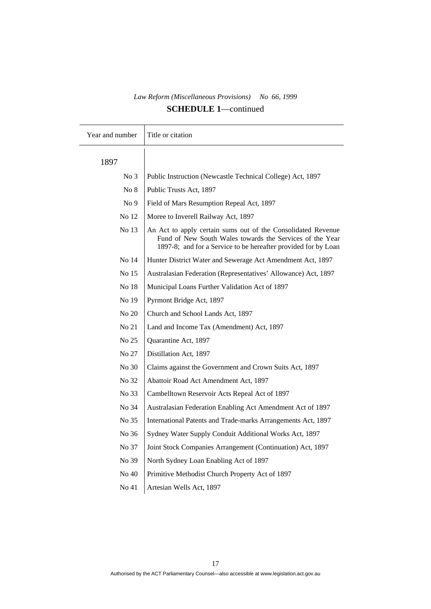| Year and number | Title or citation                                                                                                                                                                          |
|-----------------|--------------------------------------------------------------------------------------------------------------------------------------------------------------------------------------------|
| 1897            |                                                                                                                                                                                            |
| No <sub>3</sub> | Public Instruction (Newcastle Technical College) Act, 1897                                                                                                                                 |
| No 8            | Public Trusts Act, 1897                                                                                                                                                                    |
| No <sub>9</sub> | Field of Mars Resumption Repeal Act, 1897                                                                                                                                                  |
| No 12           | Moree to Inverell Railway Act, 1897                                                                                                                                                        |
| No 13           | An Act to apply certain sums out of the Consolidated Revenue<br>Fund of New South Wales towards the Services of the Year<br>1897-8; and for a Service to be hereafter provided for by Loan |
| No 14           | Hunter District Water and Sewerage Act Amendment Act, 1897                                                                                                                                 |
| No 15           | Australasian Federation (Representatives' Allowance) Act, 1897                                                                                                                             |
| No 18           | Municipal Loans Further Validation Act of 1897                                                                                                                                             |
| No 19           | Pyrmont Bridge Act, 1897                                                                                                                                                                   |
| No 20           | Church and School Lands Act, 1897                                                                                                                                                          |
| No 21           | Land and Income Tax (Amendment) Act, 1897                                                                                                                                                  |
| No 25           | Quarantine Act, 1897                                                                                                                                                                       |
| No 27           | Distillation Act, 1897                                                                                                                                                                     |
| No 30           | Claims against the Government and Crown Suits Act, 1897                                                                                                                                    |
| No 32           | Abattoir Road Act Amendment Act, 1897                                                                                                                                                      |
| No 33           | Cambelltown Reservoir Acts Repeal Act of 1897                                                                                                                                              |
| No 34           | Australasian Federation Enabling Act Amendment Act of 1897                                                                                                                                 |
| No 35           | International Patents and Trade-marks Arrangements Act, 1897                                                                                                                               |
| No 36           | Sydney Water Supply Conduit Additional Works Act, 1897                                                                                                                                     |
| No 37           | Joint Stock Companies Arrangement (Continuation) Act, 1897                                                                                                                                 |
| No 39           | North Sydney Loan Enabling Act of 1897                                                                                                                                                     |
| No 40           | Primitive Methodist Church Property Act of 1897                                                                                                                                            |
| No 41           | Artesian Wells Act, 1897                                                                                                                                                                   |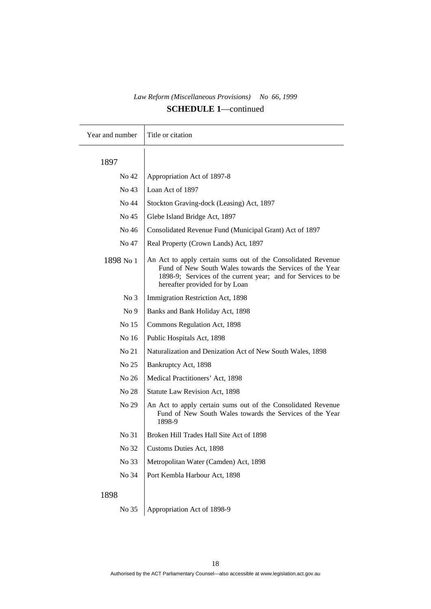| Year and number | Title or citation                                                                                                                                                                                                          |
|-----------------|----------------------------------------------------------------------------------------------------------------------------------------------------------------------------------------------------------------------------|
| 1897            |                                                                                                                                                                                                                            |
| No 42           | Appropriation Act of 1897-8                                                                                                                                                                                                |
| No 43           | Loan Act of 1897                                                                                                                                                                                                           |
| No 44           | Stockton Graving-dock (Leasing) Act, 1897                                                                                                                                                                                  |
| No 45           | Glebe Island Bridge Act, 1897                                                                                                                                                                                              |
| No 46           | Consolidated Revenue Fund (Municipal Grant) Act of 1897                                                                                                                                                                    |
| No 47           | Real Property (Crown Lands) Act, 1897                                                                                                                                                                                      |
| 1898 No 1       | An Act to apply certain sums out of the Consolidated Revenue<br>Fund of New South Wales towards the Services of the Year<br>1898-9; Services of the current year; and for Services to be<br>hereafter provided for by Loan |
| No <sub>3</sub> | Immigration Restriction Act, 1898                                                                                                                                                                                          |
| No <sub>9</sub> | Banks and Bank Holiday Act, 1898                                                                                                                                                                                           |
| No 15           | Commons Regulation Act, 1898                                                                                                                                                                                               |
| No 16           | Public Hospitals Act, 1898                                                                                                                                                                                                 |
| No 21           | Naturalization and Denization Act of New South Wales, 1898                                                                                                                                                                 |
| No 25           | Bankruptcy Act, 1898                                                                                                                                                                                                       |
| No 26           | Medical Practitioners' Act, 1898                                                                                                                                                                                           |
| No 28           | Statute Law Revision Act, 1898                                                                                                                                                                                             |
| No 29           | An Act to apply certain sums out of the Consolidated Revenue<br>Fund of New South Wales towards the Services of the Year<br>1898-9                                                                                         |
| No 31           | Broken Hill Trades Hall Site Act of 1898                                                                                                                                                                                   |
| No 32           | Customs Duties Act, 1898                                                                                                                                                                                                   |
| No 33           | Metropolitan Water (Camden) Act, 1898                                                                                                                                                                                      |
| No 34           | Port Kembla Harbour Act, 1898                                                                                                                                                                                              |
| 1898            |                                                                                                                                                                                                                            |
| No 35           | Appropriation Act of 1898-9                                                                                                                                                                                                |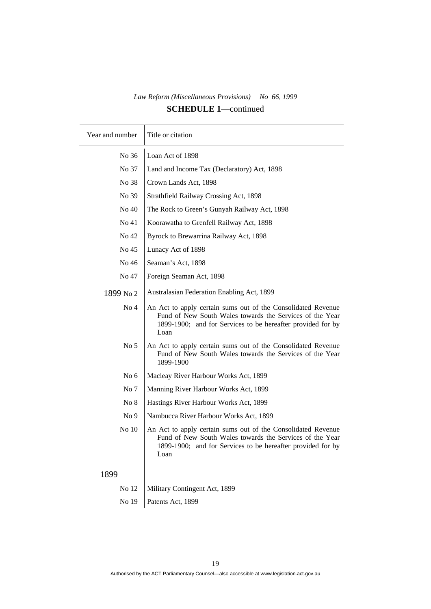| Year and number | Title or citation                                                                                                                                                                               |
|-----------------|-------------------------------------------------------------------------------------------------------------------------------------------------------------------------------------------------|
| No 36           | Loan Act of 1898                                                                                                                                                                                |
| No 37           | Land and Income Tax (Declaratory) Act, 1898                                                                                                                                                     |
| No 38           | Crown Lands Act, 1898                                                                                                                                                                           |
| No 39           | Strathfield Railway Crossing Act, 1898                                                                                                                                                          |
| No 40           | The Rock to Green's Gunyah Railway Act, 1898                                                                                                                                                    |
| No 41           | Koorawatha to Grenfell Railway Act, 1898                                                                                                                                                        |
| No 42           | Byrock to Brewarrina Railway Act, 1898                                                                                                                                                          |
| No 45           | Lunacy Act of 1898                                                                                                                                                                              |
| No 46           | Seaman's Act, 1898                                                                                                                                                                              |
| No 47           | Foreign Seaman Act, 1898                                                                                                                                                                        |
| 1899 No 2       | Australasian Federation Enabling Act, 1899                                                                                                                                                      |
| No <sub>4</sub> | An Act to apply certain sums out of the Consolidated Revenue<br>Fund of New South Wales towards the Services of the Year<br>1899-1900; and for Services to be hereafter provided for by<br>Loan |
| No <sub>5</sub> | An Act to apply certain sums out of the Consolidated Revenue<br>Fund of New South Wales towards the Services of the Year<br>1899-1900                                                           |
| No $6$          | Macleay River Harbour Works Act, 1899                                                                                                                                                           |
| No 7            | Manning River Harbour Works Act, 1899                                                                                                                                                           |
| No 8            | Hastings River Harbour Works Act, 1899                                                                                                                                                          |
| No <sub>9</sub> | Nambucca River Harbour Works Act, 1899                                                                                                                                                          |
| No 10           | An Act to apply certain sums out of the Consolidated Revenue<br>Fund of New South Wales towards the Services of the Year<br>1899-1900; and for Services to be hereafter provided for by<br>Loan |
| 1899            |                                                                                                                                                                                                 |
| No 12           | Military Contingent Act, 1899                                                                                                                                                                   |
| No 19           | Patents Act, 1899                                                                                                                                                                               |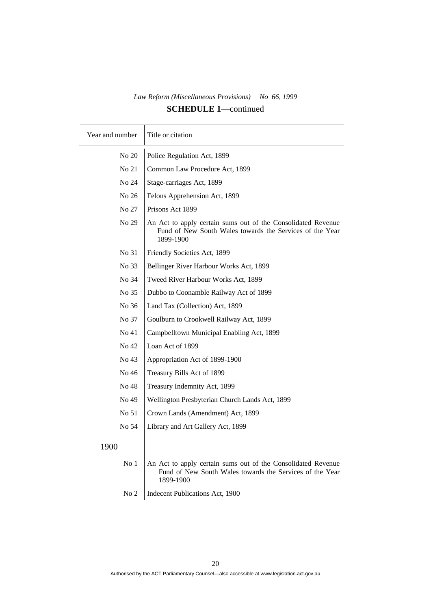| Year and number | Title or citation                                                                                                                     |
|-----------------|---------------------------------------------------------------------------------------------------------------------------------------|
| No 20           | Police Regulation Act, 1899                                                                                                           |
| No 21           | Common Law Procedure Act, 1899                                                                                                        |
| No 24           | Stage-carriages Act, 1899                                                                                                             |
| No 26           | Felons Apprehension Act, 1899                                                                                                         |
| No 27           | Prisons Act 1899                                                                                                                      |
| No 29           | An Act to apply certain sums out of the Consolidated Revenue<br>Fund of New South Wales towards the Services of the Year<br>1899-1900 |
| No 31           | Friendly Societies Act, 1899                                                                                                          |
| No 33           | Bellinger River Harbour Works Act, 1899                                                                                               |
| No 34           | Tweed River Harbour Works Act, 1899                                                                                                   |
| No 35           | Dubbo to Coonamble Railway Act of 1899                                                                                                |
| No 36           | Land Tax (Collection) Act, 1899                                                                                                       |
| No 37           | Goulburn to Crookwell Railway Act, 1899                                                                                               |
| No 41           | Campbelltown Municipal Enabling Act, 1899                                                                                             |
| No 42           | Loan Act of 1899                                                                                                                      |
| No 43           | Appropriation Act of 1899-1900                                                                                                        |
| No 46           | Treasury Bills Act of 1899                                                                                                            |
| No 48           | Treasury Indemnity Act, 1899                                                                                                          |
| No 49           | Wellington Presbyterian Church Lands Act, 1899                                                                                        |
| No 51           | Crown Lands (Amendment) Act, 1899                                                                                                     |
| No 54           | Library and Art Gallery Act, 1899                                                                                                     |
| 1900            |                                                                                                                                       |
| No <sub>1</sub> | An Act to apply certain sums out of the Consolidated Revenue<br>Fund of New South Wales towards the Services of the Year<br>1899-1900 |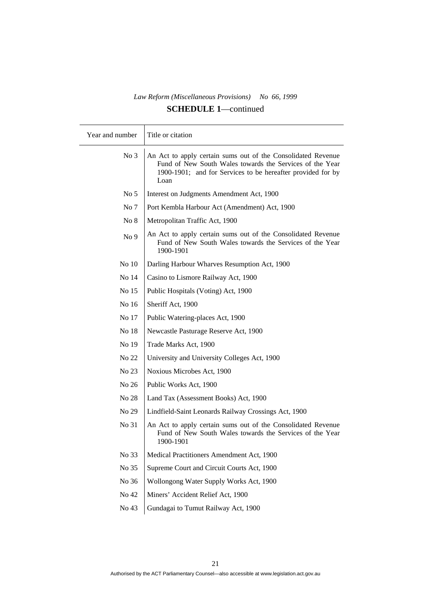| Year and number | Title or citation                                                                                                                                                                               |
|-----------------|-------------------------------------------------------------------------------------------------------------------------------------------------------------------------------------------------|
| No <sub>3</sub> | An Act to apply certain sums out of the Consolidated Revenue<br>Fund of New South Wales towards the Services of the Year<br>1900-1901; and for Services to be hereafter provided for by<br>Loan |
| No <sub>5</sub> | Interest on Judgments Amendment Act, 1900                                                                                                                                                       |
| No <sub>7</sub> | Port Kembla Harbour Act (Amendment) Act, 1900                                                                                                                                                   |
| No 8            | Metropolitan Traffic Act, 1900                                                                                                                                                                  |
| No 9            | An Act to apply certain sums out of the Consolidated Revenue<br>Fund of New South Wales towards the Services of the Year<br>1900-1901                                                           |
| No 10           | Darling Harbour Wharves Resumption Act, 1900                                                                                                                                                    |
| No 14           | Casino to Lismore Railway Act, 1900                                                                                                                                                             |
| No 15           | Public Hospitals (Voting) Act, 1900                                                                                                                                                             |
| No 16           | Sheriff Act, 1900                                                                                                                                                                               |
| No 17           | Public Watering-places Act, 1900                                                                                                                                                                |
| No 18           | Newcastle Pasturage Reserve Act, 1900                                                                                                                                                           |
| No 19           | Trade Marks Act, 1900                                                                                                                                                                           |
| No 22           | University and University Colleges Act, 1900                                                                                                                                                    |
| No 23           | Noxious Microbes Act, 1900                                                                                                                                                                      |
| No 26           | Public Works Act, 1900                                                                                                                                                                          |
| No 28           | Land Tax (Assessment Books) Act, 1900                                                                                                                                                           |
| No 29           | Lindfield-Saint Leonards Railway Crossings Act, 1900                                                                                                                                            |
| No 31           | An Act to apply certain sums out of the Consolidated Revenue<br>Fund of New South Wales towards the Services of the Year<br>1900-1901                                                           |
| No 33           | Medical Practitioners Amendment Act, 1900                                                                                                                                                       |
| No 35           | Supreme Court and Circuit Courts Act, 1900                                                                                                                                                      |
| No 36           | Wollongong Water Supply Works Act, 1900                                                                                                                                                         |
| No 42           | Miners' Accident Relief Act, 1900                                                                                                                                                               |
| No 43           | Gundagai to Tumut Railway Act, 1900                                                                                                                                                             |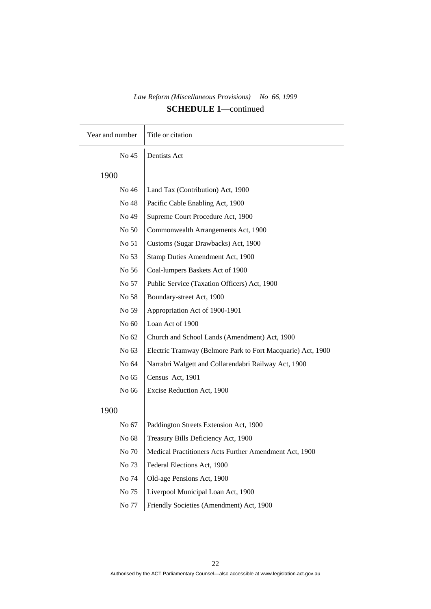| Year and number | Title or citation                                           |
|-----------------|-------------------------------------------------------------|
| No 45           | Dentists Act                                                |
| 1900            |                                                             |
| No 46           | Land Tax (Contribution) Act, 1900                           |
| No 48           | Pacific Cable Enabling Act, 1900                            |
| No 49           | Supreme Court Procedure Act, 1900                           |
| No 50           | Commonwealth Arrangements Act, 1900                         |
| No 51           | Customs (Sugar Drawbacks) Act, 1900                         |
| No 53           | Stamp Duties Amendment Act, 1900                            |
| No 56           | Coal-lumpers Baskets Act of 1900                            |
| No 57           | Public Service (Taxation Officers) Act, 1900                |
| No 58           | Boundary-street Act, 1900                                   |
| No 59           | Appropriation Act of 1900-1901                              |
| No 60           | Loan Act of 1900                                            |
| No 62           | Church and School Lands (Amendment) Act, 1900               |
| No 63           | Electric Tramway (Belmore Park to Fort Macquarie) Act, 1900 |
| No 64           | Narrabri Walgett and Collarendabri Railway Act, 1900        |
| No 65           | Census Act, 1901                                            |
| No 66           | Excise Reduction Act, 1900                                  |
| 1900            |                                                             |
| No 67           | Paddington Streets Extension Act, 1900                      |
| No 68           | Treasury Bills Deficiency Act, 1900                         |
| No 70           | Medical Practitioners Acts Further Amendment Act, 1900      |
| No 73           | Federal Elections Act, 1900                                 |
| No 74           | Old-age Pensions Act, 1900                                  |
| No 75           | Liverpool Municipal Loan Act, 1900                          |
| No 77           | Friendly Societies (Amendment) Act, 1900                    |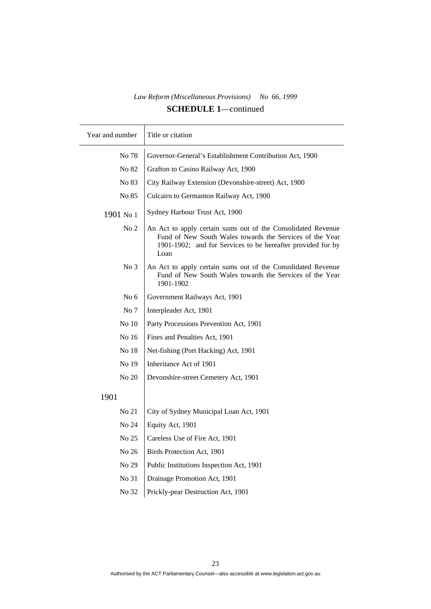| Year and number | Title or citation                                                                                                                                                                               |
|-----------------|-------------------------------------------------------------------------------------------------------------------------------------------------------------------------------------------------|
| No 78           | Governor-General's Establishment Contribution Act, 1900                                                                                                                                         |
| No 82           | Grafton to Casino Railway Act, 1900                                                                                                                                                             |
| No 83           | City Railway Extension (Devonshire-street) Act, 1900                                                                                                                                            |
| No 85           | Culcairn to Germanton Railway Act, 1900                                                                                                                                                         |
| 1901 No 1       | Sydney Harbour Trust Act, 1900                                                                                                                                                                  |
| No <sub>2</sub> | An Act to apply certain sums out of the Consolidated Revenue<br>Fund of New South Wales towards the Services of the Year<br>1901-1902; and for Services to be hereafter provided for by<br>Loan |
| No <sub>3</sub> | An Act to apply certain sums out of the Consolidated Revenue<br>Fund of New South Wales towards the Services of the Year<br>1901-1902                                                           |
| No <sub>6</sub> | Government Railways Act, 1901                                                                                                                                                                   |
| No 7            | Interpleader Act, 1901                                                                                                                                                                          |
| No 10           | Party Processions Prevention Act, 1901                                                                                                                                                          |
| No 16           | Fines and Penalties Act, 1901                                                                                                                                                                   |
| No 18           | Net-fishing (Port Hacking) Act, 1901                                                                                                                                                            |
| No 19           | Inheritance Act of 1901                                                                                                                                                                         |
| No 20           | Devonshire-street Cemetery Act, 1901                                                                                                                                                            |
| 1901            |                                                                                                                                                                                                 |
| No 21           | City of Sydney Municipal Loan Act, 1901                                                                                                                                                         |
| No 24           | Equity Act, 1901                                                                                                                                                                                |
| No 25           | Careless Use of Fire Act, 1901                                                                                                                                                                  |
| No 26           | Birds Protection Act, 1901                                                                                                                                                                      |
| No 29           | Public Institutions Inspection Act, 1901                                                                                                                                                        |
| No 31           | Drainage Promotion Act, 1901                                                                                                                                                                    |
| No 32           | Prickly-pear Destruction Act, 1901                                                                                                                                                              |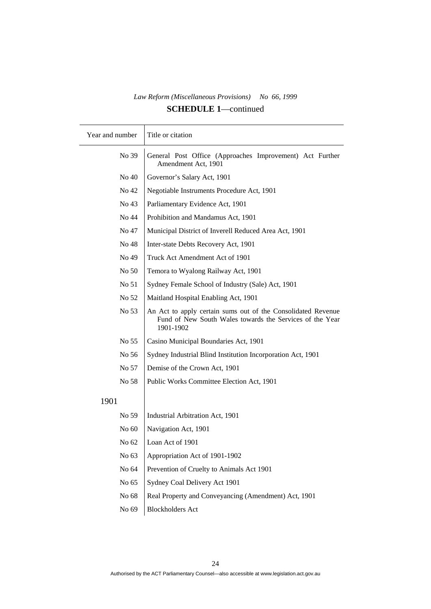| Year and number | Title or citation                                                                                                                     |
|-----------------|---------------------------------------------------------------------------------------------------------------------------------------|
| No 39           | General Post Office (Approaches Improvement) Act Further<br>Amendment Act, 1901                                                       |
| No 40           | Governor's Salary Act, 1901                                                                                                           |
| No 42           | Negotiable Instruments Procedure Act, 1901                                                                                            |
| No 43           | Parliamentary Evidence Act, 1901                                                                                                      |
| No 44           | Prohibition and Mandamus Act, 1901                                                                                                    |
| No 47           | Municipal District of Inverell Reduced Area Act, 1901                                                                                 |
| No 48           | Inter-state Debts Recovery Act, 1901                                                                                                  |
| No 49           | Truck Act Amendment Act of 1901                                                                                                       |
| No 50           | Temora to Wyalong Railway Act, 1901                                                                                                   |
| No 51           | Sydney Female School of Industry (Sale) Act, 1901                                                                                     |
| No 52           | Maitland Hospital Enabling Act, 1901                                                                                                  |
| No 53           | An Act to apply certain sums out of the Consolidated Revenue<br>Fund of New South Wales towards the Services of the Year<br>1901-1902 |
| No 55           | Casino Municipal Boundaries Act, 1901                                                                                                 |
| No 56           | Sydney Industrial Blind Institution Incorporation Act, 1901                                                                           |
| No 57           | Demise of the Crown Act, 1901                                                                                                         |
| No 58           | Public Works Committee Election Act, 1901                                                                                             |
| 1901            |                                                                                                                                       |
| No 59           | Industrial Arbitration Act, 1901                                                                                                      |
| No 60           | Navigation Act, 1901                                                                                                                  |
| No 62           | Loan Act of 1901                                                                                                                      |
| No 63           | Appropriation Act of 1901-1902                                                                                                        |
| No 64           | Prevention of Cruelty to Animals Act 1901                                                                                             |
| No 65           | Sydney Coal Delivery Act 1901                                                                                                         |
| No 68           | Real Property and Conveyancing (Amendment) Act, 1901                                                                                  |
| No 69           | <b>Blockholders Act</b>                                                                                                               |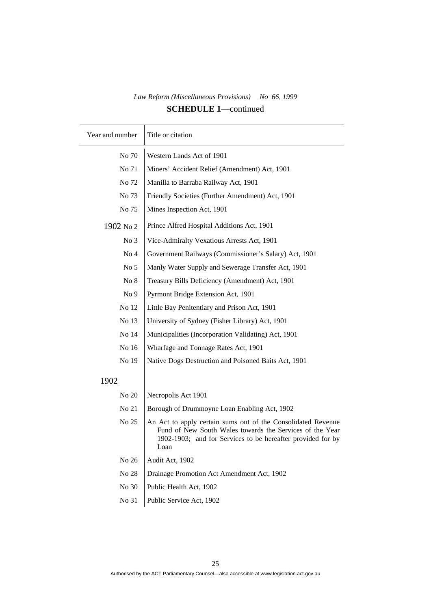$\top$ 

| Year and number | Title or citation                                                                                                                                                                               |
|-----------------|-------------------------------------------------------------------------------------------------------------------------------------------------------------------------------------------------|
| No 70           | Western Lands Act of 1901                                                                                                                                                                       |
| No 71           | Miners' Accident Relief (Amendment) Act, 1901                                                                                                                                                   |
| No 72           | Manilla to Barraba Railway Act, 1901                                                                                                                                                            |
| No 73           | Friendly Societies (Further Amendment) Act, 1901                                                                                                                                                |
| No 75           | Mines Inspection Act, 1901                                                                                                                                                                      |
| 1902 No 2       | Prince Alfred Hospital Additions Act, 1901                                                                                                                                                      |
| No <sub>3</sub> | Vice-Admiralty Vexatious Arrests Act, 1901                                                                                                                                                      |
| No <sub>4</sub> | Government Railways (Commissioner's Salary) Act, 1901                                                                                                                                           |
| No <sub>5</sub> | Manly Water Supply and Sewerage Transfer Act, 1901                                                                                                                                              |
| No 8            | Treasury Bills Deficiency (Amendment) Act, 1901                                                                                                                                                 |
| No <sub>9</sub> | Pyrmont Bridge Extension Act, 1901                                                                                                                                                              |
| No 12           | Little Bay Penitentiary and Prison Act, 1901                                                                                                                                                    |
| No 13           | University of Sydney (Fisher Library) Act, 1901                                                                                                                                                 |
| No 14           | Municipalities (Incorporation Validating) Act, 1901                                                                                                                                             |
| No 16           | Wharfage and Tonnage Rates Act, 1901                                                                                                                                                            |
| No 19           | Native Dogs Destruction and Poisoned Baits Act, 1901                                                                                                                                            |
| 1902            |                                                                                                                                                                                                 |
| No 20           | Necropolis Act 1901                                                                                                                                                                             |
| No 21           | Borough of Drummoyne Loan Enabling Act, 1902                                                                                                                                                    |
| No 25           | An Act to apply certain sums out of the Consolidated Revenue<br>Fund of New South Wales towards the Services of the Year<br>1902-1903; and for Services to be hereafter provided for by<br>Loan |
| No 26           | Audit Act, 1902                                                                                                                                                                                 |
| No 28           | Drainage Promotion Act Amendment Act, 1902                                                                                                                                                      |
| No 30           | Public Health Act, 1902                                                                                                                                                                         |
| No 31           | Public Service Act, 1902                                                                                                                                                                        |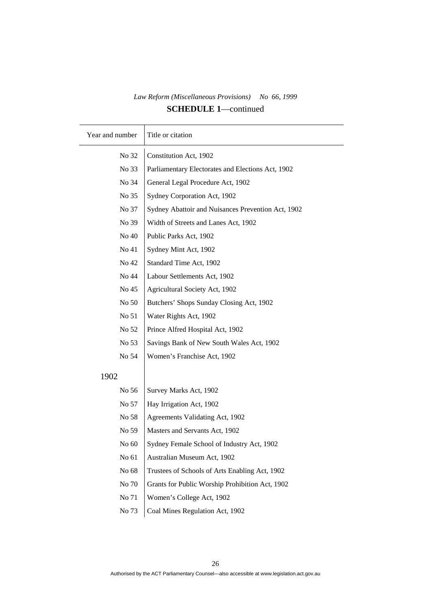| Year and number | Title or citation                                  |
|-----------------|----------------------------------------------------|
| No 32           | Constitution Act, 1902                             |
| No 33           | Parliamentary Electorates and Elections Act, 1902  |
| No 34           | General Legal Procedure Act, 1902                  |
| No 35           | Sydney Corporation Act, 1902                       |
| No 37           | Sydney Abattoir and Nuisances Prevention Act, 1902 |
| No 39           | Width of Streets and Lanes Act, 1902               |
| No 40           | Public Parks Act, 1902                             |
| No 41           | Sydney Mint Act, 1902                              |
| No 42           | Standard Time Act, 1902                            |
| No 44           | Labour Settlements Act, 1902                       |
| No 45           | Agricultural Society Act, 1902                     |
| No 50           | Butchers' Shops Sunday Closing Act, 1902           |
| No 51           | Water Rights Act, 1902                             |
| No 52           | Prince Alfred Hospital Act, 1902                   |
| No 53           | Savings Bank of New South Wales Act, 1902          |
| No 54           | Women's Franchise Act, 1902                        |
| 1902            |                                                    |
| No 56           | Survey Marks Act, 1902                             |
| No 57           | Hay Irrigation Act, 1902                           |
| No 58           | Agreements Validating Act, 1902                    |
| No 59           | Masters and Servants Act, 1902                     |
| No 60           | Sydney Female School of Industry Act, 1902         |
| No 61           | Australian Museum Act, 1902                        |
| No 68           | Trustees of Schools of Arts Enabling Act, 1902     |
| No 70           | Grants for Public Worship Prohibition Act, 1902    |
| No 71           | Women's College Act, 1902                          |
| No 73           | Coal Mines Regulation Act, 1902                    |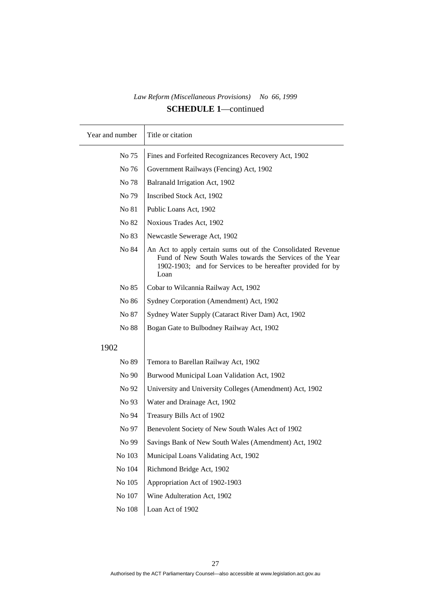| Year and number | Title or citation                                                                                                                                                                               |
|-----------------|-------------------------------------------------------------------------------------------------------------------------------------------------------------------------------------------------|
| No 75           | Fines and Forfeited Recognizances Recovery Act, 1902                                                                                                                                            |
| No 76           | Government Railways (Fencing) Act, 1902                                                                                                                                                         |
| No 78           | Balranald Irrigation Act, 1902                                                                                                                                                                  |
| No 79           | Inscribed Stock Act, 1902                                                                                                                                                                       |
| No 81           | Public Loans Act, 1902                                                                                                                                                                          |
| No 82           | Noxious Trades Act, 1902                                                                                                                                                                        |
| No 83           | Newcastle Sewerage Act, 1902                                                                                                                                                                    |
| No 84           | An Act to apply certain sums out of the Consolidated Revenue<br>Fund of New South Wales towards the Services of the Year<br>1902-1903; and for Services to be hereafter provided for by<br>Loan |
| No 85           | Cobar to Wilcannia Railway Act, 1902                                                                                                                                                            |
| No 86           | Sydney Corporation (Amendment) Act, 1902                                                                                                                                                        |
| No 87           | Sydney Water Supply (Cataract River Dam) Act, 1902                                                                                                                                              |
| No 88           | Bogan Gate to Bulbodney Railway Act, 1902                                                                                                                                                       |
| 1902            |                                                                                                                                                                                                 |
| No 89           | Temora to Barellan Railway Act, 1902                                                                                                                                                            |
| No 90           | Burwood Municipal Loan Validation Act, 1902                                                                                                                                                     |
| No 92           | University and University Colleges (Amendment) Act, 1902                                                                                                                                        |
| No 93           | Water and Drainage Act, 1902                                                                                                                                                                    |
| No 94           | Treasury Bills Act of 1902                                                                                                                                                                      |
| No 97           | Benevolent Society of New South Wales Act of 1902                                                                                                                                               |
| No 99           | Savings Bank of New South Wales (Amendment) Act, 1902                                                                                                                                           |
| No 103          | Municipal Loans Validating Act, 1902                                                                                                                                                            |
| No 104          | Richmond Bridge Act, 1902                                                                                                                                                                       |
| No 105          | Appropriation Act of 1902-1903                                                                                                                                                                  |
| No 107          | Wine Adulteration Act, 1902                                                                                                                                                                     |
| No $108\,$      | Loan Act of 1902                                                                                                                                                                                |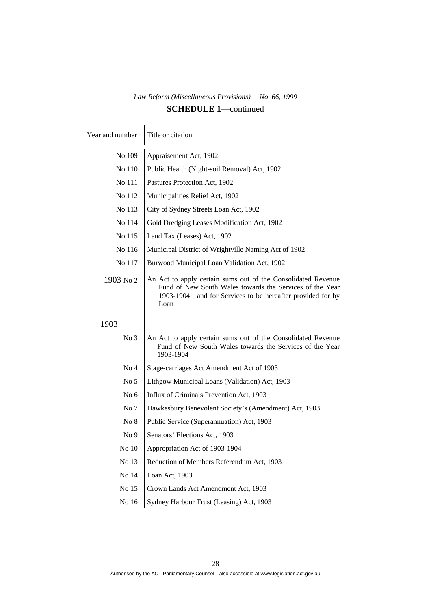| Year and number | Title or citation                                                                                                                                                                               |
|-----------------|-------------------------------------------------------------------------------------------------------------------------------------------------------------------------------------------------|
| No 109          | Appraisement Act, 1902                                                                                                                                                                          |
| No 110          | Public Health (Night-soil Removal) Act, 1902                                                                                                                                                    |
| No 111          | Pastures Protection Act, 1902                                                                                                                                                                   |
| No 112          | Municipalities Relief Act, 1902                                                                                                                                                                 |
| No 113          | City of Sydney Streets Loan Act, 1902                                                                                                                                                           |
| No 114          | Gold Dredging Leases Modification Act, 1902                                                                                                                                                     |
| No 115          | Land Tax (Leases) Act, 1902                                                                                                                                                                     |
| No 116          | Municipal District of Wrightville Naming Act of 1902                                                                                                                                            |
| No 117          | Burwood Municipal Loan Validation Act, 1902                                                                                                                                                     |
| 1903 No 2       | An Act to apply certain sums out of the Consolidated Revenue<br>Fund of New South Wales towards the Services of the Year<br>1903-1904; and for Services to be hereafter provided for by<br>Loan |
| 1903            |                                                                                                                                                                                                 |
| No <sub>3</sub> | An Act to apply certain sums out of the Consolidated Revenue<br>Fund of New South Wales towards the Services of the Year<br>1903-1904                                                           |
| No <sub>4</sub> | Stage-carriages Act Amendment Act of 1903                                                                                                                                                       |
| No <sub>5</sub> | Lithgow Municipal Loans (Validation) Act, 1903                                                                                                                                                  |
| No $6$          | Influx of Criminals Prevention Act, 1903                                                                                                                                                        |
| No 7            | Hawkesbury Benevolent Society's (Amendment) Act, 1903                                                                                                                                           |
| No 8            | Public Service (Superannuation) Act, 1903                                                                                                                                                       |
| No <sub>9</sub> | Senators' Elections Act, 1903                                                                                                                                                                   |
| No 10           | Appropriation Act of 1903-1904                                                                                                                                                                  |
| No 13           | Reduction of Members Referendum Act, 1903                                                                                                                                                       |
| No 14           | Loan Act, 1903                                                                                                                                                                                  |
| No 15           | Crown Lands Act Amendment Act, 1903                                                                                                                                                             |
| No 16           | Sydney Harbour Trust (Leasing) Act, 1903                                                                                                                                                        |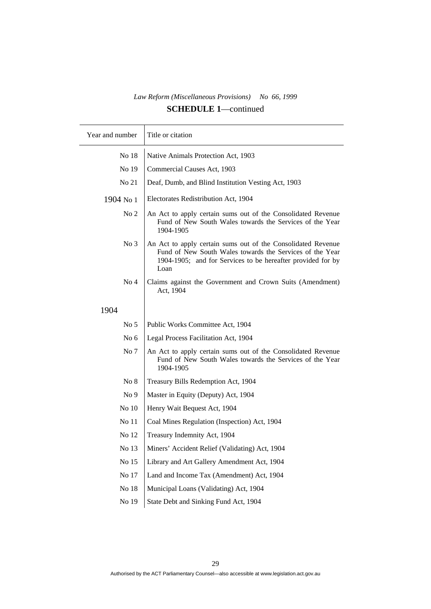| Year and number | Title or citation                                                                                                                                                                               |
|-----------------|-------------------------------------------------------------------------------------------------------------------------------------------------------------------------------------------------|
| No 18           | Native Animals Protection Act, 1903                                                                                                                                                             |
| No 19           | Commercial Causes Act, 1903                                                                                                                                                                     |
| No 21           | Deaf, Dumb, and Blind Institution Vesting Act, 1903                                                                                                                                             |
| 1904 No 1       | Electorates Redistribution Act, 1904                                                                                                                                                            |
| No <sub>2</sub> | An Act to apply certain sums out of the Consolidated Revenue<br>Fund of New South Wales towards the Services of the Year<br>1904-1905                                                           |
| No <sub>3</sub> | An Act to apply certain sums out of the Consolidated Revenue<br>Fund of New South Wales towards the Services of the Year<br>1904-1905; and for Services to be hereafter provided for by<br>Loan |
| No <sub>4</sub> | Claims against the Government and Crown Suits (Amendment)<br>Act, 1904                                                                                                                          |
| 1904            |                                                                                                                                                                                                 |
| No <sub>5</sub> | Public Works Committee Act, 1904                                                                                                                                                                |
| No $6$          | Legal Process Facilitation Act, 1904                                                                                                                                                            |
| No 7            | An Act to apply certain sums out of the Consolidated Revenue<br>Fund of New South Wales towards the Services of the Year<br>1904-1905                                                           |
| No 8            | Treasury Bills Redemption Act, 1904                                                                                                                                                             |
| No <sub>9</sub> | Master in Equity (Deputy) Act, 1904                                                                                                                                                             |
| No 10           | Henry Wait Bequest Act, 1904                                                                                                                                                                    |
| No 11           | Coal Mines Regulation (Inspection) Act, 1904                                                                                                                                                    |
| No 12           | Treasury Indemnity Act, 1904                                                                                                                                                                    |
| No 13           | Miners' Accident Relief (Validating) Act, 1904                                                                                                                                                  |
| No 15           | Library and Art Gallery Amendment Act, 1904                                                                                                                                                     |
| No $17\,$       | Land and Income Tax (Amendment) Act, 1904                                                                                                                                                       |
| No $18$         | Municipal Loans (Validating) Act, 1904                                                                                                                                                          |
| No 19           | State Debt and Sinking Fund Act, 1904                                                                                                                                                           |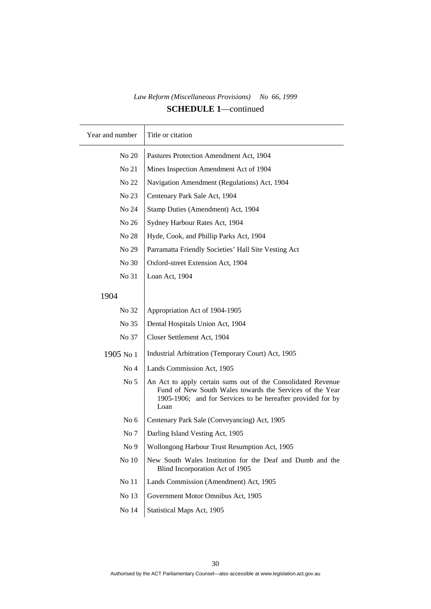| Year and number | Title or citation                                                                                                                                                                               |
|-----------------|-------------------------------------------------------------------------------------------------------------------------------------------------------------------------------------------------|
| No 20           | Pastures Protection Amendment Act, 1904                                                                                                                                                         |
| No 21           | Mines Inspection Amendment Act of 1904                                                                                                                                                          |
| No 22           | Navigation Amendment (Regulations) Act, 1904                                                                                                                                                    |
| No 23           | Centenary Park Sale Act, 1904                                                                                                                                                                   |
| No 24           | Stamp Duties (Amendment) Act, 1904                                                                                                                                                              |
| No 26           | Sydney Harbour Rates Act, 1904                                                                                                                                                                  |
| No 28           | Hyde, Cook, and Phillip Parks Act, 1904                                                                                                                                                         |
| No 29           | Parramatta Friendly Societies' Hall Site Vesting Act                                                                                                                                            |
| No 30           | Oxford-street Extension Act, 1904                                                                                                                                                               |
| No 31           | Loan Act, 1904                                                                                                                                                                                  |
| 1904            |                                                                                                                                                                                                 |
| No 32           | Appropriation Act of 1904-1905                                                                                                                                                                  |
| No 35           | Dental Hospitals Union Act, 1904                                                                                                                                                                |
| No 37           | Closer Settlement Act, 1904                                                                                                                                                                     |
| 1905 No 1       | Industrial Arbitration (Temporary Court) Act, 1905                                                                                                                                              |
| No <sub>4</sub> | Lands Commission Act, 1905                                                                                                                                                                      |
| No <sub>5</sub> | An Act to apply certain sums out of the Consolidated Revenue<br>Fund of New South Wales towards the Services of the Year<br>1905-1906; and for Services to be hereafter provided for by<br>Loan |
| No $6$          | Centenary Park Sale (Conveyancing) Act, 1905                                                                                                                                                    |
| No 7            | Darling Island Vesting Act, 1905                                                                                                                                                                |
| No 9            | Wollongong Harbour Trust Resumption Act, 1905                                                                                                                                                   |
| No 10           | New South Wales Institution for the Deaf and Dumb and the<br>Blind Incorporation Act of 1905                                                                                                    |
| No 11           | Lands Commission (Amendment) Act, 1905                                                                                                                                                          |
| No 13           | Government Motor Omnibus Act, 1905                                                                                                                                                              |
| No 14           | Statistical Maps Act, 1905                                                                                                                                                                      |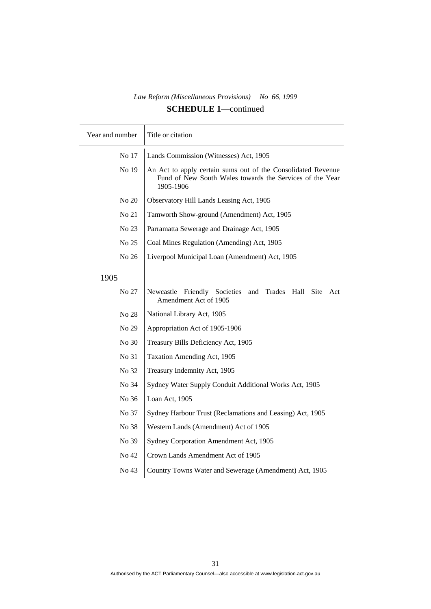| Year and number | Title or citation                                                                                                                     |
|-----------------|---------------------------------------------------------------------------------------------------------------------------------------|
| No 17           | Lands Commission (Witnesses) Act, 1905                                                                                                |
| No 19           | An Act to apply certain sums out of the Consolidated Revenue<br>Fund of New South Wales towards the Services of the Year<br>1905-1906 |
| No 20           | Observatory Hill Lands Leasing Act, 1905                                                                                              |
| No 21           | Tamworth Show-ground (Amendment) Act, 1905                                                                                            |
| No 23           | Parramatta Sewerage and Drainage Act, 1905                                                                                            |
| No 25           | Coal Mines Regulation (Amending) Act, 1905                                                                                            |
| No 26           | Liverpool Municipal Loan (Amendment) Act, 1905                                                                                        |
| 1905            |                                                                                                                                       |
| No 27           | Friendly<br>Newcastle<br>Societies<br>and<br>Trades<br>Hall<br><b>Site</b><br>Act<br>Amendment Act of 1905                            |
| No 28           | National Library Act, 1905                                                                                                            |
| No 29           | Appropriation Act of 1905-1906                                                                                                        |
| No 30           | Treasury Bills Deficiency Act, 1905                                                                                                   |
| No 31           | Taxation Amending Act, 1905                                                                                                           |
| No 32           | Treasury Indemnity Act, 1905                                                                                                          |
| No 34           | Sydney Water Supply Conduit Additional Works Act, 1905                                                                                |
| No 36           | Loan Act, 1905                                                                                                                        |
| No 37           | Sydney Harbour Trust (Reclamations and Leasing) Act, 1905                                                                             |
| No 38           | Western Lands (Amendment) Act of 1905                                                                                                 |
| No 39           | Sydney Corporation Amendment Act, 1905                                                                                                |
| No 42           | Crown Lands Amendment Act of 1905                                                                                                     |
| No 43           | Country Towns Water and Sewerage (Amendment) Act, 1905                                                                                |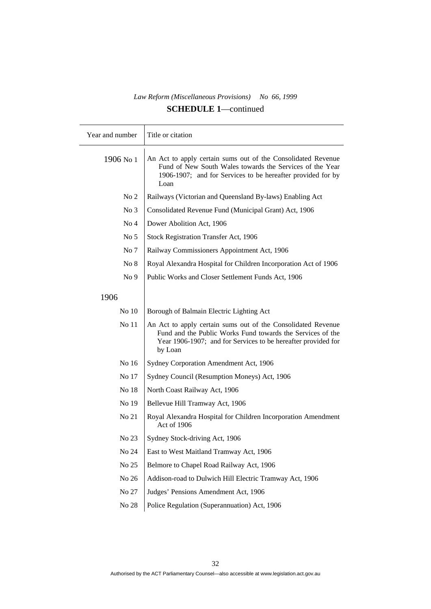| Year and number | Title or citation                                                                                                                                                                                      |
|-----------------|--------------------------------------------------------------------------------------------------------------------------------------------------------------------------------------------------------|
| 1906 No 1       | An Act to apply certain sums out of the Consolidated Revenue<br>Fund of New South Wales towards the Services of the Year<br>1906-1907; and for Services to be hereafter provided for by<br>Loan        |
| No <sub>2</sub> | Railways (Victorian and Queensland By-laws) Enabling Act                                                                                                                                               |
| No <sub>3</sub> | Consolidated Revenue Fund (Municipal Grant) Act, 1906                                                                                                                                                  |
| No <sub>4</sub> | Dower Abolition Act, 1906                                                                                                                                                                              |
| No <sub>5</sub> | Stock Registration Transfer Act, 1906                                                                                                                                                                  |
| No 7            | Railway Commissioners Appointment Act, 1906                                                                                                                                                            |
| No 8            | Royal Alexandra Hospital for Children Incorporation Act of 1906                                                                                                                                        |
| No <sub>9</sub> | Public Works and Closer Settlement Funds Act, 1906                                                                                                                                                     |
| 1906            |                                                                                                                                                                                                        |
| No 10           | Borough of Balmain Electric Lighting Act                                                                                                                                                               |
| No 11           | An Act to apply certain sums out of the Consolidated Revenue<br>Fund and the Public Works Fund towards the Services of the<br>Year 1906-1907; and for Services to be hereafter provided for<br>by Loan |
| No 16           | Sydney Corporation Amendment Act, 1906                                                                                                                                                                 |
| No 17           | Sydney Council (Resumption Moneys) Act, 1906                                                                                                                                                           |
| No 18           | North Coast Railway Act, 1906                                                                                                                                                                          |
| No 19           | Bellevue Hill Tramway Act, 1906                                                                                                                                                                        |
| No 21           | Royal Alexandra Hospital for Children Incorporation Amendment<br>Act of 1906                                                                                                                           |
| No 23           | Sydney Stock-driving Act, 1906                                                                                                                                                                         |
| No 24           | East to West Maitland Tramway Act, 1906                                                                                                                                                                |
| No 25           | Belmore to Chapel Road Railway Act, 1906                                                                                                                                                               |
| No 26           | Addison-road to Dulwich Hill Electric Tramway Act, 1906                                                                                                                                                |
| No 27           | Judges' Pensions Amendment Act, 1906                                                                                                                                                                   |
| No 28           | Police Regulation (Superannuation) Act, 1906                                                                                                                                                           |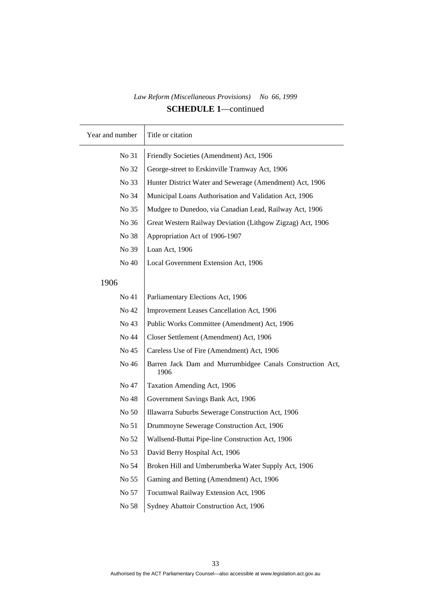| Year and number | Title or citation                                                 |
|-----------------|-------------------------------------------------------------------|
| No 31           | Friendly Societies (Amendment) Act, 1906                          |
| No 32           | George-street to Erskinville Tramway Act, 1906                    |
| No 33           | Hunter District Water and Sewerage (Amendment) Act, 1906          |
| No 34           | Municipal Loans Authorisation and Validation Act, 1906            |
| No 35           | Mudgee to Dunedoo, via Canadian Lead, Railway Act, 1906           |
| No 36           | Great Western Railway Deviation (Lithgow Zigzag) Act, 1906        |
| No 38           | Appropriation Act of 1906-1907                                    |
| No 39           | Loan Act, 1906                                                    |
| No 40           | Local Government Extension Act, 1906                              |
| 1906            |                                                                   |
| No 41           | Parliamentary Elections Act, 1906                                 |
| No 42           | Improvement Leases Cancellation Act, 1906                         |
| No 43           | Public Works Committee (Amendment) Act, 1906                      |
| No 44           | Closer Settlement (Amendment) Act, 1906                           |
| No 45           | Careless Use of Fire (Amendment) Act, 1906                        |
| No 46           | Barren Jack Dam and Murrumbidgee Canals Construction Act,<br>1906 |
| No 47           | Taxation Amending Act, 1906                                       |
| No 48           | Government Savings Bank Act, 1906                                 |
| No 50           | Illawarra Suburbs Sewerage Construction Act, 1906                 |
| No 51           | Drummoyne Sewerage Construction Act, 1906                         |
| No 52           | Wallsend-Buttai Pipe-line Construction Act, 1906                  |
| No 53           | David Berry Hospital Act, 1906                                    |
| No 54           | Broken Hill and Umberumberka Water Supply Act, 1906               |
| No 55           | Gaming and Betting (Amendment) Act, 1906                          |
| No 57           | Tocumwal Railway Extension Act, 1906                              |
| No 58           | Sydney Abattoir Construction Act, 1906                            |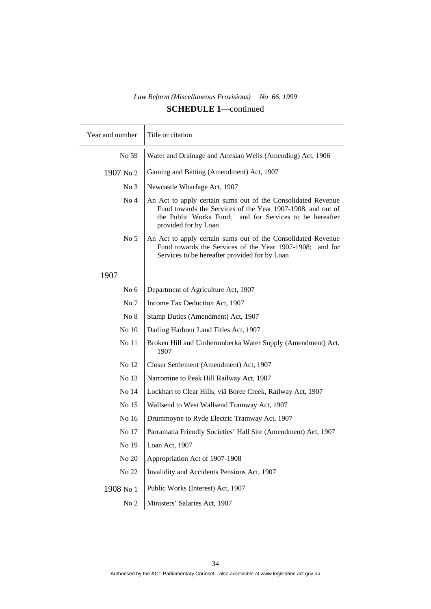$\top$ 

| Year and number | Title or citation                                                                                                                                                                                                 |
|-----------------|-------------------------------------------------------------------------------------------------------------------------------------------------------------------------------------------------------------------|
| No 59           | Water and Drainage and Artesian Wells (Amending) Act, 1906                                                                                                                                                        |
| 1907 No 2       | Gaming and Betting (Amendment) Act, 1907                                                                                                                                                                          |
| No <sub>3</sub> | Newcastle Wharfage Act, 1907                                                                                                                                                                                      |
| No <sub>4</sub> | An Act to apply certain sums out of the Consolidated Revenue<br>Fund towards the Services of the Year 1907-1908, and out of<br>the Public Works Fund;<br>and for Services to be hereafter<br>provided for by Loan |
| No <sub>5</sub> | An Act to apply certain sums out of the Consolidated Revenue<br>Fund towards the Services of the Year 1907-1908; and for<br>Services to be hereafter provided for by Loan                                         |
| 1907            |                                                                                                                                                                                                                   |
| No $6$          | Department of Agriculture Act, 1907                                                                                                                                                                               |
| No 7            | Income Tax Deduction Act, 1907                                                                                                                                                                                    |
| No 8            | Stamp Duties (Amendment) Act, 1907                                                                                                                                                                                |
| No 10           | Darling Harbour Land Titles Act, 1907                                                                                                                                                                             |
| No 11           | Broken Hill and Umberumberka Water Supply (Amendment) Act,<br>1907                                                                                                                                                |
| No 12           | Closer Settlement (Amendment) Act, 1907                                                                                                                                                                           |
| No 13           | Narromine to Peak Hill Railway Act, 1907                                                                                                                                                                          |
| No 14           | Lockhart to Clear Hills, viâ Boree Creek, Railway Act, 1907                                                                                                                                                       |
| No 15           | Wallsend to West Wallsend Tramway Act, 1907                                                                                                                                                                       |
| No 16           | Drummoyne to Ryde Electric Tramway Act, 1907                                                                                                                                                                      |
| No 17           | Parramatta Friendly Societies' Hall Site (Amendment) Act, 1907                                                                                                                                                    |
| No 19           | Loan Act, 1907                                                                                                                                                                                                    |
| No 20           | Appropriation Act of 1907-1908                                                                                                                                                                                    |
| No 22           | Invalidity and Accidents Pensions Act, 1907                                                                                                                                                                       |
| 1908 No 1       | Public Works (Interest) Act, 1907                                                                                                                                                                                 |
| No <sub>2</sub> | Ministers' Salaries Act, 1907                                                                                                                                                                                     |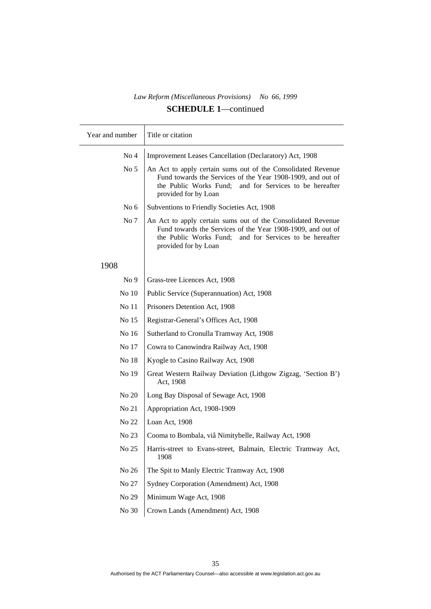| Year and number | Title or citation                                                                                                                                                                                                 |
|-----------------|-------------------------------------------------------------------------------------------------------------------------------------------------------------------------------------------------------------------|
| No <sub>4</sub> | Improvement Leases Cancellation (Declaratory) Act, 1908                                                                                                                                                           |
| No <sub>5</sub> | An Act to apply certain sums out of the Consolidated Revenue<br>Fund towards the Services of the Year 1908-1909, and out of<br>the Public Works Fund;<br>and for Services to be hereafter<br>provided for by Loan |
| No $6$          | Subventions to Friendly Societies Act, 1908                                                                                                                                                                       |
| No 7            | An Act to apply certain sums out of the Consolidated Revenue<br>Fund towards the Services of the Year 1908-1909, and out of<br>the Public Works Fund;<br>and for Services to be hereafter<br>provided for by Loan |
| 1908            |                                                                                                                                                                                                                   |
| No <sub>9</sub> | Grass-tree Licences Act, 1908                                                                                                                                                                                     |
| No 10           | Public Service (Superannuation) Act, 1908                                                                                                                                                                         |
| No 11           | Prisoners Detention Act, 1908                                                                                                                                                                                     |
| No 15           | Registrar-General's Offices Act, 1908                                                                                                                                                                             |
| No 16           | Sutherland to Cronulla Tramway Act, 1908                                                                                                                                                                          |
| No 17           | Cowra to Canowindra Railway Act, 1908                                                                                                                                                                             |
| No 18           | Kyogle to Casino Railway Act, 1908                                                                                                                                                                                |
| No 19           | Great Western Railway Deviation (Lithgow Zigzag, 'Section B')<br>Act, 1908                                                                                                                                        |
| No 20           | Long Bay Disposal of Sewage Act, 1908                                                                                                                                                                             |
| No 21           | Appropriation Act, 1908-1909                                                                                                                                                                                      |
| No 22           | Loan Act, 1908                                                                                                                                                                                                    |
| No 23           | Cooma to Bombala, viâ Nimitybelle, Railway Act, 1908                                                                                                                                                              |
| No 25           | Harris-street to Evans-street, Balmain, Electric Tramway Act,<br>1908                                                                                                                                             |
| No 26           | The Spit to Manly Electric Tramway Act, 1908                                                                                                                                                                      |
| No 27           | Sydney Corporation (Amendment) Act, 1908                                                                                                                                                                          |
| No 29           | Minimum Wage Act, 1908                                                                                                                                                                                            |
| No 30           | Crown Lands (Amendment) Act, 1908                                                                                                                                                                                 |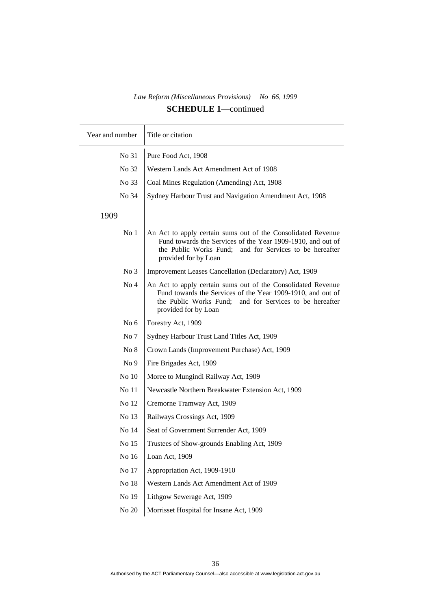| Year and number | Title or citation                                                                                                                                                                                                 |
|-----------------|-------------------------------------------------------------------------------------------------------------------------------------------------------------------------------------------------------------------|
| No 31           | Pure Food Act, 1908                                                                                                                                                                                               |
| No 32           | Western Lands Act Amendment Act of 1908                                                                                                                                                                           |
| No 33           | Coal Mines Regulation (Amending) Act, 1908                                                                                                                                                                        |
| No 34           | Sydney Harbour Trust and Navigation Amendment Act, 1908                                                                                                                                                           |
| 1909            |                                                                                                                                                                                                                   |
| No <sub>1</sub> | An Act to apply certain sums out of the Consolidated Revenue<br>Fund towards the Services of the Year 1909-1910, and out of<br>the Public Works Fund;<br>and for Services to be hereafter<br>provided for by Loan |
| No <sub>3</sub> | Improvement Leases Cancellation (Declaratory) Act, 1909                                                                                                                                                           |
| No <sub>4</sub> | An Act to apply certain sums out of the Consolidated Revenue<br>Fund towards the Services of the Year 1909-1910, and out of<br>the Public Works Fund;<br>and for Services to be hereafter<br>provided for by Loan |
| No $6$          | Forestry Act, 1909                                                                                                                                                                                                |
| No 7            | Sydney Harbour Trust Land Titles Act, 1909                                                                                                                                                                        |
| No 8            | Crown Lands (Improvement Purchase) Act, 1909                                                                                                                                                                      |
| No <sub>9</sub> | Fire Brigades Act, 1909                                                                                                                                                                                           |
| No 10           | Moree to Mungindi Railway Act, 1909                                                                                                                                                                               |
| No 11           | Newcastle Northern Breakwater Extension Act, 1909                                                                                                                                                                 |
| No 12           | Cremorne Tramway Act, 1909                                                                                                                                                                                        |
| No 13           | Railways Crossings Act, 1909                                                                                                                                                                                      |
| No 14           | Seat of Government Surrender Act, 1909                                                                                                                                                                            |
| No 15           | Trustees of Show-grounds Enabling Act, 1909                                                                                                                                                                       |
| No 16           | Loan Act, 1909                                                                                                                                                                                                    |
| No 17           | Appropriation Act, 1909-1910                                                                                                                                                                                      |
| No 18           | Western Lands Act Amendment Act of 1909                                                                                                                                                                           |
| No 19           | Lithgow Sewerage Act, 1909                                                                                                                                                                                        |
| No $20$         | Morrisset Hospital for Insane Act, 1909                                                                                                                                                                           |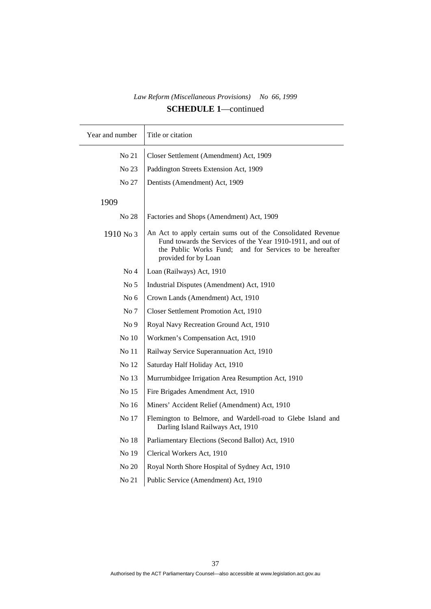| Year and number  | Title or citation                                                                                                                                                                                                 |
|------------------|-------------------------------------------------------------------------------------------------------------------------------------------------------------------------------------------------------------------|
| No 21            | Closer Settlement (Amendment) Act, 1909                                                                                                                                                                           |
| No 23            | Paddington Streets Extension Act, 1909                                                                                                                                                                            |
| No 27            | Dentists (Amendment) Act, 1909                                                                                                                                                                                    |
| 1909             |                                                                                                                                                                                                                   |
| No 28            | Factories and Shops (Amendment) Act, 1909                                                                                                                                                                         |
| 1910 No 3        | An Act to apply certain sums out of the Consolidated Revenue<br>Fund towards the Services of the Year 1910-1911, and out of<br>the Public Works Fund;<br>and for Services to be hereafter<br>provided for by Loan |
| No <sub>4</sub>  | Loan (Railways) Act, 1910                                                                                                                                                                                         |
| No <sub>5</sub>  | Industrial Disputes (Amendment) Act, 1910                                                                                                                                                                         |
| No <sub>6</sub>  | Crown Lands (Amendment) Act, 1910                                                                                                                                                                                 |
| No 7             | Closer Settlement Promotion Act, 1910                                                                                                                                                                             |
| No <sub>9</sub>  | Royal Navy Recreation Ground Act, 1910                                                                                                                                                                            |
| No <sub>10</sub> | Workmen's Compensation Act, 1910                                                                                                                                                                                  |
| No 11            | Railway Service Superannuation Act, 1910                                                                                                                                                                          |
| No 12            | Saturday Half Holiday Act, 1910                                                                                                                                                                                   |
| No 13            | Murrumbidgee Irrigation Area Resumption Act, 1910                                                                                                                                                                 |
| No 15            | Fire Brigades Amendment Act, 1910                                                                                                                                                                                 |
| No 16            | Miners' Accident Relief (Amendment) Act, 1910                                                                                                                                                                     |
| No 17            | Flemington to Belmore, and Wardell-road to Glebe Island and<br>Darling Island Railways Act, 1910                                                                                                                  |
| No 18            | Parliamentary Elections (Second Ballot) Act, 1910                                                                                                                                                                 |
| No 19            | Clerical Workers Act, 1910                                                                                                                                                                                        |
| No 20            | Royal North Shore Hospital of Sydney Act, 1910                                                                                                                                                                    |
| No 21            | Public Service (Amendment) Act, 1910                                                                                                                                                                              |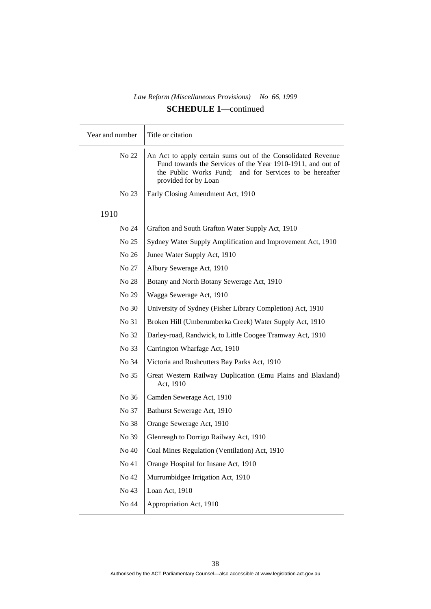| Year and number | Title or citation                                                                                                                                                                                                 |
|-----------------|-------------------------------------------------------------------------------------------------------------------------------------------------------------------------------------------------------------------|
| No 22           | An Act to apply certain sums out of the Consolidated Revenue<br>Fund towards the Services of the Year 1910-1911, and out of<br>the Public Works Fund;<br>and for Services to be hereafter<br>provided for by Loan |
| No 23           | Early Closing Amendment Act, 1910                                                                                                                                                                                 |
| 1910            |                                                                                                                                                                                                                   |
| No 24           | Grafton and South Grafton Water Supply Act, 1910                                                                                                                                                                  |
| No 25           | Sydney Water Supply Amplification and Improvement Act, 1910                                                                                                                                                       |
| No 26           | Junee Water Supply Act, 1910                                                                                                                                                                                      |
| No 27           | Albury Sewerage Act, 1910                                                                                                                                                                                         |
| No 28           | Botany and North Botany Sewerage Act, 1910                                                                                                                                                                        |
| No 29           | Wagga Sewerage Act, 1910                                                                                                                                                                                          |
| No 30           | University of Sydney (Fisher Library Completion) Act, 1910                                                                                                                                                        |
| No 31           | Broken Hill (Umberumberka Creek) Water Supply Act, 1910                                                                                                                                                           |
| No 32           | Darley-road, Randwick, to Little Coogee Tramway Act, 1910                                                                                                                                                         |
| No 33           | Carrington Wharfage Act, 1910                                                                                                                                                                                     |
| No 34           | Victoria and Rushcutters Bay Parks Act, 1910                                                                                                                                                                      |
| No 35           | Great Western Railway Duplication (Emu Plains and Blaxland)<br>Act, 1910                                                                                                                                          |
| No 36           | Camden Sewerage Act, 1910                                                                                                                                                                                         |
| No 37           | Bathurst Sewerage Act, 1910                                                                                                                                                                                       |
| No 38           | Orange Sewerage Act, 1910                                                                                                                                                                                         |
| No 39           | Glenreagh to Dorrigo Railway Act, 1910                                                                                                                                                                            |
| No 40           | Coal Mines Regulation (Ventilation) Act, 1910                                                                                                                                                                     |
| No 41           | Orange Hospital for Insane Act, 1910                                                                                                                                                                              |
| No 42           | Murrumbidgee Irrigation Act, 1910                                                                                                                                                                                 |
| No 43           | Loan Act, 1910                                                                                                                                                                                                    |
| No 44           | Appropriation Act, 1910                                                                                                                                                                                           |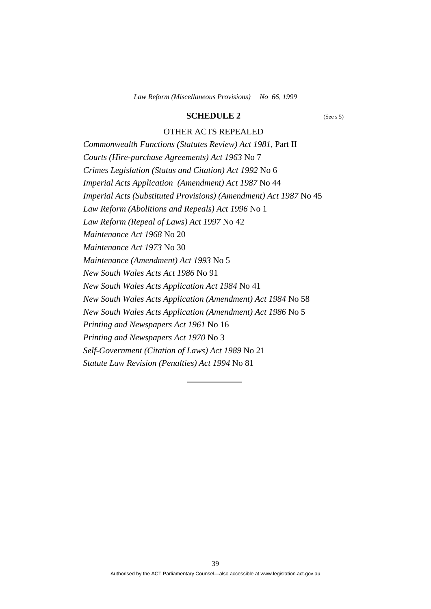### **SCHEDULE 2** (See s 5)

## OTHER ACTS REPEALED

*Commonwealth Functions (Statutes Review) Act 1981,* Part II *Courts (Hire-purchase Agreements) Act 1963* No 7 *Crimes Legislation (Status and Citation) Act 1992* No 6 *Imperial Acts Application (Amendment) Act 1987* No 44 *Imperial Acts (Substituted Provisions) (Amendment) Act 1987* No 45 *Law Reform (Abolitions and Repeals) Act 1996* No 1 *Law Reform (Repeal of Laws) Act 1997* No 42 *Maintenance Act 1968* No 20 *Maintenance Act 1973* No 30 *Maintenance (Amendment) Act 1993* No 5 *New South Wales Acts Act 1986* No 91 *New South Wales Acts Application Act 1984* No 41 *New South Wales Acts Application (Amendment) Act 1984* No 58 *New South Wales Acts Application (Amendment) Act 1986* No 5 *Printing and Newspapers Act 1961* No 16 *Printing and Newspapers Act 1970* No 3 *Self-Government (Citation of Laws) Act 1989* No 21 *Statute Law Revision (Penalties) Act 1994* No 81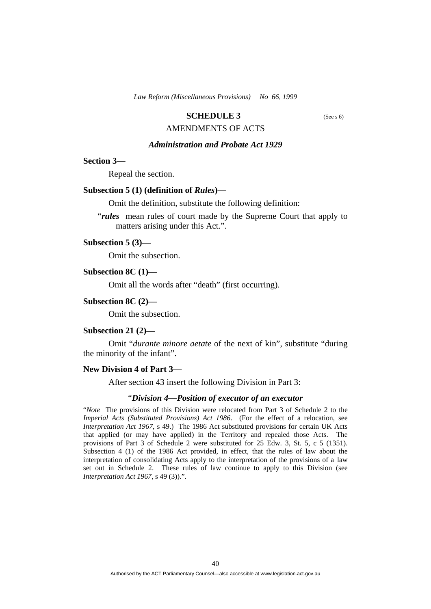### **SCHEDULE 3** (See s 6)

## AMENDMENTS OF ACTS

## *Administration and Probate Act 1929*

#### **Section 3—**

Repeal the section.

#### **Subsection 5 (1) (definition of** *Rules***)—**

Omit the definition, substitute the following definition:

"*rules* mean rules of court made by the Supreme Court that apply to matters arising under this Act.".

## **Subsection 5 (3)—**

Omit the subsection.

### **Subsection 8C (1)—**

Omit all the words after "death" (first occurring).

#### **Subsection 8C (2)—**

Omit the subsection.

#### **Subsection 21 (2)—**

 Omit "*durante minore aetate* of the next of kin", substitute "during the minority of the infant".

#### **New Division 4 of Part 3—**

After section 43 insert the following Division in Part 3:

#### "*Division 4—Position of executor of an executor*

"*Note* The provisions of this Division were relocated from Part 3 of Schedule 2 to the *Imperial Acts (Substituted Provisions) Act 1986*. (For the effect of a relocation, see *Interpretation Act 1967*, s 49.) The 1986 Act substituted provisions for certain UK Acts that applied (or may have applied) in the Territory and repealed those Acts. The provisions of Part 3 of Schedule 2 were substituted for 25 Edw. 3, St. 5, c 5 (1351). Subsection 4 (1) of the 1986 Act provided, in effect, that the rules of law about the interpretation of consolidating Acts apply to the interpretation of the provisions of a law set out in Schedule 2. These rules of law continue to apply to this Division (see *Interpretation Act 1967*, s 49 (3)).".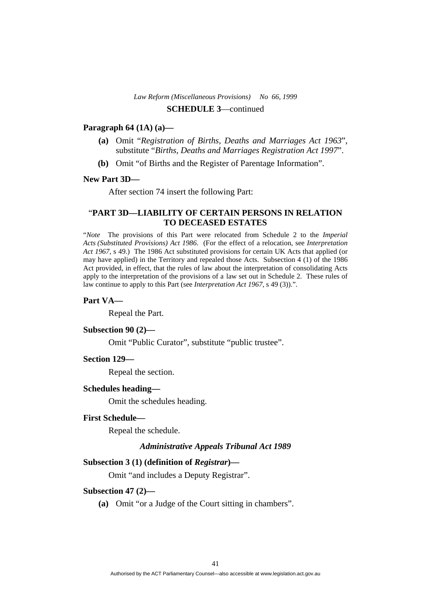## **Paragraph 64 (1A) (a)—**

- **(a)** Omit "*Registration of Births, Deaths and Marriages Act 1963*", substitute "*Births, Deaths and Marriages Registration Act 1997*".
- **(b)** Omit "of Births and the Register of Parentage Information".

## **New Part 3D—**

After section 74 insert the following Part:

## "**PART 3D—LIABILITY OF CERTAIN PERSONS IN RELATION TO DECEASED ESTATES**

"*Note* The provisions of this Part were relocated from Schedule 2 to the *Imperial Acts (Substituted Provisions) Act 1986*. (For the effect of a relocation, see *Interpretation Act 1967*, s 49.) The 1986 Act substituted provisions for certain UK Acts that applied (or may have applied) in the Territory and repealed those Acts. Subsection 4 (1) of the 1986 Act provided, in effect, that the rules of law about the interpretation of consolidating Acts apply to the interpretation of the provisions of a law set out in Schedule 2. These rules of law continue to apply to this Part (see *Interpretation Act 1967*, s 49 (3)).".

#### **Part VA—**

Repeal the Part.

#### **Subsection 90 (2)—**

Omit "Public Curator", substitute "public trustee".

#### **Section 129—**

Repeal the section.

### **Schedules heading—**

Omit the schedules heading.

## **First Schedule—**

Repeal the schedule.

### *Administrative Appeals Tribunal Act 1989*

### **Subsection 3 (1) (definition of** *Registrar***)—**

Omit "and includes a Deputy Registrar".

#### **Subsection 47 (2)—**

 **(a)** Omit "or a Judge of the Court sitting in chambers".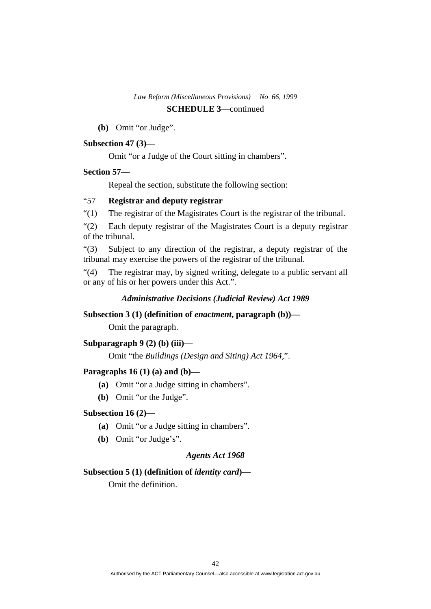**(b)** Omit "or Judge".

## **Subsection 47 (3)—**

Omit "or a Judge of the Court sitting in chambers".

### **Section 57—**

Repeal the section, substitute the following section:

## "57 **Registrar and deputy registrar**

"(1) The registrar of the Magistrates Court is the registrar of the tribunal.

"(2) Each deputy registrar of the Magistrates Court is a deputy registrar of the tribunal.

"(3) Subject to any direction of the registrar, a deputy registrar of the tribunal may exercise the powers of the registrar of the tribunal.

"(4) The registrar may, by signed writing, delegate to a public servant all or any of his or her powers under this Act.".

### *Administrative Decisions (Judicial Review) Act 1989*

## **Subsection 3 (1) (definition of** *enactment***, paragraph (b))—**

Omit the paragraph.

### **Subparagraph 9 (2) (b) (iii)—**

Omit "the *Buildings (Design and Siting) Act 1964,*".

## **Paragraphs 16 (1) (a) and (b)—**

- **(a)** Omit "or a Judge sitting in chambers".
- **(b)** Omit "or the Judge".

### **Subsection 16 (2)—**

- **(a)** Omit "or a Judge sitting in chambers".
- **(b)** Omit "or Judge's".

## *Agents Act 1968*

## **Subsection 5 (1) (definition of** *identity card***)—**

Omit the definition.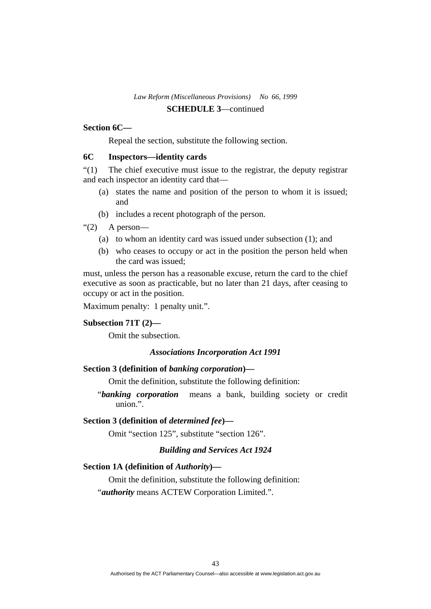## **Section 6C—**

Repeal the section, substitute the following section.

## **6C Inspectors—identity cards**

"(1) The chief executive must issue to the registrar, the deputy registrar and each inspector an identity card that—

- (a) states the name and position of the person to whom it is issued; and
- (b) includes a recent photograph of the person.

" $(2)$  A person-

- (a) to whom an identity card was issued under subsection (1); and
- (b) who ceases to occupy or act in the position the person held when the card was issued;

must, unless the person has a reasonable excuse, return the card to the chief executive as soon as practicable, but no later than 21 days, after ceasing to occupy or act in the position.

Maximum penalty: 1 penalty unit.".

### **Subsection 71T (2)—**

Omit the subsection.

## *Associations Incorporation Act 1991*

## **Section 3 (definition of** *banking corporation***)—**

Omit the definition, substitute the following definition:

"*banking corporation* means a bank, building society or credit union.".

#### **Section 3 (definition of** *determined fee***)—**

Omit "section 125", substitute "section 126".

## *Building and Services Act 1924*

### **Section 1A (definition of** *Authority***)—**

Omit the definition, substitute the following definition:

"*authority* means ACTEW Corporation Limited.".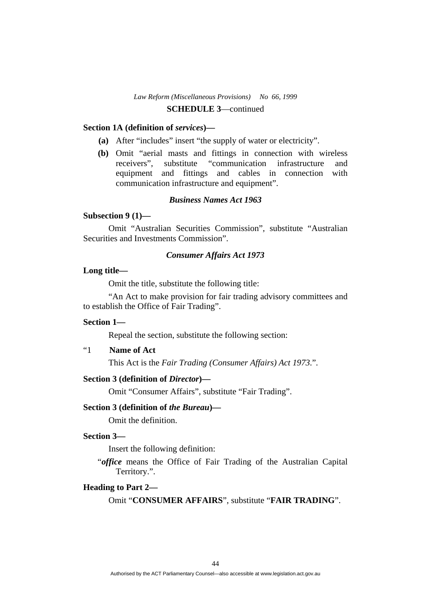### **Section 1A (definition of** *services***)—**

- **(a)** After "includes" insert "the supply of water or electricity".
- **(b)** Omit "aerial masts and fittings in connection with wireless receivers", substitute "communication infrastructure and equipment and fittings and cables in connection with communication infrastructure and equipment".

## *Business Names Act 1963*

## **Subsection 9 (1)—**

 Omit "Australian Securities Commission", substitute "Australian Securities and Investments Commission".

## *Consumer Affairs Act 1973*

### **Long title—**

Omit the title, substitute the following title:

 "An Act to make provision for fair trading advisory committees and to establish the Office of Fair Trading".

## **Section 1—**

Repeal the section, substitute the following section:

## "1 **Name of Act**

This Act is the *Fair Trading (Consumer Affairs) Act 1973*.".

## **Section 3 (definition of** *Director***)—**

Omit "Consumer Affairs", substitute "Fair Trading".

## **Section 3 (definition of** *the Bureau***)—**

Omit the definition.

## **Section 3—**

Insert the following definition:

"*office* means the Office of Fair Trading of the Australian Capital Territory.".

## **Heading to Part 2—**

Omit "**CONSUMER AFFAIRS**", substitute "**FAIR TRADING**".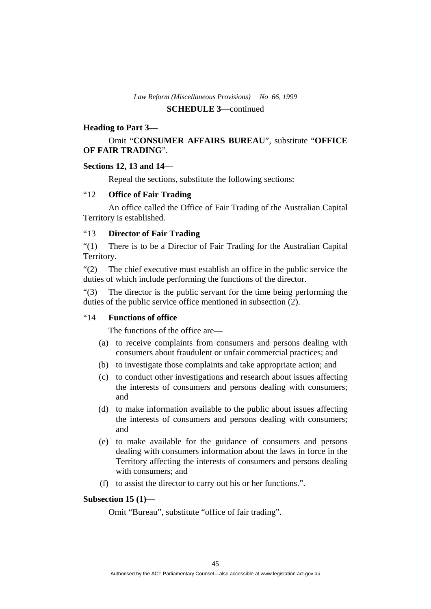## **Heading to Part 3—**

## Omit "**CONSUMER AFFAIRS BUREAU**", substitute "**OFFICE OF FAIR TRADING**".

## **Sections 12, 13 and 14—**

Repeal the sections, substitute the following sections:

## "12 **Office of Fair Trading**

 An office called the Office of Fair Trading of the Australian Capital Territory is established.

## "13 **Director of Fair Trading**

"(1) There is to be a Director of Fair Trading for the Australian Capital Territory.

"(2) The chief executive must establish an office in the public service the duties of which include performing the functions of the director.

"(3) The director is the public servant for the time being performing the duties of the public service office mentioned in subsection (2).

## "14 **Functions of office**

The functions of the office are—

- (a) to receive complaints from consumers and persons dealing with consumers about fraudulent or unfair commercial practices; and
- (b) to investigate those complaints and take appropriate action; and
- (c) to conduct other investigations and research about issues affecting the interests of consumers and persons dealing with consumers; and
- (d) to make information available to the public about issues affecting the interests of consumers and persons dealing with consumers; and
- (e) to make available for the guidance of consumers and persons dealing with consumers information about the laws in force in the Territory affecting the interests of consumers and persons dealing with consumers; and
- (f) to assist the director to carry out his or her functions.".

### **Subsection 15 (1)—**

Omit "Bureau", substitute "office of fair trading".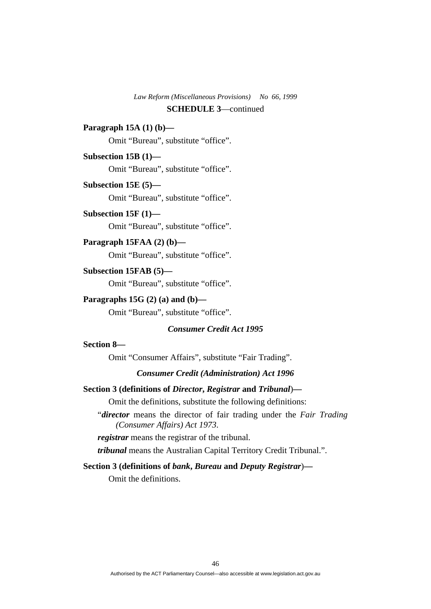## **SCHEDULE 3**—continued

## **Paragraph 15A (1) (b)—**

Omit "Bureau", substitute "office".

## **Subsection 15B (1)—**

Omit "Bureau", substitute "office".

## **Subsection 15E (5)—**

Omit "Bureau", substitute "office".

## **Subsection 15F (1)—**

Omit "Bureau", substitute "office".

## **Paragraph 15FAA (2) (b)—**

Omit "Bureau", substitute "office".

## **Subsection 15FAB (5)—**

Omit "Bureau", substitute "office".

## **Paragraphs 15G (2) (a) and (b)—**

Omit "Bureau", substitute "office".

## *Consumer Credit Act 1995*

## **Section 8—**

Omit "Consumer Affairs", substitute "Fair Trading".

## *Consumer Credit (Administration) Act 1996*

### **Section 3 (definitions of** *Director***,** *Registrar* **and** *Tribunal*)**—**

Omit the definitions, substitute the following definitions:

"*director* means the director of fair trading under the *Fair Trading (Consumer Affairs) Act 1973*.

*registrar* means the registrar of the tribunal.

*tribunal* means the Australian Capital Territory Credit Tribunal.".

## **Section 3 (definitions of** *bank***,** *Bureau* **and** *Deputy Registrar*)**—**

Omit the definitions.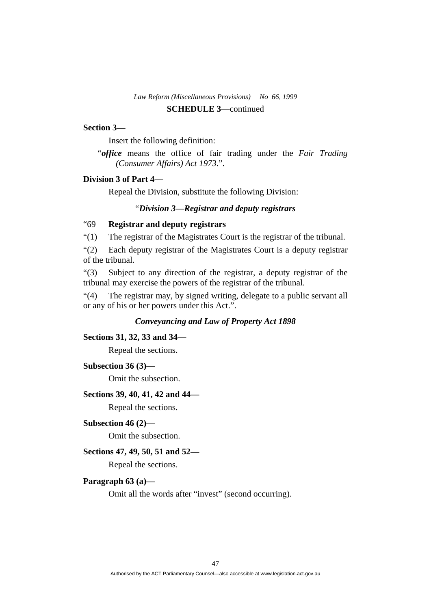#### **Section 3—**

Insert the following definition:

"*office* means the office of fair trading under the *Fair Trading (Consumer Affairs) Act 1973*.".

## **Division 3 of Part 4—**

Repeal the Division, substitute the following Division:

### "*Division 3—Registrar and deputy registrars*

## "69 **Registrar and deputy registrars**

"(1) The registrar of the Magistrates Court is the registrar of the tribunal.

"(2) Each deputy registrar of the Magistrates Court is a deputy registrar of the tribunal.

"(3) Subject to any direction of the registrar, a deputy registrar of the tribunal may exercise the powers of the registrar of the tribunal.

"(4) The registrar may, by signed writing, delegate to a public servant all or any of his or her powers under this Act.".

## *Conveyancing and Law of Property Act 1898*

### **Sections 31, 32, 33 and 34—**

Repeal the sections.

## **Subsection 36 (3)—**

Omit the subsection.

## **Sections 39, 40, 41, 42 and 44—**

Repeal the sections.

## **Subsection 46 (2)—**

Omit the subsection.

### **Sections 47, 49, 50, 51 and 52—**

Repeal the sections.

## **Paragraph 63 (a)—**

Omit all the words after "invest" (second occurring).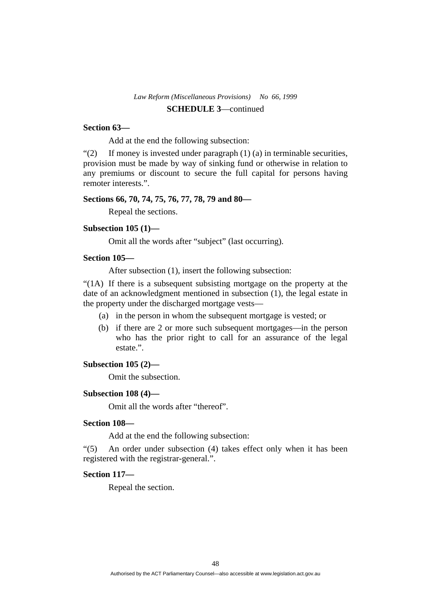### **Section 63—**

Add at the end the following subsection:

" $(2)$  If money is invested under paragraph  $(1)$   $(a)$  in terminable securities, provision must be made by way of sinking fund or otherwise in relation to any premiums or discount to secure the full capital for persons having remoter interests.".

#### **Sections 66, 70, 74, 75, 76, 77, 78, 79 and 80—**

Repeal the sections.

### **Subsection 105 (1)—**

Omit all the words after "subject" (last occurring).

### **Section 105—**

After subsection (1), insert the following subsection:

"(1A) If there is a subsequent subsisting mortgage on the property at the date of an acknowledgment mentioned in subsection (1), the legal estate in the property under the discharged mortgage vests—

- (a) in the person in whom the subsequent mortgage is vested; or
- (b) if there are 2 or more such subsequent mortgages—in the person who has the prior right to call for an assurance of the legal estate.".

#### **Subsection 105 (2)—**

Omit the subsection.

### **Subsection 108 (4)—**

Omit all the words after "thereof".

### **Section 108—**

Add at the end the following subsection:

"(5) An order under subsection (4) takes effect only when it has been registered with the registrar-general.".

### **Section 117—**

Repeal the section.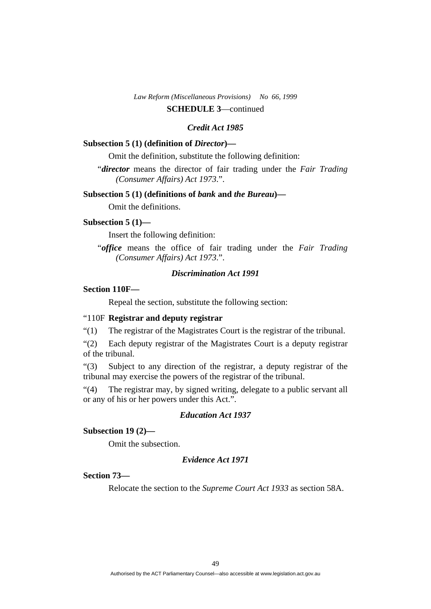## *Credit Act 1985*

### **Subsection 5 (1) (definition of** *Director***)—**

Omit the definition, substitute the following definition:

"*director* means the director of fair trading under the *Fair Trading (Consumer Affairs) Act 1973*.".

## **Subsection 5 (1) (definitions of** *bank* **and** *the Bureau***)—**

Omit the definitions.

#### **Subsection 5 (1)—**

Insert the following definition:

"*office* means the office of fair trading under the *Fair Trading (Consumer Affairs) Act 1973*.".

## *Discrimination Act 1991*

## **Section 110F—**

Repeal the section, substitute the following section:

### "110F **Registrar and deputy registrar**

"(1) The registrar of the Magistrates Court is the registrar of the tribunal.

"(2) Each deputy registrar of the Magistrates Court is a deputy registrar of the tribunal.

"(3) Subject to any direction of the registrar, a deputy registrar of the tribunal may exercise the powers of the registrar of the tribunal.

"(4) The registrar may, by signed writing, delegate to a public servant all or any of his or her powers under this Act.".

## *Education Act 1937*

## **Subsection 19 (2)—**

Omit the subsection.

### *Evidence Act 1971*

## **Section 73—**

Relocate the section to the *Supreme Court Act 1933* as section 58A.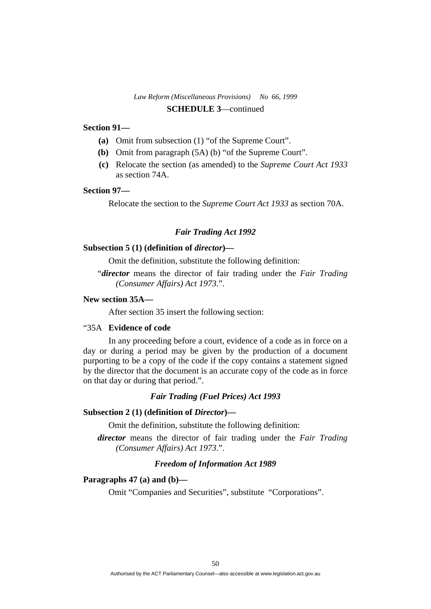### **Section 91—**

- **(a)** Omit from subsection (1) "of the Supreme Court".
- **(b)** Omit from paragraph (5A) (b) "of the Supreme Court".
- **(c)** Relocate the section (as amended) to the *Supreme Court Act 1933* as section 74A.

## **Section 97—**

Relocate the section to the *Supreme Court Act 1933* as section 70A.

## *Fair Trading Act 1992*

### **Subsection 5 (1) (definition of** *director***)—**

Omit the definition, substitute the following definition:

"*director* means the director of fair trading under the *Fair Trading (Consumer Affairs) Act 1973*.".

## **New section 35A—**

After section 35 insert the following section:

### "35A **Evidence of code**

 In any proceeding before a court, evidence of a code as in force on a day or during a period may be given by the production of a document purporting to be a copy of the code if the copy contains a statement signed by the director that the document is an accurate copy of the code as in force on that day or during that period.".

### *Fair Trading (Fuel Prices) Act 1993*

#### **Subsection 2 (1) (definition of** *Director***)—**

Omit the definition, substitute the following definition:

*director* means the director of fair trading under the *Fair Trading (Consumer Affairs) Act 1973*.".

## *Freedom of Information Act 1989*

### **Paragraphs 47 (a) and (b)—**

Omit "Companies and Securities", substitute "Corporations".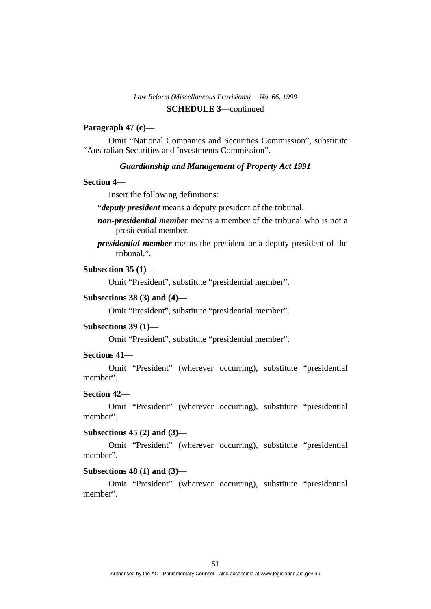## **Paragraph 47 (c)—**

 Omit "National Companies and Securities Commission", substitute "Australian Securities and Investments Commission".

### *Guardianship and Management of Property Act 1991*

### **Section 4—**

Insert the following definitions:

"*deputy president* means a deputy president of the tribunal.

- *non-presidential member* means a member of the tribunal who is not a presidential member.
- *presidential member* means the president or a deputy president of the tribunal.".

## **Subsection 35 (1)—**

Omit "President", substitute "presidential member".

### **Subsections 38 (3) and (4)—**

Omit "President", substitute "presidential member".

#### **Subsections 39 (1)—**

Omit "President", substitute "presidential member".

### **Sections 41—**

 Omit "President" (wherever occurring), substitute "presidential member".

## **Section 42—**

 Omit "President" (wherever occurring), substitute "presidential member".

## **Subsections 45 (2) and (3)—**

 Omit "President" (wherever occurring), substitute "presidential member".

### **Subsections 48 (1) and (3)—**

 Omit "President" (wherever occurring), substitute "presidential member".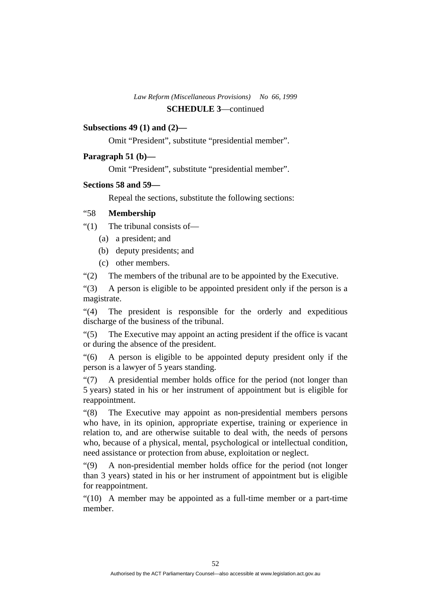## **SCHEDULE 3**—continued

## **Subsections 49 (1) and (2)—**

Omit "President", substitute "presidential member".

## **Paragraph 51 (b)—**

Omit "President", substitute "presidential member".

## **Sections 58 and 59—**

Repeal the sections, substitute the following sections:

## "58 **Membership**

"(1) The tribunal consists of—

- (a) a president; and
- (b) deputy presidents; and
- (c) other members.

"(2) The members of the tribunal are to be appointed by the Executive.

"(3) A person is eligible to be appointed president only if the person is a magistrate.

"(4) The president is responsible for the orderly and expeditious discharge of the business of the tribunal.

"(5) The Executive may appoint an acting president if the office is vacant or during the absence of the president.

"(6) A person is eligible to be appointed deputy president only if the person is a lawyer of 5 years standing.

"(7) A presidential member holds office for the period (not longer than 5 years) stated in his or her instrument of appointment but is eligible for reappointment.

"(8) The Executive may appoint as non-presidential members persons who have, in its opinion, appropriate expertise, training or experience in relation to, and are otherwise suitable to deal with, the needs of persons who, because of a physical, mental, psychological or intellectual condition, need assistance or protection from abuse, exploitation or neglect.

"(9) A non-presidential member holds office for the period (not longer than 3 years) stated in his or her instrument of appointment but is eligible for reappointment.

"(10) A member may be appointed as a full-time member or a part-time member.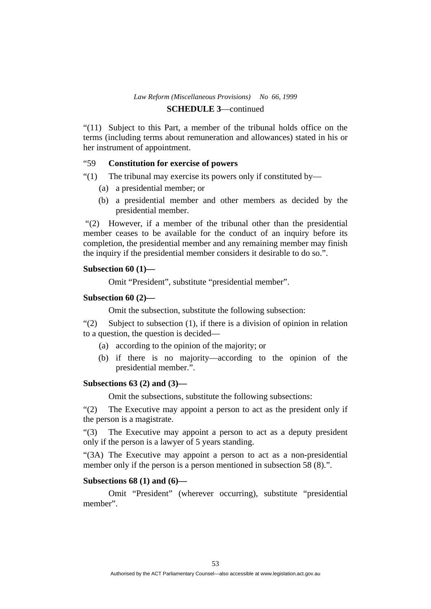## **SCHEDULE 3**—continued

"(11) Subject to this Part, a member of the tribunal holds office on the terms (including terms about remuneration and allowances) stated in his or her instrument of appointment.

## "59 **Constitution for exercise of powers**

"(1) The tribunal may exercise its powers only if constituted by—

- (a) a presidential member; or
- (b) a presidential member and other members as decided by the presidential member.

 "(2) However, if a member of the tribunal other than the presidential member ceases to be available for the conduct of an inquiry before its completion, the presidential member and any remaining member may finish the inquiry if the presidential member considers it desirable to do so.".

### **Subsection 60 (1)—**

Omit "President", substitute "presidential member".

### **Subsection 60 (2)—**

Omit the subsection, substitute the following subsection:

"(2) Subject to subsection (1), if there is a division of opinion in relation to a question, the question is decided—

- (a) according to the opinion of the majority; or
- (b) if there is no majority—according to the opinion of the presidential member.".

## **Subsections 63 (2) and (3)—**

Omit the subsections, substitute the following subsections:

"(2) The Executive may appoint a person to act as the president only if the person is a magistrate.

"(3) The Executive may appoint a person to act as a deputy president only if the person is a lawyer of 5 years standing.

"(3A) The Executive may appoint a person to act as a non-presidential member only if the person is a person mentioned in subsection 58 (8).".

## **Subsections 68 (1) and (6)—**

 Omit "President" (wherever occurring), substitute "presidential member".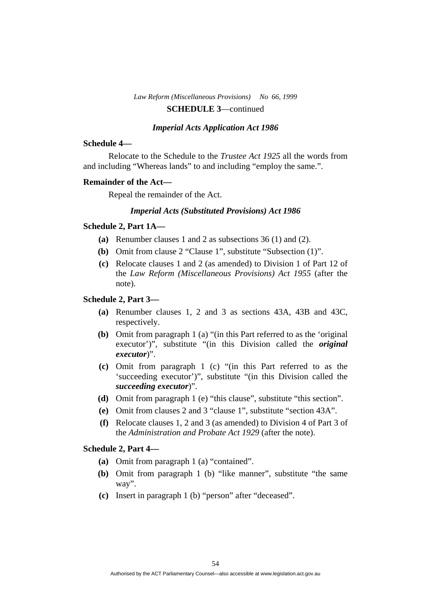#### *Imperial Acts Application Act 1986*

#### **Schedule 4—**

 Relocate to the Schedule to the *Trustee Act 1925* all the words from and including "Whereas lands" to and including "employ the same.".

#### **Remainder of the Act—**

Repeal the remainder of the Act.

## *Imperial Acts (Substituted Provisions) Act 1986*

## **Schedule 2, Part 1A—**

- **(a)** Renumber clauses 1 and 2 as subsections 36 (1) and (2).
- **(b)** Omit from clause 2 "Clause 1", substitute "Subsection (1)".
- **(c)** Relocate clauses 1 and 2 (as amended) to Division 1 of Part 12 of the *Law Reform (Miscellaneous Provisions) Act 1955* (after the note).

## **Schedule 2, Part 3—**

- **(a)** Renumber clauses 1, 2 and 3 as sections 43A, 43B and 43C, respectively.
- **(b)** Omit from paragraph 1 (a) "(in this Part referred to as the 'original executor')", substitute "(in this Division called the *original executor*)".
- **(c)** Omit from paragraph 1 (c) "(in this Part referred to as the 'succeeding executor')", substitute "(in this Division called the *succeeding executor*)".
- **(d)** Omit from paragraph 1 (e) "this clause", substitute "this section".
- **(e)** Omit from clauses 2 and 3 "clause 1", substitute "section 43A".
- **(f)** Relocate clauses 1, 2 and 3 (as amended) to Division 4 of Part 3 of the *Administration and Probate Act 1929* (after the note).

## **Schedule 2, Part 4—**

- **(a)** Omit from paragraph 1 (a) "contained".
- **(b)** Omit from paragraph 1 (b) "like manner", substitute "the same way".
- **(c)** Insert in paragraph 1 (b) "person" after "deceased".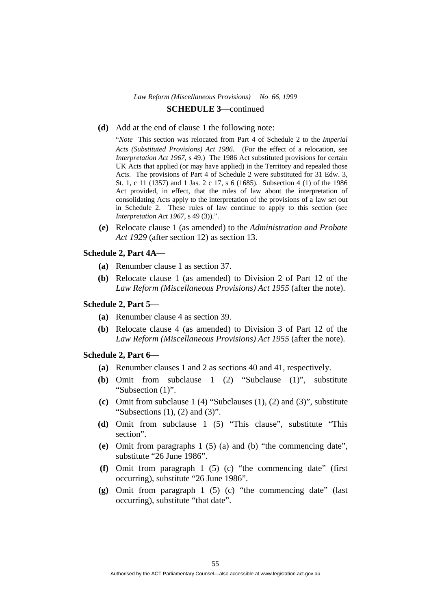**(d)** Add at the end of clause 1 the following note:

"*Note* This section was relocated from Part 4 of Schedule 2 to the *Imperial Acts (Substituted Provisions) Act 1986*. (For the effect of a relocation, see *Interpretation Act 1967*, s 49.) The 1986 Act substituted provisions for certain UK Acts that applied (or may have applied) in the Territory and repealed those Acts. The provisions of Part 4 of Schedule 2 were substituted for 31 Edw. 3, St. 1, c 11 (1357) and 1 Jas. 2 c 17, s 6 (1685). Subsection 4 (1) of the 1986 Act provided, in effect, that the rules of law about the interpretation of consolidating Acts apply to the interpretation of the provisions of a law set out in Schedule 2. These rules of law continue to apply to this section (see *Interpretation Act 1967*, s 49 (3)).".

**(e)** Relocate clause 1 (as amended) to the *Administration and Probate Act 1929* (after section 12) as section 13.

## **Schedule 2, Part 4A—**

- **(a)** Renumber clause 1 as section 37.
- **(b)** Relocate clause 1 (as amended) to Division 2 of Part 12 of the *Law Reform (Miscellaneous Provisions) Act 1955* (after the note).

#### **Schedule 2, Part 5—**

- **(a)** Renumber clause 4 as section 39.
- **(b)** Relocate clause 4 (as amended) to Division 3 of Part 12 of the *Law Reform (Miscellaneous Provisions) Act 1955* (after the note).

#### **Schedule 2, Part 6—**

- **(a)** Renumber clauses 1 and 2 as sections 40 and 41, respectively.
- **(b)** Omit from subclause 1 (2) "Subclause (1)", substitute "Subsection (1)".
- **(c)** Omit from subclause 1 (4) "Subclauses (1), (2) and (3)", substitute "Subsections  $(1)$ ,  $(2)$  and  $(3)$ ".
- **(d)** Omit from subclause 1 (5) "This clause", substitute "This section".
- **(e)** Omit from paragraphs 1 (5) (a) and (b) "the commencing date", substitute "26 June 1986".
- **(f)** Omit from paragraph 1 (5) (c) "the commencing date" (first occurring), substitute "26 June 1986".
- **(g)** Omit from paragraph 1 (5) (c) "the commencing date" (last occurring), substitute "that date".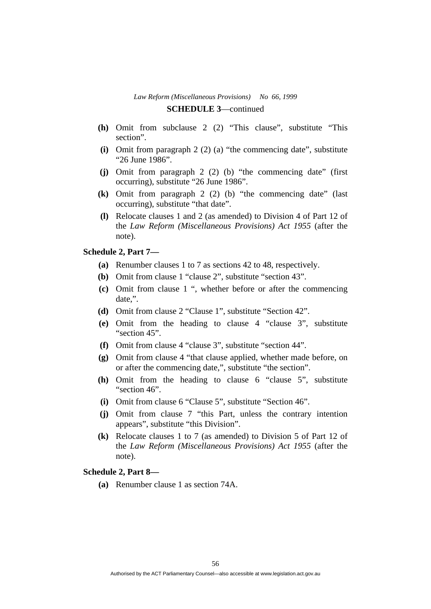- **(h)** Omit from subclause 2 (2) "This clause", substitute "This section".
- **(i)** Omit from paragraph 2 (2) (a) "the commencing date", substitute "26 June 1986".
- **(j)** Omit from paragraph 2 (2) (b) "the commencing date" (first occurring), substitute "26 June 1986".
- **(k)** Omit from paragraph 2 (2) (b) "the commencing date" (last occurring), substitute "that date".
- **(l)** Relocate clauses 1 and 2 (as amended) to Division 4 of Part 12 of the *Law Reform (Miscellaneous Provisions) Act 1955* (after the note).

## **Schedule 2, Part 7—**

- **(a)** Renumber clauses 1 to 7 as sections 42 to 48, respectively.
- **(b)** Omit from clause 1 "clause 2", substitute "section 43".
- **(c)** Omit from clause 1 ", whether before or after the commencing date,".
- **(d)** Omit from clause 2 "Clause 1", substitute "Section 42".
- **(e)** Omit from the heading to clause 4 "clause 3", substitute "section 45".
- **(f)** Omit from clause 4 "clause 3", substitute "section 44".
- **(g)** Omit from clause 4 "that clause applied, whether made before, on or after the commencing date,", substitute "the section".
- **(h)** Omit from the heading to clause 6 "clause 5", substitute "section 46".
- **(i)** Omit from clause 6 "Clause 5", substitute "Section 46".
- **(j)** Omit from clause 7 "this Part, unless the contrary intention appears", substitute "this Division".
- **(k)** Relocate clauses 1 to 7 (as amended) to Division 5 of Part 12 of the *Law Reform (Miscellaneous Provisions) Act 1955* (after the note).

### **Schedule 2, Part 8—**

**(a)** Renumber clause 1 as section 74A.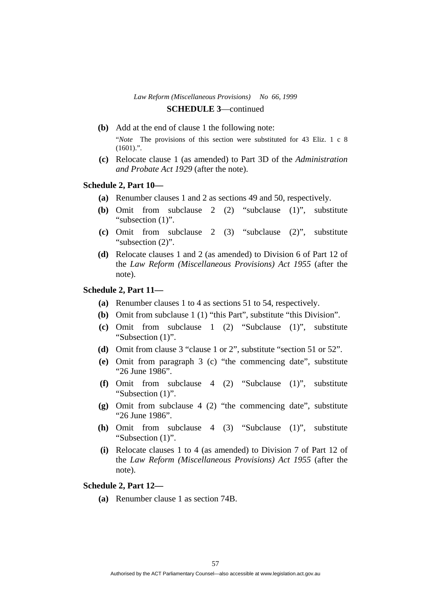- **(b)** Add at the end of clause 1 the following note: "*Note* The provisions of this section were substituted for 43 Eliz. 1 c 8  $(1601)$ .".
- **(c)** Relocate clause 1 (as amended) to Part 3D of the *Administration and Probate Act 1929* (after the note).

### **Schedule 2, Part 10—**

- **(a)** Renumber clauses 1 and 2 as sections 49 and 50, respectively.
- **(b)** Omit from subclause 2 (2) "subclause (1)", substitute "subsection  $(1)$ ".
- **(c)** Omit from subclause 2 (3) "subclause (2)", substitute "subsection  $(2)$ ".
- **(d)** Relocate clauses 1 and 2 (as amended) to Division 6 of Part 12 of the *Law Reform (Miscellaneous Provisions) Act 1955* (after the note).

### **Schedule 2, Part 11—**

- **(a)** Renumber clauses 1 to 4 as sections 51 to 54, respectively.
- **(b)** Omit from subclause 1 (1) "this Part", substitute "this Division".
- **(c)** Omit from subclause 1 (2) "Subclause (1)", substitute "Subsection  $(1)$ ".
- **(d)** Omit from clause 3 "clause 1 or 2", substitute "section 51 or 52".
- **(e)** Omit from paragraph 3 (c) "the commencing date", substitute "26 June 1986".
- **(f)** Omit from subclause 4 (2) "Subclause (1)", substitute "Subsection (1)".
- **(g)** Omit from subclause 4 (2) "the commencing date", substitute "26 June 1986".
- **(h)** Omit from subclause 4 (3) "Subclause (1)", substitute "Subsection (1)".
- **(i)** Relocate clauses 1 to 4 (as amended) to Division 7 of Part 12 of the *Law Reform (Miscellaneous Provisions) Act 1955* (after the note).

## **Schedule 2, Part 12—**

**(a)** Renumber clause 1 as section 74B.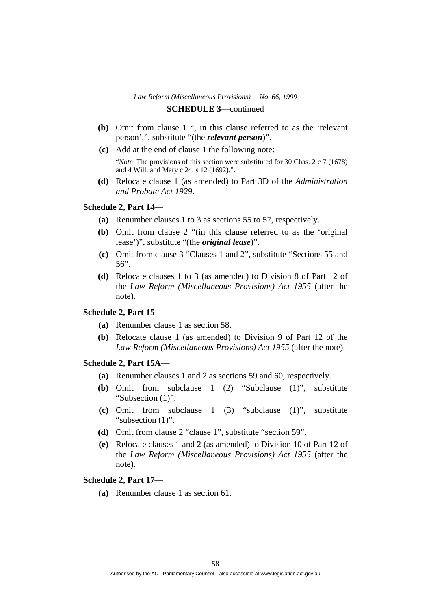- **(b)** Omit from clause 1 ", in this clause referred to as the 'relevant person',", substitute "(the *relevant person*)".
- **(c)** Add at the end of clause 1 the following note: "*Note* The provisions of this section were substituted for 30 Chas. 2 c 7 (1678) and 4 Will. and Mary c 24, s 12 (1692).".
- **(d)** Relocate clause 1 (as amended) to Part 3D of the *Administration and Probate Act 1929*.

### **Schedule 2, Part 14—**

- **(a)** Renumber clauses 1 to 3 as sections 55 to 57, respectively.
- **(b)** Omit from clause 2 "(in this clause referred to as the 'original lease')", substitute "(the *original lease*)".
- **(c)** Omit from clause 3 "Clauses 1 and 2", substitute "Sections 55 and 56".
- **(d)** Relocate clauses 1 to 3 (as amended) to Division 8 of Part 12 of the *Law Reform (Miscellaneous Provisions) Act 1955* (after the note).

### **Schedule 2, Part 15—**

- **(a)** Renumber clause 1 as section 58.
- **(b)** Relocate clause 1 (as amended) to Division 9 of Part 12 of the *Law Reform (Miscellaneous Provisions) Act 1955* (after the note).

## **Schedule 2, Part 15A—**

- **(a)** Renumber clauses 1 and 2 as sections 59 and 60, respectively.
- **(b)** Omit from subclause 1 (2) "Subclause (1)", substitute "Subsection (1)".
- **(c)** Omit from subclause 1 (3) "subclause (1)", substitute "subsection (1)".
- **(d)** Omit from clause 2 "clause 1", substitute "section 59".
- **(e)** Relocate clauses 1 and 2 (as amended) to Division 10 of Part 12 of the *Law Reform (Miscellaneous Provisions) Act 1955* (after the note).

### **Schedule 2, Part 17—**

**(a)** Renumber clause 1 as section 61.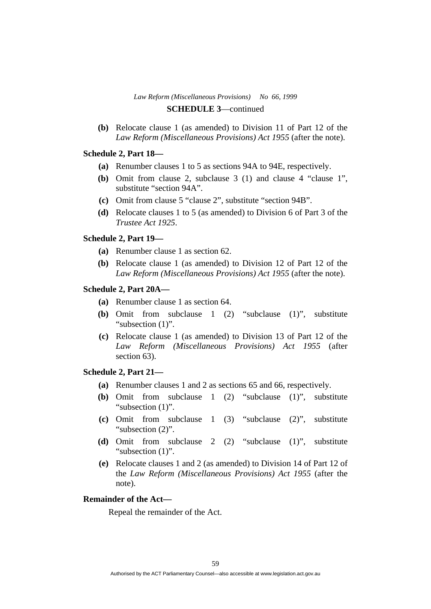**(b)** Relocate clause 1 (as amended) to Division 11 of Part 12 of the *Law Reform (Miscellaneous Provisions) Act 1955* (after the note).

## **Schedule 2, Part 18—**

- **(a)** Renumber clauses 1 to 5 as sections 94A to 94E, respectively.
- **(b)** Omit from clause 2, subclause 3 (1) and clause 4 "clause 1", substitute "section 94A".
- **(c)** Omit from clause 5 "clause 2", substitute "section 94B".
- **(d)** Relocate clauses 1 to 5 (as amended) to Division 6 of Part 3 of the *Trustee Act 1925*.

### **Schedule 2, Part 19—**

- **(a)** Renumber clause 1 as section 62.
- **(b)** Relocate clause 1 (as amended) to Division 12 of Part 12 of the *Law Reform (Miscellaneous Provisions) Act 1955* (after the note).

### **Schedule 2, Part 20A—**

- **(a)** Renumber clause 1 as section 64.
- **(b)** Omit from subclause 1 (2) "subclause (1)", substitute "subsection (1)".
- **(c)** Relocate clause 1 (as amended) to Division 13 of Part 12 of the *Law Reform (Miscellaneous Provisions) Act 1955* (after section 63).

## **Schedule 2, Part 21—**

- **(a)** Renumber clauses 1 and 2 as sections 65 and 66, respectively.
- **(b)** Omit from subclause 1 (2) "subclause (1)", substitute "subsection (1)".
- **(c)** Omit from subclause 1 (3) "subclause (2)", substitute "subsection (2)".
- **(d)** Omit from subclause 2 (2) "subclause (1)", substitute "subsection  $(1)$ ".
- **(e)** Relocate clauses 1 and 2 (as amended) to Division 14 of Part 12 of the *Law Reform (Miscellaneous Provisions) Act 1955* (after the note).

#### **Remainder of the Act—**

Repeal the remainder of the Act.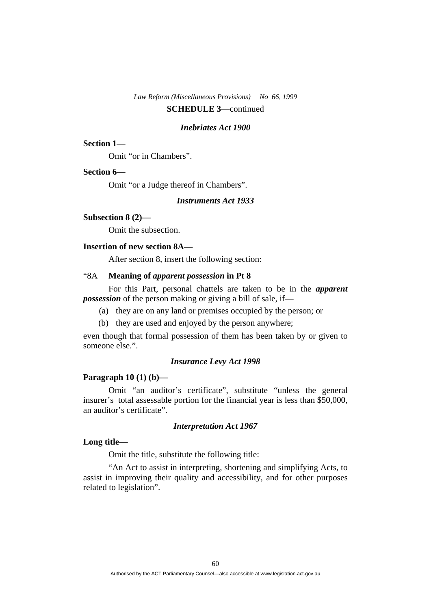#### *Inebriates Act 1900*

### **Section 1—**

Omit "or in Chambers".

#### **Section 6—**

Omit "or a Judge thereof in Chambers".

## *Instruments Act 1933*

### **Subsection 8 (2)—**

Omit the subsection.

### **Insertion of new section 8A—**

After section 8, insert the following section:

## "8A **Meaning of** *apparent possession* **in Pt 8**

 For this Part, personal chattels are taken to be in the *apparent possession* of the person making or giving a bill of sale, if—

- (a) they are on any land or premises occupied by the person; or
- (b) they are used and enjoyed by the person anywhere;

even though that formal possession of them has been taken by or given to someone else.".

#### *Insurance Levy Act 1998*

### **Paragraph 10 (1) (b)—**

 Omit "an auditor's certificate", substitute "unless the general insurer's total assessable portion for the financial year is less than \$50,000, an auditor's certificate".

### *Interpretation Act 1967*

## **Long title—**

Omit the title, substitute the following title:

 "An Act to assist in interpreting, shortening and simplifying Acts, to assist in improving their quality and accessibility, and for other purposes related to legislation".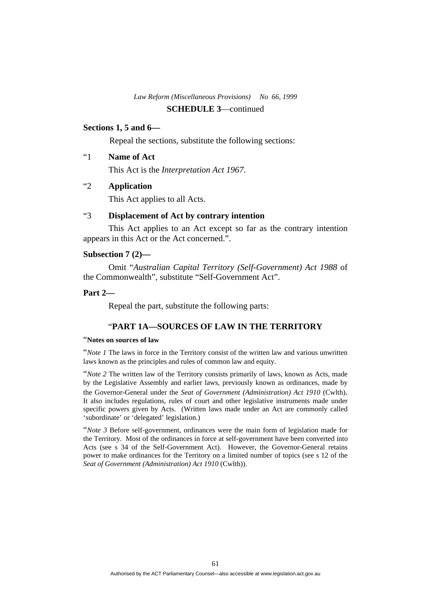## **SCHEDULE 3**—continued

## **Sections 1, 5 and 6—**

Repeal the sections, substitute the following sections:

## "1 **Name of Act**

This Act is the *Interpretation Act 1967*.

## "2 **Application**

This Act applies to all Acts.

## "3 **Displacement of Act by contrary intention**

 This Act applies to an Act except so far as the contrary intention appears in this Act or the Act concerned.".

## **Subsection 7 (2)—**

 Omit "*Australian Capital Territory (Self-Government) Act 1988* of the Commonwealth", substitute "Self-Government Act".

## **Part 2—**

Repeal the part, substitute the following parts:

## "**PART 1A—SOURCES OF LAW IN THE TERRITORY**

## "**Notes on sources of law**

"*Note 1* The laws in force in the Territory consist of the written law and various unwritten laws known as the principles and rules of common law and equity.

"*Note 2* The written law of the Territory consists primarily of laws, known as Acts, made by the Legislative Assembly and earlier laws, previously known as ordinances, made by the Governor-General under the *Seat of Government (Administration) Act 1910* (Cwlth). It also includes regulations, rules of court and other legislative instruments made under specific powers given by Acts. (Written laws made under an Act are commonly called 'subordinate' or 'delegated' legislation.)

"*Note 3* Before self-government, ordinances were the main form of legislation made for the Territory. Most of the ordinances in force at self-government have been converted into Acts (see s 34 of the Self-Government Act). However, the Governor-General retains power to make ordinances for the Territory on a limited number of topics (see s 12 of the *Seat of Government (Administration) Act 1910* (Cwlth)).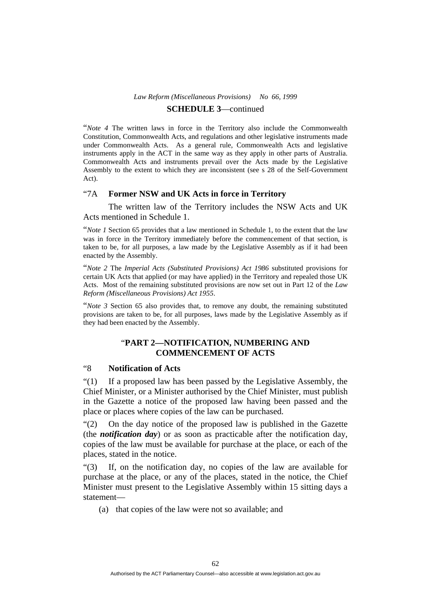## **SCHEDULE 3**—continued

"*Note 4* The written laws in force in the Territory also include the Commonwealth Constitution, Commonwealth Acts, and regulations and other legislative instruments made under Commonwealth Acts. As a general rule, Commonwealth Acts and legislative instruments apply in the ACT in the same way as they apply in other parts of Australia. Commonwealth Acts and instruments prevail over the Acts made by the Legislative Assembly to the extent to which they are inconsistent (see s 28 of the Self-Government Act).

## "7A **Former NSW and UK Acts in force in Territory**

 The written law of the Territory includes the NSW Acts and UK Acts mentioned in Schedule 1.

"*Note 1* Section 65 provides that a law mentioned in Schedule 1, to the extent that the law was in force in the Territory immediately before the commencement of that section, is taken to be, for all purposes, a law made by the Legislative Assembly as if it had been enacted by the Assembly.

"*Note 2* The *Imperial Acts (Substituted Provisions) Act 1986* substituted provisions for certain UK Acts that applied (or may have applied) in the Territory and repealed those UK Acts. Most of the remaining substituted provisions are now set out in Part 12 of the *Law Reform (Miscellaneous Provisions) Act 1955*.

"*Note 3* Section 65 also provides that, to remove any doubt, the remaining substituted provisions are taken to be, for all purposes, laws made by the Legislative Assembly as if they had been enacted by the Assembly.

## "**PART 2—NOTIFICATION, NUMBERING AND COMMENCEMENT OF ACTS**

## "8 **Notification of Acts**

"(1) If a proposed law has been passed by the Legislative Assembly, the Chief Minister, or a Minister authorised by the Chief Minister, must publish in the Gazette a notice of the proposed law having been passed and the place or places where copies of the law can be purchased.

"(2) On the day notice of the proposed law is published in the Gazette (the *notification day*) or as soon as practicable after the notification day, copies of the law must be available for purchase at the place, or each of the places, stated in the notice.

"(3) If, on the notification day, no copies of the law are available for purchase at the place, or any of the places, stated in the notice, the Chief Minister must present to the Legislative Assembly within 15 sitting days a statement—

(a) that copies of the law were not so available; and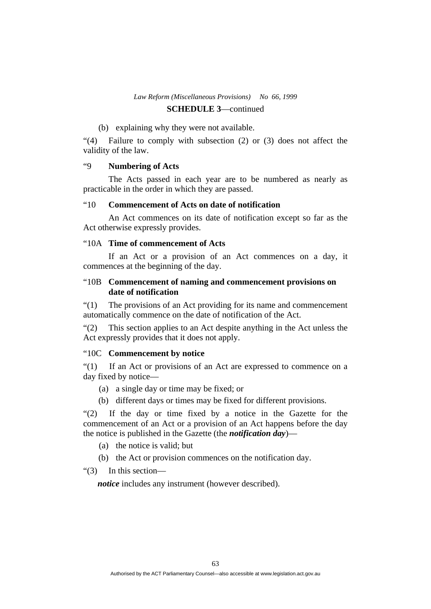## **SCHEDULE 3**—continued

## (b) explaining why they were not available.

"(4) Failure to comply with subsection (2) or (3) does not affect the validity of the law.

## "9 **Numbering of Acts**

 The Acts passed in each year are to be numbered as nearly as practicable in the order in which they are passed.

## "10 **Commencement of Acts on date of notification**

 An Act commences on its date of notification except so far as the Act otherwise expressly provides.

## "10A **Time of commencement of Acts**

 If an Act or a provision of an Act commences on a day, it commences at the beginning of the day.

## "10B **Commencement of naming and commencement provisions on date of notification**

"(1) The provisions of an Act providing for its name and commencement automatically commence on the date of notification of the Act.

"(2) This section applies to an Act despite anything in the Act unless the Act expressly provides that it does not apply.

### "10C **Commencement by notice**

"(1) If an Act or provisions of an Act are expressed to commence on a day fixed by notice—

- (a) a single day or time may be fixed; or
- (b) different days or times may be fixed for different provisions.

"(2) If the day or time fixed by a notice in the Gazette for the commencement of an Act or a provision of an Act happens before the day the notice is published in the Gazette (the *notification day*)—

- (a) the notice is valid; but
- (b) the Act or provision commences on the notification day.
- "(3) In this section—

*notice* includes any instrument (however described).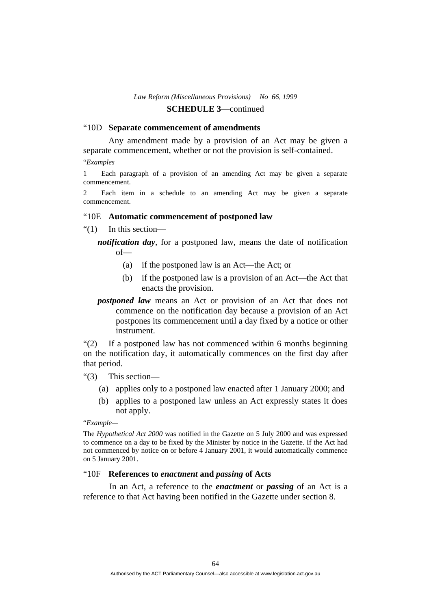#### "10D **Separate commencement of amendments**

 Any amendment made by a provision of an Act may be given a separate commencement, whether or not the provision is self-contained.

"*Examples* 

1 Each paragraph of a provision of an amending Act may be given a separate commencement.

2 Each item in a schedule to an amending Act may be given a separate commencement.

### "10E **Automatic commencement of postponed law**

"(1) In this section—

*notification day*, for a postponed law, means the date of notification of—

- (a) if the postponed law is an Act—the Act; or
- (b) if the postponed law is a provision of an Act—the Act that enacts the provision.
- *postponed law* means an Act or provision of an Act that does not commence on the notification day because a provision of an Act postpones its commencement until a day fixed by a notice or other instrument.

"(2) If a postponed law has not commenced within 6 months beginning on the notification day, it automatically commences on the first day after that period.

"(3) This section—

- (a) applies only to a postponed law enacted after 1 January 2000; and
- (b) applies to a postponed law unless an Act expressly states it does not apply.

"*Example—* 

The *Hypothetical Act 2000* was notified in the Gazette on 5 July 2000 and was expressed to commence on a day to be fixed by the Minister by notice in the Gazette. If the Act had not commenced by notice on or before 4 January 2001, it would automatically commence on 5 January 2001.

#### "10F **References to** *enactment* **and** *passing* **of Acts**

 In an Act, a reference to the *enactment* or *passing* of an Act is a reference to that Act having been notified in the Gazette under section 8.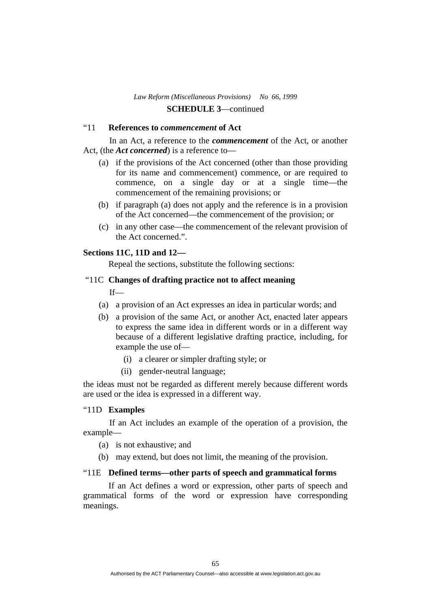## "11 **References to** *commencement* **of Act**

 In an Act, a reference to the *commencement* of the Act, or another Act, (the *Act concerned*) is a reference to—

- (a) if the provisions of the Act concerned (other than those providing for its name and commencement) commence, or are required to commence, on a single day or at a single time—the commencement of the remaining provisions; or
- (b) if paragraph (a) does not apply and the reference is in a provision of the Act concerned—the commencement of the provision; or
- (c) in any other case—the commencement of the relevant provision of the Act concerned.".

## **Sections 11C, 11D and 12—**

Repeal the sections, substitute the following sections:

## "11C **Changes of drafting practice not to affect meaning**

If—

- (a) a provision of an Act expresses an idea in particular words; and
- (b) a provision of the same Act, or another Act, enacted later appears to express the same idea in different words or in a different way because of a different legislative drafting practice, including, for example the use of—
	- (i) a clearer or simpler drafting style; or
	- (ii) gender-neutral language;

the ideas must not be regarded as different merely because different words are used or the idea is expressed in a different way.

### "11D **Examples**

 If an Act includes an example of the operation of a provision, the example—

- (a) is not exhaustive; and
- (b) may extend, but does not limit, the meaning of the provision.

## "11E **Defined terms—other parts of speech and grammatical forms**

If an Act defines a word or expression, other parts of speech and grammatical forms of the word or expression have corresponding meanings.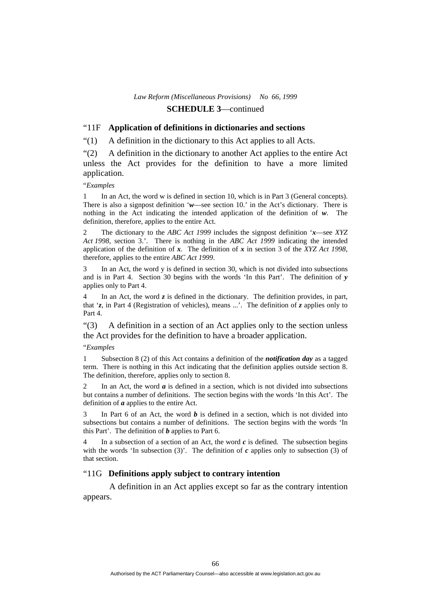### "11F **Application of definitions in dictionaries and sections**

"(1) A definition in the dictionary to this Act applies to all Acts.

"(2) A definition in the dictionary to another Act applies to the entire Act unless the Act provides for the definition to have a more limited application.

"*Examples* 

1 In an Act, the word w is defined in section 10, which is in Part 3 (General concepts). There is also a signpost definition '*w*—see section 10.' in the Act's dictionary. There is nothing in the Act indicating the intended application of the definition of *w*. The definition, therefore, applies to the entire Act.

2 The dictionary to the *ABC Act 1999* includes the signpost definition '*x*—see *XYZ Act 1998*, section 3.'. There is nothing in the *ABC Act 1999* indicating the intended application of the definition of *x*. The definition of *x* in section 3 of the *XYZ Act 1998*, therefore, applies to the entire *ABC Act 1999*.

3 In an Act, the word y is defined in section 30, which is not divided into subsections and is in Part 4. Section 30 begins with the words 'In this Part'. The definition of *y* applies only to Part 4.

4 In an Act, the word *z* is defined in the dictionary. The definition provides, in part, that '*z*, in Part 4 (Registration of vehicles), means ...'. The definition of *z* applies only to Part 4.

"(3) A definition in a section of an Act applies only to the section unless the Act provides for the definition to have a broader application.

#### "*Examples*

1 Subsection 8 (2) of this Act contains a definition of the *notification day* as a tagged term. There is nothing in this Act indicating that the definition applies outside section 8. The definition, therefore, applies only to section 8.

2 In an Act, the word  $\boldsymbol{a}$  is defined in a section, which is not divided into subsections but contains a number of definitions. The section begins with the words 'In this Act'. The definition of *a* applies to the entire Act.

3 In Part 6 of an Act, the word *b* is defined in a section, which is not divided into subsections but contains a number of definitions. The section begins with the words 'In this Part'. The definition of *b* applies to Part 6.

In a subsection of a section of an Act, the word  $c$  is defined. The subsection begins with the words 'In subsection  $(3)'$ . The definition of  $c$  applies only to subsection  $(3)$  of that section.

### "11G **Definitions apply subject to contrary intention**

 A definition in an Act applies except so far as the contrary intention appears.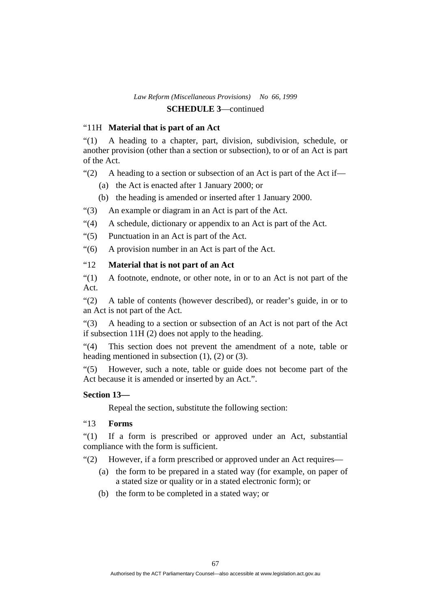## "11H **Material that is part of an Act**

"(1) A heading to a chapter, part, division, subdivision, schedule, or another provision (other than a section or subsection), to or of an Act is part of the Act.

"(2) A heading to a section or subsection of an Act is part of the Act if—

- (a) the Act is enacted after 1 January 2000; or
- (b) the heading is amended or inserted after 1 January 2000.
- "(3) An example or diagram in an Act is part of the Act.
- "(4) A schedule, dictionary or appendix to an Act is part of the Act.
- "(5) Punctuation in an Act is part of the Act.
- "(6) A provision number in an Act is part of the Act.

## "12 **Material that is not part of an Act**

"(1) A footnote, endnote, or other note, in or to an Act is not part of the Act.

"(2) A table of contents (however described), or reader's guide, in or to an Act is not part of the Act.

"(3) A heading to a section or subsection of an Act is not part of the Act if subsection 11H (2) does not apply to the heading.

"(4) This section does not prevent the amendment of a note, table or heading mentioned in subsection  $(1)$ ,  $(2)$  or  $(3)$ .

"(5) However, such a note, table or guide does not become part of the Act because it is amended or inserted by an Act.".

## **Section 13—**

Repeal the section, substitute the following section:

## "13 **Forms**

"(1) If a form is prescribed or approved under an Act, substantial compliance with the form is sufficient.

"(2) However, if a form prescribed or approved under an Act requires—

- (a) the form to be prepared in a stated way (for example, on paper of a stated size or quality or in a stated electronic form); or
- (b) the form to be completed in a stated way; or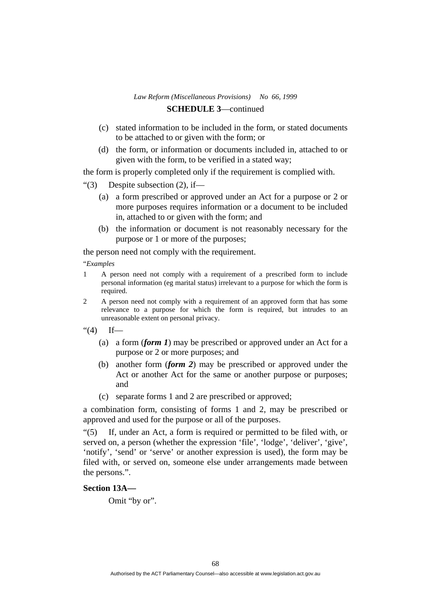- (c) stated information to be included in the form, or stated documents to be attached to or given with the form; or
- (d) the form, or information or documents included in, attached to or given with the form, to be verified in a stated way;

the form is properly completed only if the requirement is complied with.

"(3) Despite subsection  $(2)$ , if—

- (a) a form prescribed or approved under an Act for a purpose or 2 or more purposes requires information or a document to be included in, attached to or given with the form; and
- (b) the information or document is not reasonably necessary for the purpose or 1 or more of the purposes;

the person need not comply with the requirement.

"*Examples* 

- 1 A person need not comply with a requirement of a prescribed form to include personal information (eg marital status) irrelevant to a purpose for which the form is required.
- 2 A person need not comply with a requirement of an approved form that has some relevance to a purpose for which the form is required, but intrudes to an unreasonable extent on personal privacy.
- " $(4)$  If—
	- (a) a form (*form 1*) may be prescribed or approved under an Act for a purpose or 2 or more purposes; and
	- (b) another form (*form 2*) may be prescribed or approved under the Act or another Act for the same or another purpose or purposes; and
	- (c) separate forms 1 and 2 are prescribed or approved;

a combination form, consisting of forms 1 and 2, may be prescribed or approved and used for the purpose or all of the purposes.

"(5) If, under an Act, a form is required or permitted to be filed with, or served on, a person (whether the expression 'file', 'lodge', 'deliver', 'give', 'notify', 'send' or 'serve' or another expression is used), the form may be filed with, or served on, someone else under arrangements made between the persons.".

## **Section 13A—**

Omit "by or".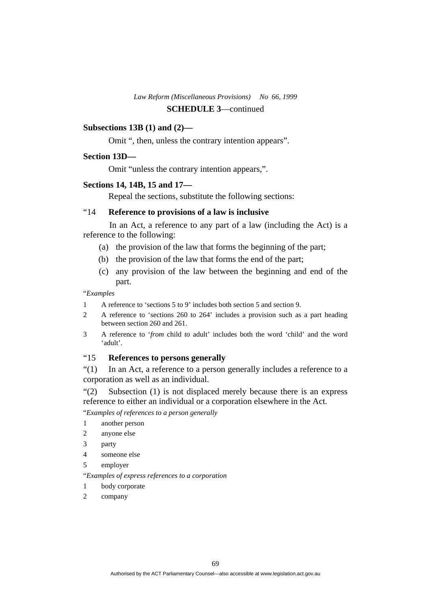## **SCHEDULE 3**—continued

## **Subsections 13B (1) and (2)—**

Omit ", then, unless the contrary intention appears".

### **Section 13D—**

Omit "unless the contrary intention appears,".

### **Sections 14, 14B, 15 and 17—**

Repeal the sections, substitute the following sections:

## "14 **Reference to provisions of a law is inclusive**

In an Act, a reference to any part of a law (including the Act) is a reference to the following:

- (a) the provision of the law that forms the beginning of the part;
- (b) the provision of the law that forms the end of the part;
- (c) any provision of the law between the beginning and end of the part.

"*Examples* 

- 1 A reference to 'sections 5 to 9' includes both section 5 and section 9.
- 2 A reference to 'sections 260 to 264' includes a provision such as a part heading between section 260 and 261.
- 3 A reference to '*from* child *to* adult' includes both the word 'child' and the word 'adult'.

### "15 **References to persons generally**

"(1) In an Act, a reference to a person generally includes a reference to a corporation as well as an individual.

"(2) Subsection (1) is not displaced merely because there is an express reference to either an individual or a corporation elsewhere in the Act.

"*Examples of references to a person generally* 

- 1 another person
- 2 anyone else
- 3 party
- 4 someone else
- 5 employer

"*Examples of express references to a corporation* 

- 1 body corporate
- 2 company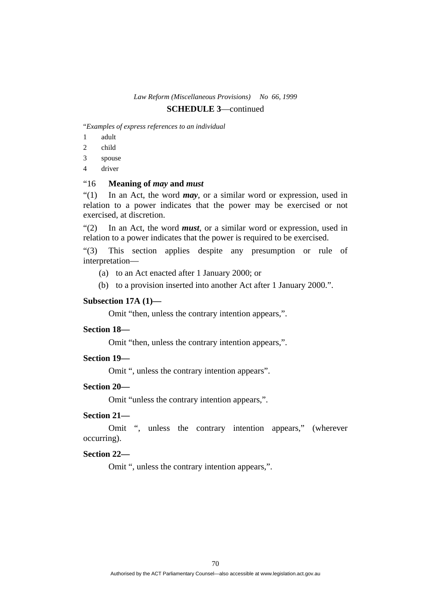## **SCHEDULE 3**—continued

"*Examples of express references to an individual* 

- 1 adult
- 2 child
- 3 spouse
- 4 driver

## "16 **Meaning of** *may* **and** *must*

"(1) In an Act, the word *may*, or a similar word or expression, used in relation to a power indicates that the power may be exercised or not exercised, at discretion.

"(2) In an Act, the word *must*, or a similar word or expression, used in relation to a power indicates that the power is required to be exercised.

"(3) This section applies despite any presumption or rule of interpretation—

- (a) to an Act enacted after 1 January 2000; or
- (b) to a provision inserted into another Act after 1 January 2000.".

#### **Subsection 17A (1)—**

Omit "then, unless the contrary intention appears,".

## **Section 18—**

Omit "then, unless the contrary intention appears,".

### **Section 19—**

Omit ", unless the contrary intention appears".

#### **Section 20—**

Omit "unless the contrary intention appears,".

### **Section 21—**

 Omit ", unless the contrary intention appears," (wherever occurring).

#### **Section 22—**

Omit ", unless the contrary intention appears,".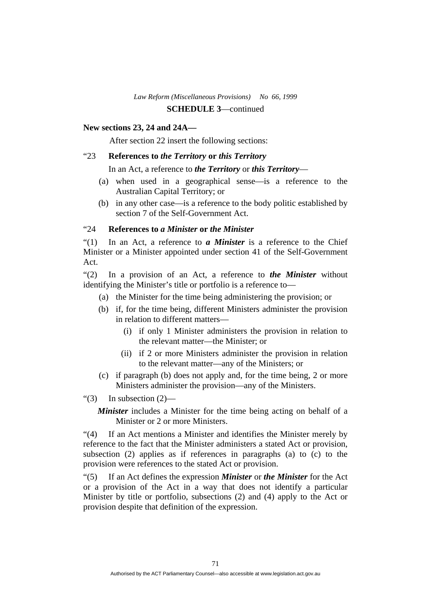## **New sections 23, 24 and 24A—**

After section 22 insert the following sections:

## "23 **References to** *the Territory* **or** *this Territory*

In an Act, a reference to *the Territory* or *this Territory*—

- (a) when used in a geographical sense—is a reference to the Australian Capital Territory; or
- (b) in any other case—is a reference to the body politic established by section 7 of the Self-Government Act.

## "24 **References to** *a Minister* **or** *the Minister*

"(1) In an Act, a reference to *a Minister* is a reference to the Chief Minister or a Minister appointed under section 41 of the Self-Government Act.

"(2) In a provision of an Act, a reference to *the Minister* without identifying the Minister's title or portfolio is a reference to—

- (a) the Minister for the time being administering the provision; or
- (b) if, for the time being, different Ministers administer the provision in relation to different matters—
	- (i) if only 1 Minister administers the provision in relation to the relevant matter—the Minister; or
	- (ii) if 2 or more Ministers administer the provision in relation to the relevant matter—any of the Ministers; or
- (c) if paragraph (b) does not apply and, for the time being, 2 or more Ministers administer the provision—any of the Ministers.
- "(3) In subsection  $(2)$ —

*Minister* includes a Minister for the time being acting on behalf of a Minister or 2 or more Ministers.

"(4) If an Act mentions a Minister and identifies the Minister merely by reference to the fact that the Minister administers a stated Act or provision, subsection (2) applies as if references in paragraphs (a) to (c) to the provision were references to the stated Act or provision.

"(5) If an Act defines the expression *Minister* or *the Minister* for the Act or a provision of the Act in a way that does not identify a particular Minister by title or portfolio, subsections (2) and (4) apply to the Act or provision despite that definition of the expression.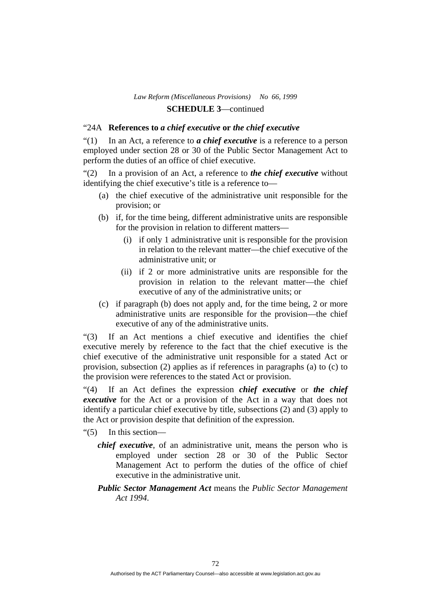## "24A **References to** *a chief executive* **or** *the chief executive*

"(1) In an Act, a reference to *a chief executive* is a reference to a person employed under section 28 or 30 of the Public Sector Management Act to perform the duties of an office of chief executive.

"(2) In a provision of an Act, a reference to *the chief executive* without identifying the chief executive's title is a reference to—

- (a) the chief executive of the administrative unit responsible for the provision; or
- (b) if, for the time being, different administrative units are responsible for the provision in relation to different matters—
	- (i) if only 1 administrative unit is responsible for the provision in relation to the relevant matter—the chief executive of the administrative unit; or
	- (ii) if 2 or more administrative units are responsible for the provision in relation to the relevant matter—the chief executive of any of the administrative units; or
- (c) if paragraph (b) does not apply and, for the time being, 2 or more administrative units are responsible for the provision—the chief executive of any of the administrative units.

"(3) If an Act mentions a chief executive and identifies the chief executive merely by reference to the fact that the chief executive is the chief executive of the administrative unit responsible for a stated Act or provision, subsection (2) applies as if references in paragraphs (a) to (c) to the provision were references to the stated Act or provision.

"(4) If an Act defines the expression *chief executive* or *the chief executive* for the Act or a provision of the Act in a way that does not identify a particular chief executive by title, subsections (2) and (3) apply to the Act or provision despite that definition of the expression.

- "(5) In this section
	- *chief executive*, of an administrative unit, means the person who is employed under section 28 or 30 of the Public Sector Management Act to perform the duties of the office of chief executive in the administrative unit.

*Public Sector Management Act* means the *Public Sector Management Act 1994*.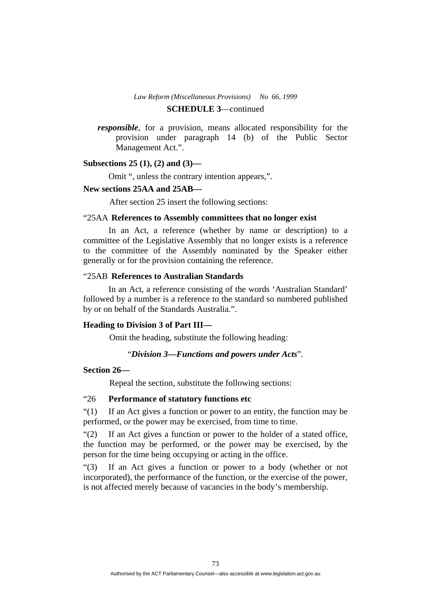#### **SCHEDULE 3**—continued

*responsible*, for a provision, means allocated responsibility for the provision under paragraph 14 (b) of the Public Sector Management Act.".

#### **Subsections 25 (1), (2) and (3)—**

Omit ", unless the contrary intention appears,".

#### **New sections 25AA and 25AB—**

After section 25 insert the following sections:

#### "25AA **References to Assembly committees that no longer exist**

 In an Act, a reference (whether by name or description) to a committee of the Legislative Assembly that no longer exists is a reference to the committee of the Assembly nominated by the Speaker either generally or for the provision containing the reference.

#### "25AB **References to Australian Standards**

 In an Act, a reference consisting of the words 'Australian Standard' followed by a number is a reference to the standard so numbered published by or on behalf of the Standards Australia.".

#### **Heading to Division 3 of Part III—**

Omit the heading, substitute the following heading:

#### "*Division 3—Functions and powers under Acts*"*.*

#### **Section 26—**

Repeal the section, substitute the following sections:

#### "26 **Performance of statutory functions etc**

"(1) If an Act gives a function or power to an entity, the function may be performed, or the power may be exercised, from time to time.

"(2) If an Act gives a function or power to the holder of a stated office, the function may be performed, or the power may be exercised, by the person for the time being occupying or acting in the office.

"(3) If an Act gives a function or power to a body (whether or not incorporated), the performance of the function, or the exercise of the power, is not affected merely because of vacancies in the body's membership.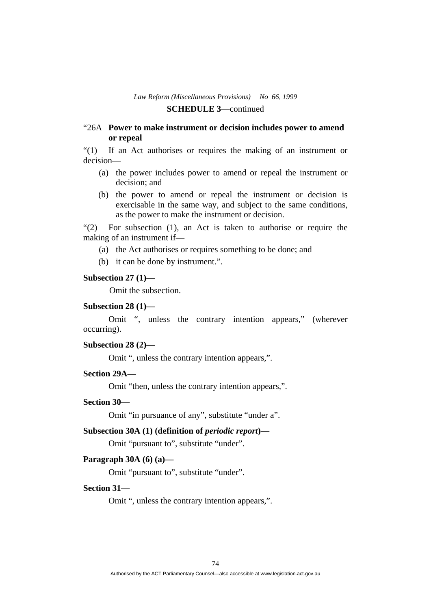#### "26A **Power to make instrument or decision includes power to amend or repeal**

"(1) If an Act authorises or requires the making of an instrument or decision—

- (a) the power includes power to amend or repeal the instrument or decision; and
- (b) the power to amend or repeal the instrument or decision is exercisable in the same way, and subject to the same conditions, as the power to make the instrument or decision.

"(2) For subsection (1), an Act is taken to authorise or require the making of an instrument if—

- (a) the Act authorises or requires something to be done; and
- (b) it can be done by instrument.".

#### **Subsection 27 (1)—**

Omit the subsection.

## **Subsection 28 (1)—**

 Omit ", unless the contrary intention appears," (wherever occurring).

#### **Subsection 28 (2)—**

Omit ", unless the contrary intention appears,".

#### **Section 29A—**

Omit "then, unless the contrary intention appears,".

#### **Section 30—**

Omit "in pursuance of any", substitute "under a".

#### Subsection 30A (1) (definition of *periodic report*)—

Omit "pursuant to", substitute "under".

#### **Paragraph 30A (6) (a)—**

Omit "pursuant to", substitute "under".

#### **Section 31—**

Omit ", unless the contrary intention appears,".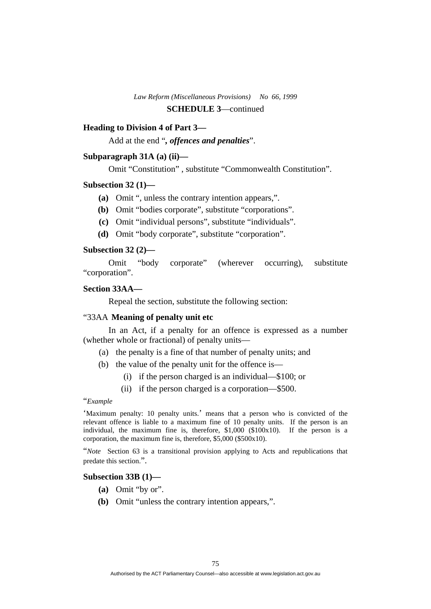#### **Heading to Division 4 of Part 3—**

Add at the end "*, offences and penalties*".

#### **Subparagraph 31A (a) (ii)—**

Omit "Constitution" , substitute "Commonwealth Constitution".

#### **Subsection 32 (1)—**

- **(a)** Omit ", unless the contrary intention appears,".
- **(b)** Omit "bodies corporate", substitute "corporations".
- **(c)** Omit "individual persons", substitute "individuals".
- **(d)** Omit "body corporate", substitute "corporation".

#### **Subsection 32 (2)—**

 Omit "body corporate" (wherever occurring), substitute "corporation".

#### **Section 33AA—**

Repeal the section, substitute the following section:

#### "33AA **Meaning of penalty unit etc**

 In an Act, if a penalty for an offence is expressed as a number (whether whole or fractional) of penalty units—

- (a) the penalty is a fine of that number of penalty units; and
- (b) the value of the penalty unit for the offence is—
	- (i) if the person charged is an individual—\$100; or
	- (ii) if the person charged is a corporation—\$500.

#### "*Example*

'Maximum penalty: 10 penalty units.' means that a person who is convicted of the relevant offence is liable to a maximum fine of 10 penalty units. If the person is an individual, the maximum fine is, therefore, \$1,000 (\$100x10). If the person is a corporation, the maximum fine is, therefore, \$5,000 (\$500x10).

"*Note* Section 63 is a transitional provision applying to Acts and republications that predate this section.".

#### **Subsection 33B (1)—**

- **(a)** Omit "by or".
- **(b)** Omit "unless the contrary intention appears,".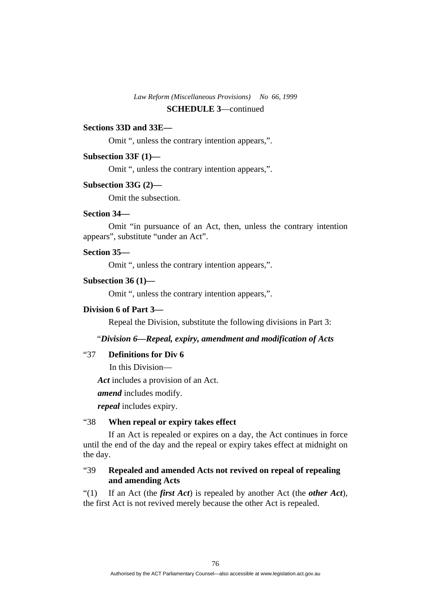#### **Sections 33D and 33E—**

Omit ", unless the contrary intention appears,".

#### **Subsection 33F (1)—**

Omit ", unless the contrary intention appears,".

#### **Subsection 33G (2)—**

Omit the subsection.

## **Section 34—**

 Omit "in pursuance of an Act, then, unless the contrary intention appears", substitute "under an Act".

#### **Section 35—**

Omit ", unless the contrary intention appears,".

## **Subsection 36 (1)—**

Omit ", unless the contrary intention appears,".

#### **Division 6 of Part 3—**

Repeal the Division, substitute the following divisions in Part 3:

## "*Division 6—Repeal, expiry, amendment and modification of Acts*

## "37 **Definitions for Div 6**

In this Division—

*Act* includes a provision of an Act.

*amend* includes modify.

*repeal* includes expiry.

## "38 **When repeal or expiry takes effect**

 If an Act is repealed or expires on a day, the Act continues in force until the end of the day and the repeal or expiry takes effect at midnight on the day.

## "39 **Repealed and amended Acts not revived on repeal of repealing and amending Acts**

"(1) If an Act (the *first Act*) is repealed by another Act (the *other Act*), the first Act is not revived merely because the other Act is repealed.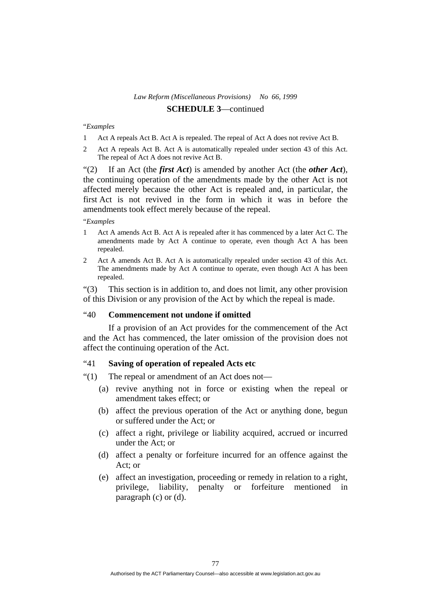#### "*Examples*

- Act A repeals Act B. Act A is repealed. The repeal of Act A does not revive Act B.
- 2 Act A repeals Act B. Act A is automatically repealed under section 43 of this Act. The repeal of Act A does not revive Act B.

"(2) If an Act (the *first Act*) is amended by another Act (the *other Act*), the continuing operation of the amendments made by the other Act is not affected merely because the other Act is repealed and, in particular, the first Act is not revived in the form in which it was in before the amendments took effect merely because of the repeal.

#### "*Examples*

- 1 Act A amends Act B. Act A is repealed after it has commenced by a later Act C. The amendments made by Act A continue to operate, even though Act A has been repealed.
- 2 Act A amends Act B. Act A is automatically repealed under section 43 of this Act. The amendments made by Act A continue to operate, even though Act A has been repealed.

"(3) This section is in addition to, and does not limit, any other provision of this Division or any provision of the Act by which the repeal is made.

# "40 **Commencement not undone if omitted**

 If a provision of an Act provides for the commencement of the Act and the Act has commenced, the later omission of the provision does not affect the continuing operation of the Act.

#### "41 **Saving of operation of repealed Acts etc**

- "(1) The repeal or amendment of an Act does not—
	- (a) revive anything not in force or existing when the repeal or amendment takes effect; or
	- (b) affect the previous operation of the Act or anything done, begun or suffered under the Act; or
	- (c) affect a right, privilege or liability acquired, accrued or incurred under the Act; or
	- (d) affect a penalty or forfeiture incurred for an offence against the Act; or
	- (e) affect an investigation, proceeding or remedy in relation to a right, privilege, liability, penalty or forfeiture mentioned in paragraph (c) or (d).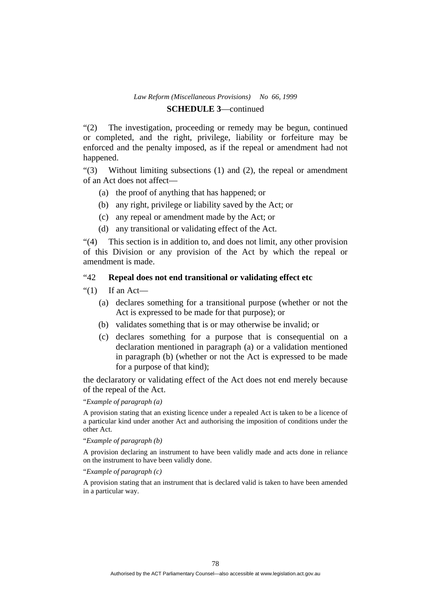# **SCHEDULE 3**—continued

"(2) The investigation, proceeding or remedy may be begun, continued or completed, and the right, privilege, liability or forfeiture may be enforced and the penalty imposed, as if the repeal or amendment had not happened.

"(3) Without limiting subsections (1) and (2), the repeal or amendment of an Act does not affect—

- (a) the proof of anything that has happened; or
- (b) any right, privilege or liability saved by the Act; or
- (c) any repeal or amendment made by the Act; or
- (d) any transitional or validating effect of the Act.

"(4) This section is in addition to, and does not limit, any other provision of this Division or any provision of the Act by which the repeal or amendment is made.

# "42 **Repeal does not end transitional or validating effect etc**

- " $(1)$  If an Act—
	- (a) declares something for a transitional purpose (whether or not the Act is expressed to be made for that purpose); or
	- (b) validates something that is or may otherwise be invalid; or
	- (c) declares something for a purpose that is consequential on a declaration mentioned in paragraph (a) or a validation mentioned in paragraph (b) (whether or not the Act is expressed to be made for a purpose of that kind);

the declaratory or validating effect of the Act does not end merely because of the repeal of the Act.

#### "*Example of paragraph (a)*

A provision stating that an existing licence under a repealed Act is taken to be a licence of a particular kind under another Act and authorising the imposition of conditions under the other Act.

#### "*Example of paragraph (b)*

A provision declaring an instrument to have been validly made and acts done in reliance on the instrument to have been validly done.

#### "*Example of paragraph (c)*

A provision stating that an instrument that is declared valid is taken to have been amended in a particular way.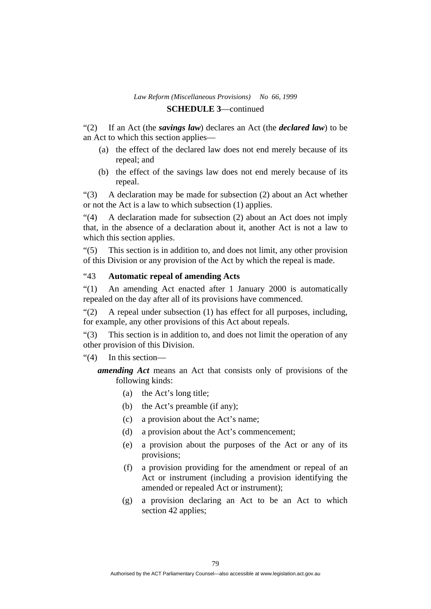"(2) If an Act (the *savings law*) declares an Act (the *declared law*) to be an Act to which this section applies—

- (a) the effect of the declared law does not end merely because of its repeal; and
- (b) the effect of the savings law does not end merely because of its repeal.

"(3) A declaration may be made for subsection (2) about an Act whether or not the Act is a law to which subsection (1) applies.

"(4) A declaration made for subsection (2) about an Act does not imply that, in the absence of a declaration about it, another Act is not a law to which this section applies.

"(5) This section is in addition to, and does not limit, any other provision of this Division or any provision of the Act by which the repeal is made.

## "43 **Automatic repeal of amending Acts**

"(1) An amending Act enacted after 1 January 2000 is automatically repealed on the day after all of its provisions have commenced.

"(2) A repeal under subsection (1) has effect for all purposes, including, for example, any other provisions of this Act about repeals.

"(3) This section is in addition to, and does not limit the operation of any other provision of this Division.

#### "(4) In this section—

*amending Act* means an Act that consists only of provisions of the following kinds:

- (a) the Act's long title;
- (b) the Act's preamble (if any);
- (c) a provision about the Act's name;
- (d) a provision about the Act's commencement;
- (e) a provision about the purposes of the Act or any of its provisions;
- (f) a provision providing for the amendment or repeal of an Act or instrument (including a provision identifying the amended or repealed Act or instrument);
- (g) a provision declaring an Act to be an Act to which section 42 applies;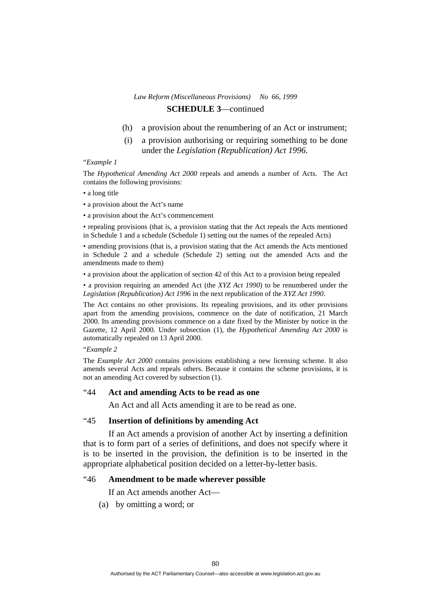- (h) a provision about the renumbering of an Act or instrument;
- (i) a provision authorising or requiring something to be done under the *Legislation (Republication) Act 1996*.

#### "*Example 1*

The *Hypothetical Amending Act 2000* repeals and amends a number of Acts. The Act contains the following provisions:

- a long title
- a provision about the Act's name
- a provision about the Act's commencement

• repealing provisions (that is, a provision stating that the Act repeals the Acts mentioned in Schedule 1 and a schedule (Schedule 1) setting out the names of the repealed Acts)

• amending provisions (that is, a provision stating that the Act amends the Acts mentioned in Schedule 2 and a schedule (Schedule 2) setting out the amended Acts and the amendments made to them)

• a provision about the application of section 42 of this Act to a provision being repealed

• a provision requiring an amended Act (the *XYZ Act 1990*) to be renumbered under the *Legislation (Republication) Act 1996* in the next republication of the *XYZ Act 1990*.

The Act contains no other provisions. Its repealing provisions, and its other provisions apart from the amending provisions, commence on the date of notification, 21 March 2000. Its amending provisions commence on a date fixed by the Minister by notice in the Gazette, 12 April 2000. Under subsection (1), the *Hypothetical Amending Act 2000* is automatically repealed on 13 April 2000.

#### "*Example 2*

The *Example Act 2000* contains provisions establishing a new licensing scheme. It also amends several Acts and repeals others. Because it contains the scheme provisions, it is not an amending Act covered by subsection (1).

#### "44 **Act and amending Acts to be read as one**

An Act and all Acts amending it are to be read as one.

#### "45 **Insertion of definitions by amending Act**

 If an Act amends a provision of another Act by inserting a definition that is to form part of a series of definitions, and does not specify where it is to be inserted in the provision, the definition is to be inserted in the appropriate alphabetical position decided on a letter-by-letter basis.

#### "46 **Amendment to be made wherever possible**

If an Act amends another Act—

(a) by omitting a word; or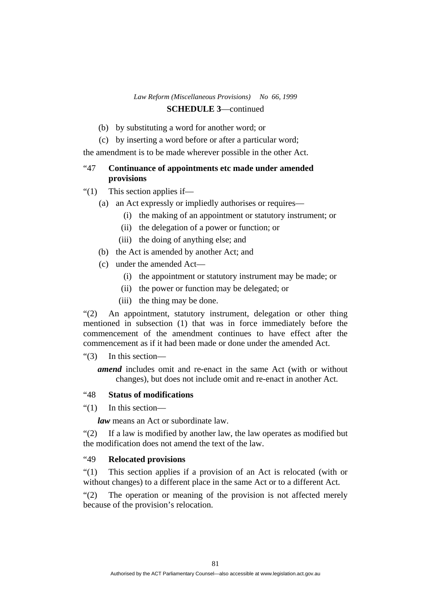- (b) by substituting a word for another word; or
- (c) by inserting a word before or after a particular word;

the amendment is to be made wherever possible in the other Act.

# "47 **Continuance of appointments etc made under amended provisions**

- "(1) This section applies if—
	- (a) an Act expressly or impliedly authorises or requires—
		- (i) the making of an appointment or statutory instrument; or
		- (ii) the delegation of a power or function; or
		- (iii) the doing of anything else; and
	- (b) the Act is amended by another Act; and
	- (c) under the amended Act—
		- (i) the appointment or statutory instrument may be made; or
		- (ii) the power or function may be delegated; or
		- (iii) the thing may be done.

"(2) An appointment, statutory instrument, delegation or other thing mentioned in subsection (1) that was in force immediately before the commencement of the amendment continues to have effect after the commencement as if it had been made or done under the amended Act.

"(3) In this section—

*amend* includes omit and re-enact in the same Act (with or without changes), but does not include omit and re-enact in another Act.

## "48 **Status of modifications**

"(1) In this section—

*law* means an Act or subordinate law.

"(2) If a law is modified by another law, the law operates as modified but the modification does not amend the text of the law.

#### "49 **Relocated provisions**

"(1) This section applies if a provision of an Act is relocated (with or without changes) to a different place in the same Act or to a different Act.

"(2) The operation or meaning of the provision is not affected merely because of the provision's relocation.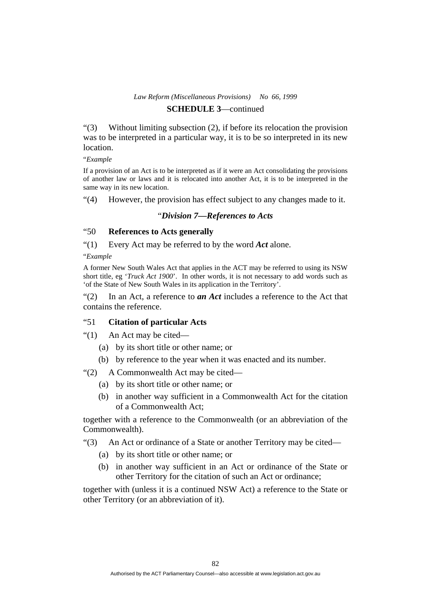"(3) Without limiting subsection (2), if before its relocation the provision was to be interpreted in a particular way, it is to be so interpreted in its new location.

#### "*Example*

If a provision of an Act is to be interpreted as if it were an Act consolidating the provisions of another law or laws and it is relocated into another Act, it is to be interpreted in the same way in its new location.

"(4) However, the provision has effect subject to any changes made to it.

#### "*Division 7—References to Acts*

#### "50 **References to Acts generally**

"(1) Every Act may be referred to by the word *Act* alone.

"*Example* 

A former New South Wales Act that applies in the ACT may be referred to using its NSW short title, eg '*Truck Act 1900*'. In other words, it is not necessary to add words such as 'of the State of New South Wales in its application in the Territory'.

"(2) In an Act, a reference to *an Act* includes a reference to the Act that contains the reference.

## "51 **Citation of particular Acts**

"(1) An Act may be cited—

- (a) by its short title or other name; or
- (b) by reference to the year when it was enacted and its number.

"(2) A Commonwealth Act may be cited—

- (a) by its short title or other name; or
- (b) in another way sufficient in a Commonwealth Act for the citation of a Commonwealth Act;

together with a reference to the Commonwealth (or an abbreviation of the Commonwealth).

"(3) An Act or ordinance of a State or another Territory may be cited—

- (a) by its short title or other name; or
- (b) in another way sufficient in an Act or ordinance of the State or other Territory for the citation of such an Act or ordinance;

together with (unless it is a continued NSW Act) a reference to the State or other Territory (or an abbreviation of it).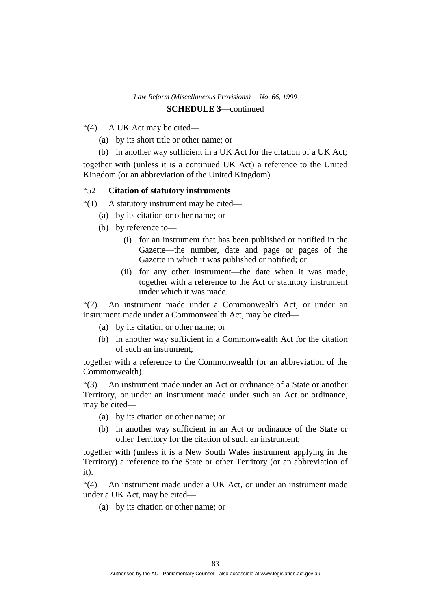- "(4) A UK Act may be cited—
	- (a) by its short title or other name; or
	- (b) in another way sufficient in a UK Act for the citation of a UK Act;

together with (unless it is a continued UK Act) a reference to the United Kingdom (or an abbreviation of the United Kingdom).

#### "52 **Citation of statutory instruments**

"(1) A statutory instrument may be cited—

- (a) by its citation or other name; or
- (b) by reference to—
	- (i) for an instrument that has been published or notified in the Gazette—the number, date and page or pages of the Gazette in which it was published or notified; or
	- (ii) for any other instrument—the date when it was made, together with a reference to the Act or statutory instrument under which it was made.

"(2) An instrument made under a Commonwealth Act, or under an instrument made under a Commonwealth Act, may be cited—

- (a) by its citation or other name; or
- (b) in another way sufficient in a Commonwealth Act for the citation of such an instrument;

together with a reference to the Commonwealth (or an abbreviation of the Commonwealth).

"(3) An instrument made under an Act or ordinance of a State or another Territory, or under an instrument made under such an Act or ordinance, may be cited—

- (a) by its citation or other name; or
- (b) in another way sufficient in an Act or ordinance of the State or other Territory for the citation of such an instrument;

together with (unless it is a New South Wales instrument applying in the Territory) a reference to the State or other Territory (or an abbreviation of it).

"(4) An instrument made under a UK Act, or under an instrument made under a UK Act, may be cited—

(a) by its citation or other name; or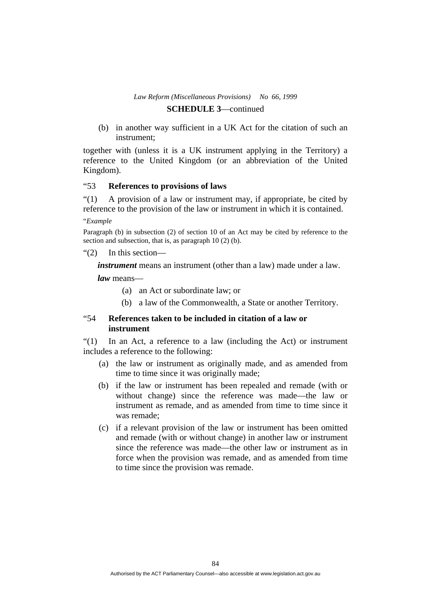(b) in another way sufficient in a UK Act for the citation of such an instrument;

together with (unless it is a UK instrument applying in the Territory) a reference to the United Kingdom (or an abbreviation of the United Kingdom).

#### "53 **References to provisions of laws**

"(1) A provision of a law or instrument may, if appropriate, be cited by reference to the provision of the law or instrument in which it is contained.

"*Example* 

Paragraph (b) in subsection (2) of section 10 of an Act may be cited by reference to the section and subsection, that is, as paragraph 10 (2) (b).

"(2) In this section—

*instrument* means an instrument (other than a law) made under a law.

*law* means—

- (a) an Act or subordinate law; or
- (b) a law of the Commonwealth, a State or another Territory.

# "54 **References taken to be included in citation of a law or instrument**

"(1) In an Act, a reference to a law (including the Act) or instrument includes a reference to the following:

- (a) the law or instrument as originally made, and as amended from time to time since it was originally made;
- (b) if the law or instrument has been repealed and remade (with or without change) since the reference was made—the law or instrument as remade, and as amended from time to time since it was remade;
- (c) if a relevant provision of the law or instrument has been omitted and remade (with or without change) in another law or instrument since the reference was made—the other law or instrument as in force when the provision was remade, and as amended from time to time since the provision was remade.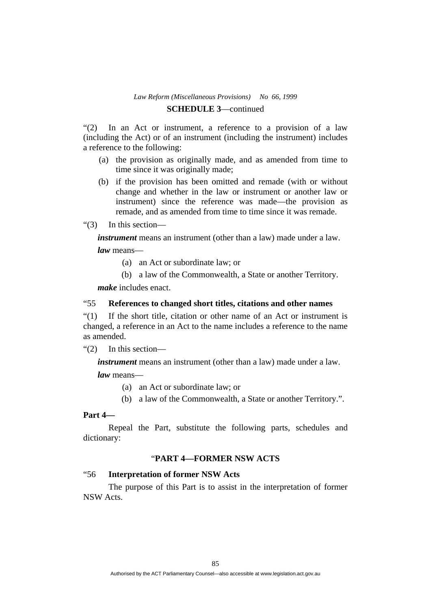"(2) In an Act or instrument, a reference to a provision of a law (including the Act) or of an instrument (including the instrument) includes a reference to the following:

- (a) the provision as originally made, and as amended from time to time since it was originally made;
- (b) if the provision has been omitted and remade (with or without change and whether in the law or instrument or another law or instrument) since the reference was made—the provision as remade, and as amended from time to time since it was remade.
- "(3) In this section—

*instrument* means an instrument (other than a law) made under a law.

*law* means—

- (a) an Act or subordinate law; or
- (b) a law of the Commonwealth, a State or another Territory.

*make* includes enact.

#### "55 **References to changed short titles, citations and other names**

"(1) If the short title, citation or other name of an Act or instrument is changed, a reference in an Act to the name includes a reference to the name as amended.

"(2) In this section—

*instrument* means an instrument (other than a law) made under a law.

*law* means—

- (a) an Act or subordinate law; or
- (b) a law of the Commonwealth, a State or another Territory.".

#### **Part 4—**

 Repeal the Part, substitute the following parts, schedules and dictionary:

## "**PART 4—FORMER NSW ACTS**

## "56 **Interpretation of former NSW Acts**

 The purpose of this Part is to assist in the interpretation of former NSW Acts.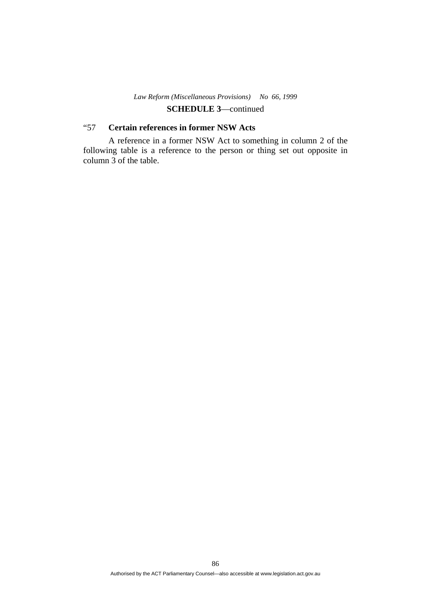# "57 **Certain references in former NSW Acts**

 A reference in a former NSW Act to something in column 2 of the following table is a reference to the person or thing set out opposite in column 3 of the table.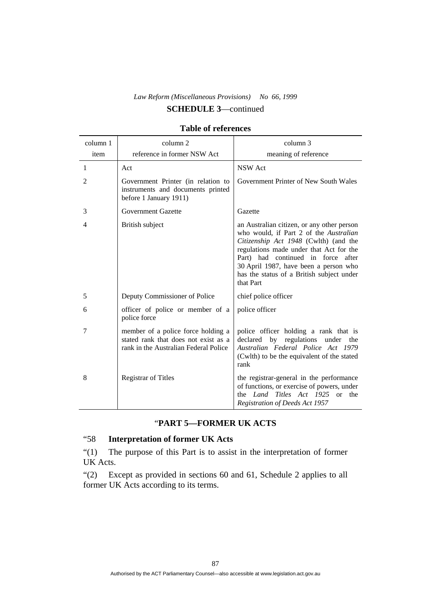| column 1 | column 2                                                                                                            | column 3                                                                                                                                                                                                                                                                                                          |
|----------|---------------------------------------------------------------------------------------------------------------------|-------------------------------------------------------------------------------------------------------------------------------------------------------------------------------------------------------------------------------------------------------------------------------------------------------------------|
| item     | reference in former NSW Act                                                                                         | meaning of reference                                                                                                                                                                                                                                                                                              |
| 1        | Act                                                                                                                 | <b>NSW</b> Act                                                                                                                                                                                                                                                                                                    |
| 2        | Government Printer (in relation to<br>instruments and documents printed<br>before 1 January 1911)                   | Government Printer of New South Wales                                                                                                                                                                                                                                                                             |
| 3        | <b>Government Gazette</b>                                                                                           | Gazette                                                                                                                                                                                                                                                                                                           |
| 4        | British subject                                                                                                     | an Australian citizen, or any other person<br>who would, if Part 2 of the Australian<br>Citizenship Act 1948 (Cwlth) (and the<br>regulations made under that Act for the<br>Part) had continued in force after<br>30 April 1987, have been a person who<br>has the status of a British subject under<br>that Part |
| 5        | Deputy Commissioner of Police                                                                                       | chief police officer                                                                                                                                                                                                                                                                                              |
| 6        | officer of police or member of a<br>police force                                                                    | police officer                                                                                                                                                                                                                                                                                                    |
| 7        | member of a police force holding a<br>stated rank that does not exist as a<br>rank in the Australian Federal Police | police officer holding a rank that is<br>declared by regulations under the<br>Australian Federal Police Act 1979<br>(Cwlth) to be the equivalent of the stated<br>rank                                                                                                                                            |
| 8        | <b>Registrar of Titles</b>                                                                                          | the registrar-general in the performance<br>of functions, or exercise of powers, under<br>the Land Titles Act 1925 or the<br>Registration of Deeds Act 1957                                                                                                                                                       |

#### **Table of references**

# "**PART 5—FORMER UK ACTS**

# "58 **Interpretation of former UK Acts**

"(1) The purpose of this Part is to assist in the interpretation of former UK Acts.

"(2) Except as provided in sections 60 and 61, Schedule 2 applies to all former UK Acts according to its terms.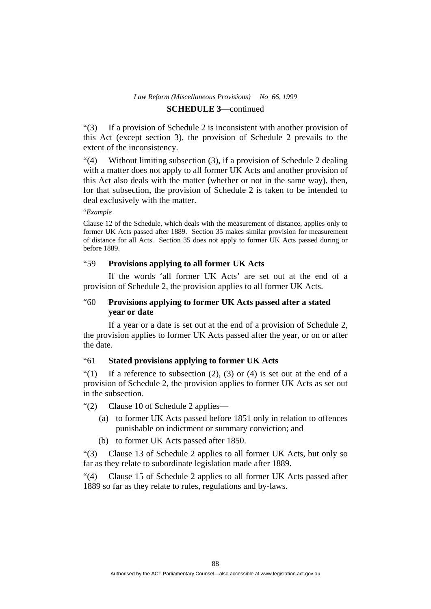"(3) If a provision of Schedule 2 is inconsistent with another provision of this Act (except section 3), the provision of Schedule 2 prevails to the extent of the inconsistency.

"(4) Without limiting subsection (3), if a provision of Schedule 2 dealing with a matter does not apply to all former UK Acts and another provision of this Act also deals with the matter (whether or not in the same way), then, for that subsection, the provision of Schedule 2 is taken to be intended to deal exclusively with the matter.

"*Example* 

Clause 12 of the Schedule, which deals with the measurement of distance, applies only to former UK Acts passed after 1889. Section 35 makes similar provision for measurement of distance for all Acts. Section 35 does not apply to former UK Acts passed during or before 1889.

## "59 **Provisions applying to all former UK Acts**

 If the words 'all former UK Acts' are set out at the end of a provision of Schedule 2, the provision applies to all former UK Acts.

# "60 **Provisions applying to former UK Acts passed after a stated year or date**

 If a year or a date is set out at the end of a provision of Schedule 2, the provision applies to former UK Acts passed after the year, or on or after the date.

## "61 **Stated provisions applying to former UK Acts**

"(1) If a reference to subsection  $(2)$ ,  $(3)$  or  $(4)$  is set out at the end of a provision of Schedule 2, the provision applies to former UK Acts as set out in the subsection.

"(2) Clause 10 of Schedule 2 applies—

- (a) to former UK Acts passed before 1851 only in relation to offences punishable on indictment or summary conviction; and
- (b) to former UK Acts passed after 1850.

"(3) Clause 13 of Schedule 2 applies to all former UK Acts, but only so far as they relate to subordinate legislation made after 1889.

"(4) Clause 15 of Schedule 2 applies to all former UK Acts passed after 1889 so far as they relate to rules, regulations and by-laws.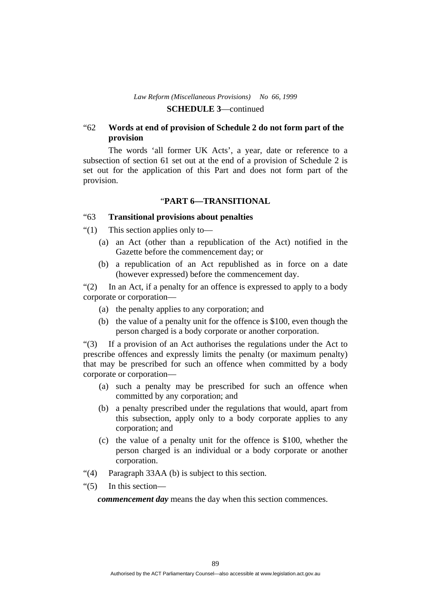## "62 **Words at end of provision of Schedule 2 do not form part of the provision**

 The words 'all former UK Acts', a year, date or reference to a subsection of section 61 set out at the end of a provision of Schedule 2 is set out for the application of this Part and does not form part of the provision.

#### "**PART 6—TRANSITIONAL**

#### "63 **Transitional provisions about penalties**

"(1) This section applies only to—

- (a) an Act (other than a republication of the Act) notified in the Gazette before the commencement day; or
- (b) a republication of an Act republished as in force on a date (however expressed) before the commencement day.

"(2) In an Act, if a penalty for an offence is expressed to apply to a body corporate or corporation—

- (a) the penalty applies to any corporation; and
- (b) the value of a penalty unit for the offence is \$100, even though the person charged is a body corporate or another corporation.

"(3) If a provision of an Act authorises the regulations under the Act to prescribe offences and expressly limits the penalty (or maximum penalty) that may be prescribed for such an offence when committed by a body corporate or corporation—

- (a) such a penalty may be prescribed for such an offence when committed by any corporation; and
- (b) a penalty prescribed under the regulations that would, apart from this subsection, apply only to a body corporate applies to any corporation; and
- (c) the value of a penalty unit for the offence is \$100, whether the person charged is an individual or a body corporate or another corporation.
- "(4) Paragraph 33AA (b) is subject to this section.
- "(5) In this section—

*commencement day* means the day when this section commences.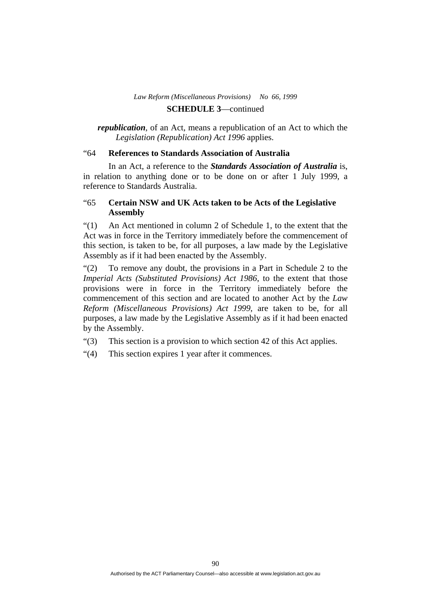# **SCHEDULE 3**—continued

*republication*, of an Act, means a republication of an Act to which the *Legislation (Republication) Act 1996* applies.

#### "64 **References to Standards Association of Australia**

 In an Act, a reference to the *Standards Association of Australia* is, in relation to anything done or to be done on or after 1 July 1999, a reference to Standards Australia.

# "65 **Certain NSW and UK Acts taken to be Acts of the Legislative Assembly**

"(1) An Act mentioned in column 2 of Schedule 1, to the extent that the Act was in force in the Territory immediately before the commencement of this section, is taken to be, for all purposes, a law made by the Legislative Assembly as if it had been enacted by the Assembly.

"(2) To remove any doubt, the provisions in a Part in Schedule 2 to the *Imperial Acts (Substituted Provisions) Act 1986*, to the extent that those provisions were in force in the Territory immediately before the commencement of this section and are located to another Act by the *Law Reform (Miscellaneous Provisions) Act 1999*, are taken to be, for all purposes, a law made by the Legislative Assembly as if it had been enacted by the Assembly.

"(3) This section is a provision to which section 42 of this Act applies.

"(4) This section expires 1 year after it commences.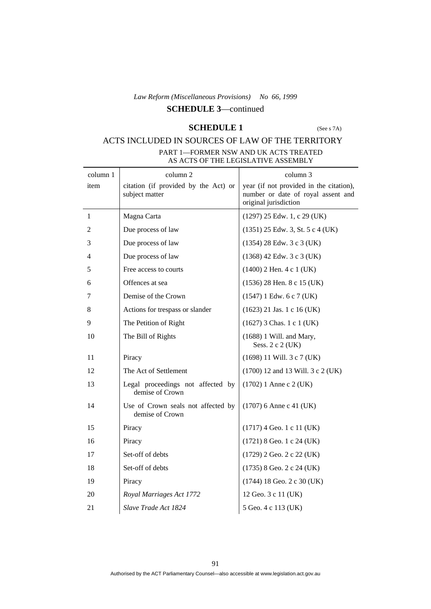# **SCHEDULE 3**—continued

# **SCHEDULE 1** (See s 7A)

# ACTS INCLUDED IN SOURCES OF LAW OF THE TERRITORY

| PART 1—FORMER NSW AND UK ACTS TREATED |
|---------------------------------------|
| AS ACTS OF THE LEGISLATIVE ASSEMBLY   |

| column 1 | column 2                                               | column 3                                                                                               |
|----------|--------------------------------------------------------|--------------------------------------------------------------------------------------------------------|
| item     | citation (if provided by the Act) or<br>subject matter | year (if not provided in the citation),<br>number or date of royal assent and<br>original jurisdiction |
| 1        | Magna Carta                                            | $(1297)$ 25 Edw. 1, c 29 (UK)                                                                          |
| 2        | Due process of law                                     | $(1351)$ 25 Edw. 3, St. 5 c 4 (UK)                                                                     |
| 3        | Due process of law                                     | $(1354)$ 28 Edw. 3 c 3 (UK)                                                                            |
| 4        | Due process of law                                     | $(1368)$ 42 Edw. 3 c 3 (UK)                                                                            |
| 5        | Free access to courts                                  | $(1400)$ 2 Hen. 4 c 1 (UK)                                                                             |
| 6        | Offences at sea                                        | $(1536)$ 28 Hen. 8 c 15 (UK)                                                                           |
| 7        | Demise of the Crown                                    | $(1547)$ 1 Edw. 6 c 7 (UK)                                                                             |
| 8        | Actions for trespass or slander                        | $(1623)$ 21 Jas. 1 c 16 (UK)                                                                           |
| 9        | The Petition of Right                                  | $(1627)$ 3 Chas. 1 c 1 (UK)                                                                            |
| 10       | The Bill of Rights                                     | $(1688)$ 1 Will. and Mary,<br>Sess. 2 c 2 (UK)                                                         |
| 11       | Piracy                                                 | $(1698)$ 11 Will. 3 c 7 (UK)                                                                           |
| 12       | The Act of Settlement                                  | (1700) 12 and 13 Will. 3 c 2 (UK)                                                                      |
| 13       | Legal proceedings not affected by<br>demise of Crown   | $(1702)$ 1 Anne c 2 (UK)                                                                               |
| 14       | Use of Crown seals not affected by<br>demise of Crown  | $(1707)$ 6 Anne c 41 (UK)                                                                              |
| 15       | Piracy                                                 | $(1717)$ 4 Geo. 1 c 11 (UK)                                                                            |
| 16       | Piracy                                                 | $(1721)$ 8 Geo. 1 c 24 (UK)                                                                            |
| 17       | Set-off of debts                                       | (1729) 2 Geo. 2 c 22 (UK)                                                                              |
| 18       | Set-off of debts                                       | $(1735)$ 8 Geo. 2 c 24 (UK)                                                                            |
| 19       | Piracy                                                 | $(1744)$ 18 Geo. 2 c 30 (UK)                                                                           |
| 20       | Royal Marriages Act 1772                               | 12 Geo. 3 c 11 (UK)                                                                                    |
| 21       | Slave Trade Act 1824                                   | 5 Geo. 4 c 113 (UK)                                                                                    |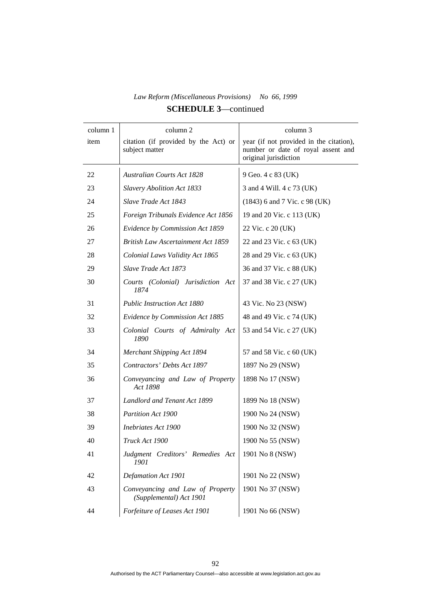| column 1 | column 2                                                    | column 3                                                                                               |
|----------|-------------------------------------------------------------|--------------------------------------------------------------------------------------------------------|
| item     | citation (if provided by the Act) or<br>subject matter      | year (if not provided in the citation),<br>number or date of royal assent and<br>original jurisdiction |
| 22       | <b>Australian Courts Act 1828</b>                           | 9 Geo. 4 c 83 (UK)                                                                                     |
| 23       | <b>Slavery Abolition Act 1833</b>                           | 3 and 4 Will. 4 c 73 (UK)                                                                              |
| 24       | Slave Trade Act 1843                                        | $(1843)$ 6 and 7 Vic. c 98 (UK)                                                                        |
| 25       | Foreign Tribunals Evidence Act 1856                         | 19 and 20 Vic. c 113 (UK)                                                                              |
| 26       | Evidence by Commission Act 1859                             | 22 Vic. c 20 (UK)                                                                                      |
| 27       | <b>British Law Ascertainment Act 1859</b>                   | 22 and 23 Vic. c 63 (UK)                                                                               |
| 28       | Colonial Laws Validity Act 1865                             | 28 and 29 Vic. c 63 (UK)                                                                               |
| 29       | Slave Trade Act 1873                                        | 36 and 37 Vic. c 88 (UK)                                                                               |
| 30       | Courts (Colonial) Jurisdiction Act<br>1874                  | 37 and 38 Vic. c 27 (UK)                                                                               |
| 31       | <b>Public Instruction Act 1880</b>                          | 43 Vic. No 23 (NSW)                                                                                    |
| 32       | Evidence by Commission Act 1885                             | 48 and 49 Vic. c 74 (UK)                                                                               |
| 33       | Colonial Courts of Admiralty Act<br>1890                    | 53 and 54 Vic. c 27 (UK)                                                                               |
| 34       | Merchant Shipping Act 1894                                  | 57 and 58 Vic. c 60 (UK)                                                                               |
| 35       | Contractors' Debts Act 1897                                 | 1897 No 29 (NSW)                                                                                       |
| 36       | Conveyancing and Law of Property<br>Act 1898                | 1898 No 17 (NSW)                                                                                       |
| 37       | Landlord and Tenant Act 1899                                | 1899 No 18 (NSW)                                                                                       |
| 38       | Partition Act 1900                                          | 1900 No 24 (NSW)                                                                                       |
| 39       | Inebriates Act 1900                                         | 1900 No 32 (NSW)                                                                                       |
| 40       | Truck Act 1900                                              | 1900 No 55 (NSW)                                                                                       |
| 41       | Judgment Creditors' Remedies Act<br>1901                    | 1901 No 8 (NSW)                                                                                        |
| 42       | Defamation Act 1901                                         | 1901 No 22 (NSW)                                                                                       |
| 43       | Conveyancing and Law of Property<br>(Supplemental) Act 1901 | 1901 No 37 (NSW)                                                                                       |
| 44       | Forfeiture of Leases Act 1901                               | 1901 No 66 (NSW)                                                                                       |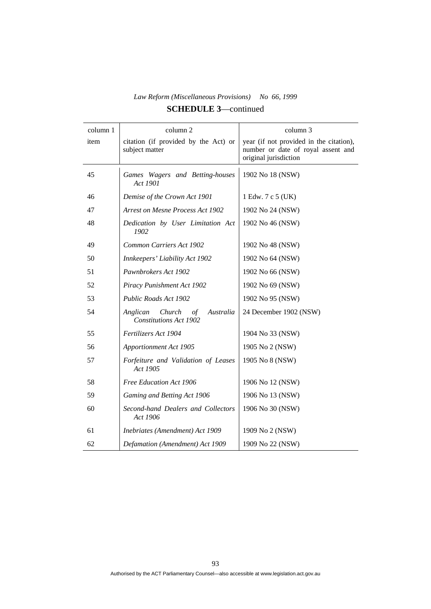| column 1 | column 2                                                               | column 3                                                                                               |
|----------|------------------------------------------------------------------------|--------------------------------------------------------------------------------------------------------|
| item     | citation (if provided by the Act) or<br>subject matter                 | year (if not provided in the citation),<br>number or date of royal assent and<br>original jurisdiction |
| 45       | Games Wagers and Betting-houses<br>Act 1901                            | 1902 No 18 (NSW)                                                                                       |
| 46       | Demise of the Crown Act 1901                                           | 1 Edw. 7 c 5 (UK)                                                                                      |
| 47       | <b>Arrest on Mesne Process Act 1902</b>                                | 1902 No 24 (NSW)                                                                                       |
| 48       | Dedication by User Limitation Act<br>1902                              | 1902 No 46 (NSW)                                                                                       |
| 49       | Common Carriers Act 1902                                               | 1902 No 48 (NSW)                                                                                       |
| 50       | Innkeepers' Liability Act 1902                                         | 1902 No 64 (NSW)                                                                                       |
| 51       | Pawnbrokers Act 1902                                                   | 1902 No 66 (NSW)                                                                                       |
| 52       | Piracy Punishment Act 1902                                             | 1902 No 69 (NSW)                                                                                       |
| 53       | Public Roads Act 1902                                                  | 1902 No 95 (NSW)                                                                                       |
| 54       | Anglican<br>Church<br>Australia<br>οf<br><b>Constitutions Act 1902</b> | 24 December 1902 (NSW)                                                                                 |
| 55       | Fertilizers Act 1904                                                   | 1904 No 33 (NSW)                                                                                       |
| 56       | <b>Apportionment Act 1905</b>                                          | 1905 No 2 (NSW)                                                                                        |
| 57       | Forfeiture and Validation of Leases<br>Act 1905                        | 1905 No 8 (NSW)                                                                                        |
| 58       | Free Education Act 1906                                                | 1906 No 12 (NSW)                                                                                       |
| 59       | Gaming and Betting Act 1906                                            | 1906 No 13 (NSW)                                                                                       |
| 60       | Second-hand Dealers and Collectors<br>Act 1906                         | 1906 No 30 (NSW)                                                                                       |
| 61       | Inebriates (Amendment) Act 1909                                        | 1909 No 2 (NSW)                                                                                        |
| 62       | Defamation (Amendment) Act 1909                                        | 1909 No 22 (NSW)                                                                                       |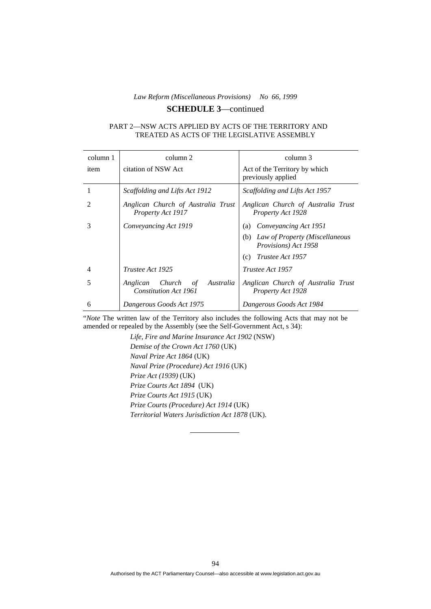#### **SCHEDULE 3**—continued

#### PART 2—NSW ACTS APPLIED BY ACTS OF THE TERRITORY AND TREATED AS ACTS OF THE LEGISLATIVE ASSEMBLY

| column 1       | column 2                                                           | column 3                                                      |
|----------------|--------------------------------------------------------------------|---------------------------------------------------------------|
| item           | citation of NSW Act                                                | Act of the Territory by which<br>previously applied           |
| 1              | Scaffolding and Lifts Act 1912                                     | Scaffolding and Lifts Act 1957                                |
| $\mathfrak{D}$ | Anglican Church of Australia Trust<br>Property Act 1917            | Anglican Church of Australia Trust<br>Property Act 1928       |
| 3              | Conveyancing Act 1919                                              | Conveyancing Act 1951<br>(a)                                  |
|                |                                                                    | Law of Property (Miscellaneous<br>(b)<br>Provisions) Act 1958 |
|                |                                                                    | Trustee Act 1957<br>(c)                                       |
| 4              | Trustee Act 1925                                                   | Trustee Act 1957                                              |
| 5              | Anglican<br>Church<br>of Australia<br><b>Constitution Act 1961</b> | Anglican Church of Australia Trust<br>Property Act 1928       |
| 6              | Dangerous Goods Act 1975                                           | Dangerous Goods Act 1984                                      |

"*Note* The written law of the Territory also includes the following Acts that may not be amended or repealed by the Assembly (see the Self-Government Act, s 34):

> *Life, Fire and Marine Insurance Act 1902* (NSW) *Demise of the Crown Act 1760* (UK) *Naval Prize Act 1864* (UK) *Naval Prize (Procedure) Act 1916* (UK) *Prize Act (1939)* (UK) *Prize Courts Act 1894* (UK) *Prize Courts Act 1915* (UK) *Prize Courts (Procedure) Act 1914* (UK) *Territorial Waters Jurisdiction Act 1878* (UK).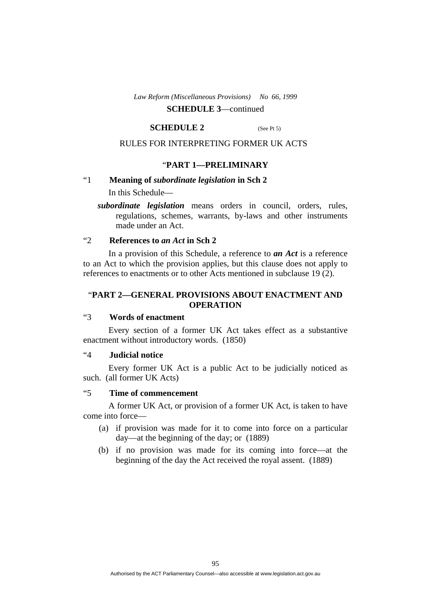# **SCHEDULE 3**—continued

#### **SCHEDULE 2** (See Pt 5)

#### RULES FOR INTERPRETING FORMER UK ACTS

#### "**PART 1—PRELIMINARY**

# "1 **Meaning of** *subordinate legislation* **in Sch 2**

In this Schedule—

*subordinate legislation* means orders in council, orders, rules, regulations, schemes, warrants, by-laws and other instruments made under an Act.

## "2 **References to** *an Act* **in Sch 2**

 In a provision of this Schedule, a reference to *an Act* is a reference to an Act to which the provision applies, but this clause does not apply to references to enactments or to other Acts mentioned in subclause 19 (2).

## "**PART 2—GENERAL PROVISIONS ABOUT ENACTMENT AND OPERATION**

# "3 **Words of enactment**

 Every section of a former UK Act takes effect as a substantive enactment without introductory words. (1850)

# "4 **Judicial notice**

 Every former UK Act is a public Act to be judicially noticed as such. (all former UK Acts)

## "5 **Time of commencement**

 A former UK Act, or provision of a former UK Act, is taken to have come into force—

- (a) if provision was made for it to come into force on a particular day—at the beginning of the day; or (1889)
- (b) if no provision was made for its coming into force—at the beginning of the day the Act received the royal assent. (1889)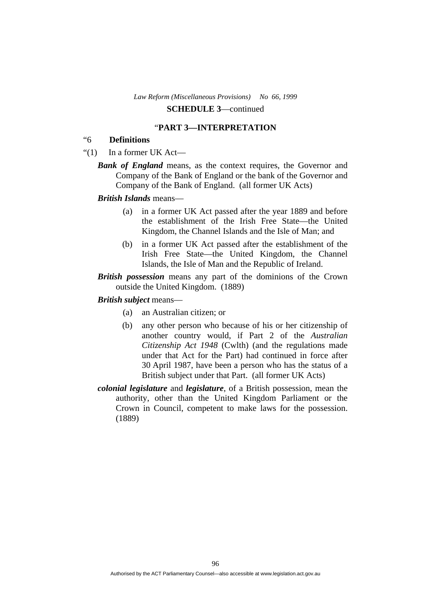#### "**PART 3—INTERPRETATION**

# "6 **Definitions**

- " $(1)$  In a former UK Act—
	- *Bank of England* means, as the context requires, the Governor and Company of the Bank of England or the bank of the Governor and Company of the Bank of England. (all former UK Acts)

#### *British Islands* means—

- (a) in a former UK Act passed after the year 1889 and before the establishment of the Irish Free State—the United Kingdom, the Channel Islands and the Isle of Man; and
- (b) in a former UK Act passed after the establishment of the Irish Free State—the United Kingdom, the Channel Islands, the Isle of Man and the Republic of Ireland.
- *British possession* means any part of the dominions of the Crown outside the United Kingdom. (1889)

#### *British subject* means—

- (a) an Australian citizen; or
- (b) any other person who because of his or her citizenship of another country would, if Part 2 of the *Australian Citizenship Act 1948* (Cwlth) (and the regulations made under that Act for the Part) had continued in force after 30 April 1987, have been a person who has the status of a British subject under that Part. (all former UK Acts)
- *colonial legislature* and *legislature*, of a British possession, mean the authority, other than the United Kingdom Parliament or the Crown in Council, competent to make laws for the possession. (1889)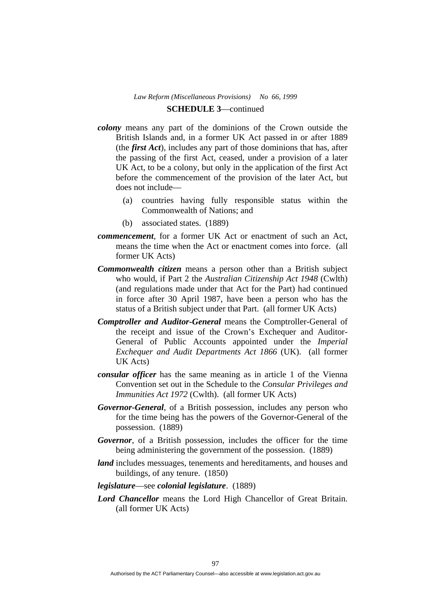- *colony* means any part of the dominions of the Crown outside the British Islands and, in a former UK Act passed in or after 1889 (the *first Act*), includes any part of those dominions that has, after the passing of the first Act, ceased, under a provision of a later UK Act, to be a colony, but only in the application of the first Act before the commencement of the provision of the later Act, but does not include—
	- (a) countries having fully responsible status within the Commonwealth of Nations; and
	- (b) associated states. (1889)
- *commencement*, for a former UK Act or enactment of such an Act, means the time when the Act or enactment comes into force. (all former UK Acts)
- *Commonwealth citizen* means a person other than a British subject who would, if Part 2 the *Australian Citizenship Act 1948* (Cwlth) (and regulations made under that Act for the Part) had continued in force after 30 April 1987, have been a person who has the status of a British subject under that Part. (all former UK Acts)
- *Comptroller and Auditor-General* means the Comptroller-General of the receipt and issue of the Crown's Exchequer and Auditor-General of Public Accounts appointed under the *Imperial Exchequer and Audit Departments Act 1866* (UK). (all former UK Acts)
- *consular officer* has the same meaning as in article 1 of the Vienna Convention set out in the Schedule to the *Consular Privileges and Immunities Act 1972* (Cwlth). (all former UK Acts)
- *Governor-General*, of a British possession, includes any person who for the time being has the powers of the Governor-General of the possession. (1889)
- *Governor*, of a British possession, includes the officer for the time being administering the government of the possession. (1889)
- *land* includes messuages, tenements and hereditaments, and houses and buildings, of any tenure. (1850)
- *legislature*—see *colonial legislature*. (1889)
- *Lord Chancellor* means the Lord High Chancellor of Great Britain. (all former UK Acts)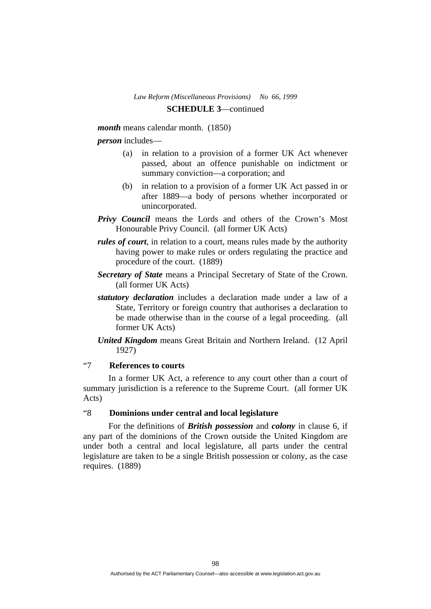*month* means calendar month. (1850)

*person* includes—

- (a) in relation to a provision of a former UK Act whenever passed, about an offence punishable on indictment or summary conviction—a corporation; and
- (b) in relation to a provision of a former UK Act passed in or after 1889—a body of persons whether incorporated or unincorporated.
- *Privy Council* means the Lords and others of the Crown's Most Honourable Privy Council. (all former UK Acts)
- *rules of court*, in relation to a court, means rules made by the authority having power to make rules or orders regulating the practice and procedure of the court. (1889)
- *Secretary of State* means a Principal Secretary of State of the Crown. (all former UK Acts)
- *statutory declaration* includes a declaration made under a law of a State, Territory or foreign country that authorises a declaration to be made otherwise than in the course of a legal proceeding. (all former UK Acts)
- *United Kingdom* means Great Britain and Northern Ireland. (12 April 1927)

# "7 **References to courts**

 In a former UK Act, a reference to any court other than a court of summary jurisdiction is a reference to the Supreme Court. (all former UK Acts)

## "8 **Dominions under central and local legislature**

 For the definitions of *British possession* and *colony* in clause 6, if any part of the dominions of the Crown outside the United Kingdom are under both a central and local legislature, all parts under the central legislature are taken to be a single British possession or colony, as the case requires. (1889)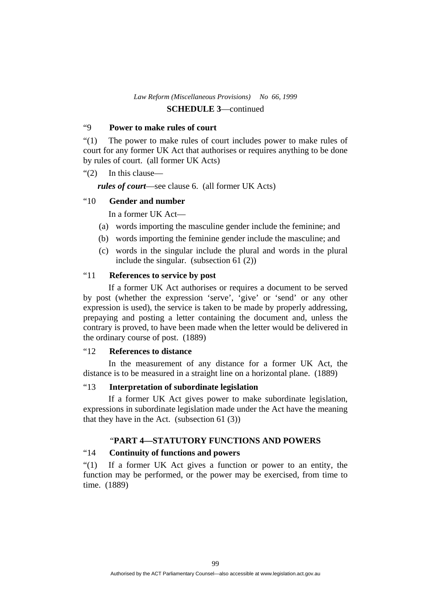# "9 **Power to make rules of court**

"(1) The power to make rules of court includes power to make rules of court for any former UK Act that authorises or requires anything to be done by rules of court. (all former UK Acts)

"(2) In this clause—

*rules of court*—see clause 6. (all former UK Acts)

## "10 **Gender and number**

In a former UK Act—

- (a) words importing the masculine gender include the feminine; and
- (b) words importing the feminine gender include the masculine; and
- (c) words in the singular include the plural and words in the plural include the singular. (subsection 61 (2))

# "11 **References to service by post**

 If a former UK Act authorises or requires a document to be served by post (whether the expression 'serve', 'give' or 'send' or any other expression is used), the service is taken to be made by properly addressing, prepaying and posting a letter containing the document and, unless the contrary is proved, to have been made when the letter would be delivered in the ordinary course of post. (1889)

## "12 **References to distance**

 In the measurement of any distance for a former UK Act, the distance is to be measured in a straight line on a horizontal plane. (1889)

# "13 **Interpretation of subordinate legislation**

 If a former UK Act gives power to make subordinate legislation, expressions in subordinate legislation made under the Act have the meaning that they have in the Act. (subsection 61 (3))

# "**PART 4—STATUTORY FUNCTIONS AND POWERS**

# "14 **Continuity of functions and powers**

"(1) If a former UK Act gives a function or power to an entity, the function may be performed, or the power may be exercised, from time to time. (1889)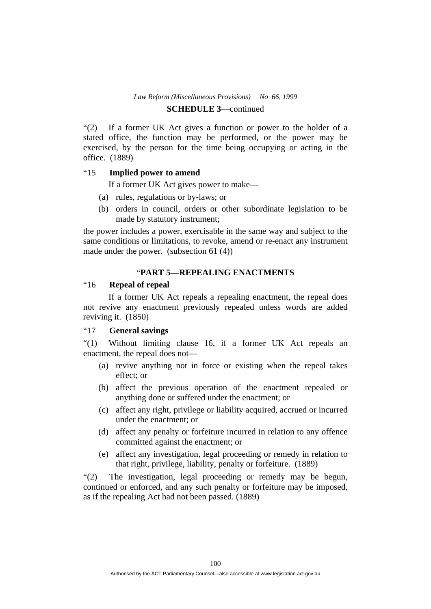#### **SCHEDULE 3**—continued

"(2) If a former UK Act gives a function or power to the holder of a stated office, the function may be performed, or the power may be exercised, by the person for the time being occupying or acting in the office. (1889)

#### "15 **Implied power to amend**

If a former UK Act gives power to make—

- (a) rules, regulations or by-laws; or
- (b) orders in council, orders or other subordinate legislation to be made by statutory instrument;

the power includes a power, exercisable in the same way and subject to the same conditions or limitations, to revoke, amend or re-enact any instrument made under the power. (subsection 61 (4))

## "**PART 5—REPEALING ENACTMENTS**

# "16 **Repeal of repeal**

 If a former UK Act repeals a repealing enactment, the repeal does not revive any enactment previously repealed unless words are added reviving it. (1850)

# "17 **General savings**

"(1) Without limiting clause 16, if a former UK Act repeals an enactment, the repeal does not—

- (a) revive anything not in force or existing when the repeal takes effect; or
- (b) affect the previous operation of the enactment repealed or anything done or suffered under the enactment; or
- (c) affect any right, privilege or liability acquired, accrued or incurred under the enactment; or
- (d) affect any penalty or forfeiture incurred in relation to any offence committed against the enactment; or
- (e) affect any investigation, legal proceeding or remedy in relation to that right, privilege, liability, penalty or forfeiture. (1889)

"(2) The investigation, legal proceeding or remedy may be begun, continued or enforced, and any such penalty or forfeiture may be imposed, as if the repealing Act had not been passed. (1889)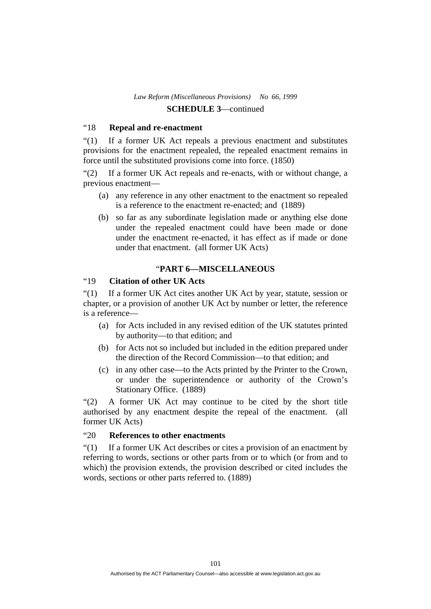# "18 **Repeal and re-enactment**

"(1) If a former UK Act repeals a previous enactment and substitutes provisions for the enactment repealed, the repealed enactment remains in force until the substituted provisions come into force. (1850)

"(2) If a former UK Act repeals and re-enacts, with or without change, a previous enactment—

- (a) any reference in any other enactment to the enactment so repealed is a reference to the enactment re-enacted; and (1889)
- (b) so far as any subordinate legislation made or anything else done under the repealed enactment could have been made or done under the enactment re-enacted, it has effect as if made or done under that enactment. (all former UK Acts)

# "**PART 6—MISCELLANEOUS**

# "19 **Citation of other UK Acts**

"(1) If a former UK Act cites another UK Act by year, statute, session or chapter, or a provision of another UK Act by number or letter, the reference is a reference—

- (a) for Acts included in any revised edition of the UK statutes printed by authority—to that edition; and
- (b) for Acts not so included but included in the edition prepared under the direction of the Record Commission—to that edition; and
- (c) in any other case—to the Acts printed by the Printer to the Crown, or under the superintendence or authority of the Crown's Stationary Office. (1889)

"(2) A former UK Act may continue to be cited by the short title authorised by any enactment despite the repeal of the enactment. (all former UK Acts)

## "20 **References to other enactments**

"(1) If a former UK Act describes or cites a provision of an enactment by referring to words, sections or other parts from or to which (or from and to which) the provision extends, the provision described or cited includes the words, sections or other parts referred to. (1889)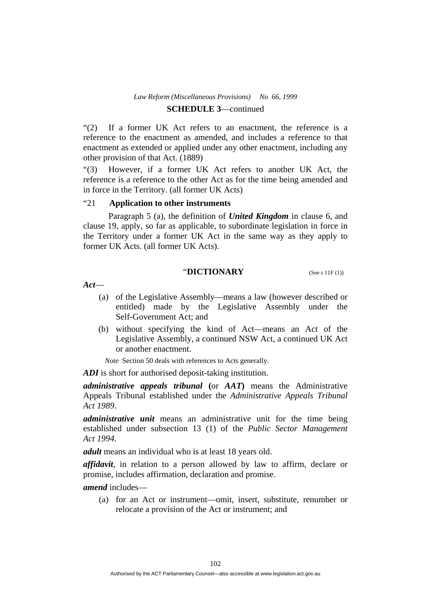"(2) If a former UK Act refers to an enactment, the reference is a reference to the enactment as amended, and includes a reference to that enactment as extended or applied under any other enactment, including any other provision of that Act. (1889)

"(3) However, if a former UK Act refers to another UK Act, the reference is a reference to the other Act as for the time being amended and in force in the Territory. (all former UK Acts)

## "21 **Application to other instruments**

 Paragraph 5 (a), the definition of *United Kingdom* in clause 6, and clause 19, apply, so far as applicable, to subordinate legislation in force in the Territory under a former UK Act in the same way as they apply to former UK Acts. (all former UK Acts).

## **"DICTIONARY** (See s 11F (1))

*Act*—

- (a) of the Legislative Assembly—means a law (however described or entitled) made by the Legislative Assembly under the Self-Government Act; and
- (b) without specifying the kind of Act—means an Act of the Legislative Assembly, a continued NSW Act, a continued UK Act or another enactment.

*Note* Section 50 deals with references to Acts generally.

*ADI* is short for authorised deposit-taking institution.

*administrative appeals tribunal* **(**or *AAT***)** means the Administrative Appeals Tribunal established under the *Administrative Appeals Tribunal Act 1989*.

*administrative unit* means an administrative unit for the time being established under subsection 13 (1) of the *Public Sector Management Act 1994*.

*adult* means an individual who is at least 18 years old.

*affidavit*, in relation to a person allowed by law to affirm, declare or promise, includes affirmation, declaration and promise.

*amend* includes—

 (a) for an Act or instrument—omit, insert, substitute, renumber or relocate a provision of the Act or instrument; and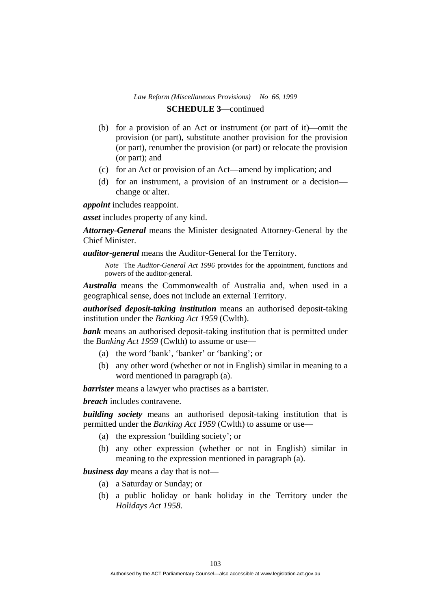- (b) for a provision of an Act or instrument (or part of it)—omit the provision (or part), substitute another provision for the provision (or part), renumber the provision (or part) or relocate the provision (or part); and
- (c) for an Act or provision of an Act—amend by implication; and
- (d) for an instrument, a provision of an instrument or a decision change or alter.

*appoint* includes reappoint.

*asset* includes property of any kind.

*Attorney-General* means the Minister designated Attorney-General by the Chief Minister.

*auditor-general* means the Auditor-General for the Territory.

*Note* The *Auditor-General Act 1996* provides for the appointment, functions and powers of the auditor-general.

*Australia* means the Commonwealth of Australia and, when used in a geographical sense, does not include an external Territory.

*authorised deposit-taking institution* means an authorised deposit-taking institution under the *Banking Act 1959* (Cwlth).

**bank** means an authorised deposit-taking institution that is permitted under the *Banking Act 1959* (Cwlth) to assume or use—

- (a) the word 'bank', 'banker' or 'banking'; or
- (b) any other word (whether or not in English) similar in meaning to a word mentioned in paragraph (a).

*barrister* means a lawyer who practises as a barrister.

*breach* includes contravene.

*building society* means an authorised deposit-taking institution that is permitted under the *Banking Act 1959* (Cwlth) to assume or use—

- (a) the expression 'building society'; or
- (b) any other expression (whether or not in English) similar in meaning to the expression mentioned in paragraph (a).

*business day* means a day that is not—

- (a) a Saturday or Sunday; or
- (b) a public holiday or bank holiday in the Territory under the *Holidays Act 1958*.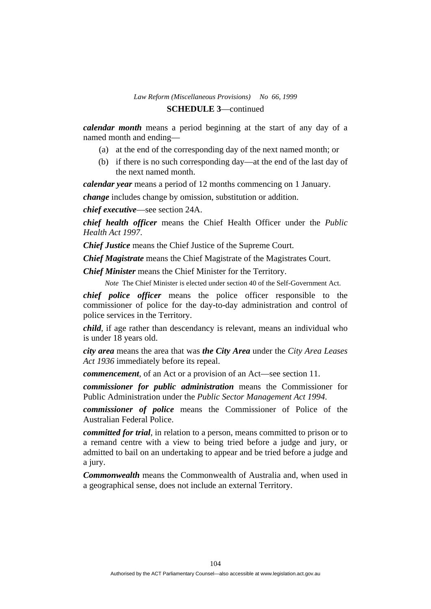*calendar month* means a period beginning at the start of any day of a named month and ending—

- (a) at the end of the corresponding day of the next named month; or
- (b) if there is no such corresponding day—at the end of the last day of the next named month.

*calendar year* means a period of 12 months commencing on 1 January.

*change* includes change by omission, substitution or addition.

*chief executive*—see section 24A.

*chief health officer* means the Chief Health Officer under the *Public Health Act 1997*.

*Chief Justice* means the Chief Justice of the Supreme Court.

*Chief Magistrate* means the Chief Magistrate of the Magistrates Court.

*Chief Minister* means the Chief Minister for the Territory.

*Note* The Chief Minister is elected under section 40 of the Self-Government Act.

*chief police officer* means the police officer responsible to the commissioner of police for the day-to-day administration and control of police services in the Territory.

*child*, if age rather than descendancy is relevant, means an individual who is under 18 years old.

*city area* means the area that was *the City Area* under the *City Area Leases Act 1936* immediately before its repeal.

*commencement*, of an Act or a provision of an Act—see section 11.

*commissioner for public administration* means the Commissioner for Public Administration under the *Public Sector Management Act 1994*.

*commissioner of police* means the Commissioner of Police of the Australian Federal Police.

*committed for trial*, in relation to a person, means committed to prison or to a remand centre with a view to being tried before a judge and jury, or admitted to bail on an undertaking to appear and be tried before a judge and a jury.

*Commonwealth* means the Commonwealth of Australia and, when used in a geographical sense, does not include an external Territory.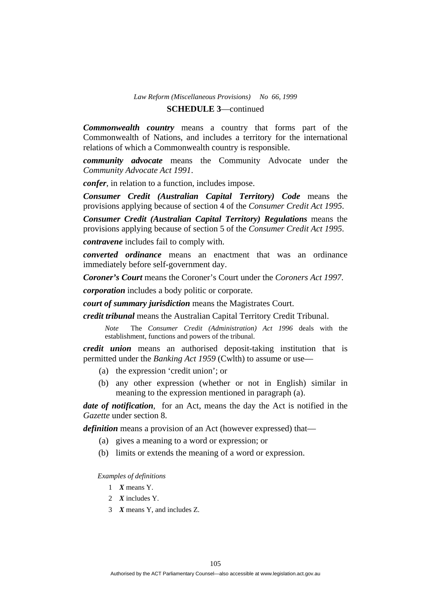# **SCHEDULE 3**—continued

*Commonwealth country* means a country that forms part of the Commonwealth of Nations, and includes a territory for the international relations of which a Commonwealth country is responsible.

*community advocate* means the Community Advocate under the *Community Advocate Act 1991*.

*confer*, in relation to a function, includes impose.

*Consumer Credit (Australian Capital Territory) Code* means the provisions applying because of section 4 of the *Consumer Credit Act 1995*.

*Consumer Credit (Australian Capital Territory) Regulations* means the provisions applying because of section 5 of the *Consumer Credit Act 1995*.

*contravene* includes fail to comply with.

*converted ordinance* means an enactment that was an ordinance immediately before self-government day.

*Coroner's Court* means the Coroner's Court under the *Coroners Act 1997*.

*corporation* includes a body politic or corporate.

*court of summary jurisdiction* means the Magistrates Court.

*credit tribunal* means the Australian Capital Territory Credit Tribunal.

*Note* The *Consumer Credit (Administration) Act 1996* deals with the establishment, functions and powers of the tribunal.

*credit union* means an authorised deposit-taking institution that is permitted under the *Banking Act 1959* (Cwlth) to assume or use—

- (a) the expression 'credit union'; or
- (b) any other expression (whether or not in English) similar in meaning to the expression mentioned in paragraph (a).

*date of notification*, for an Act, means the day the Act is notified in the *Gazette* under section 8.

*definition* means a provision of an Act (however expressed) that—

- (a) gives a meaning to a word or expression; or
- (b) limits or extends the meaning of a word or expression.

*Examples of definitions* 

- 1 *X* means Y.
- 2 *X* includes Y.
- 3 *X* means Y, and includes Z.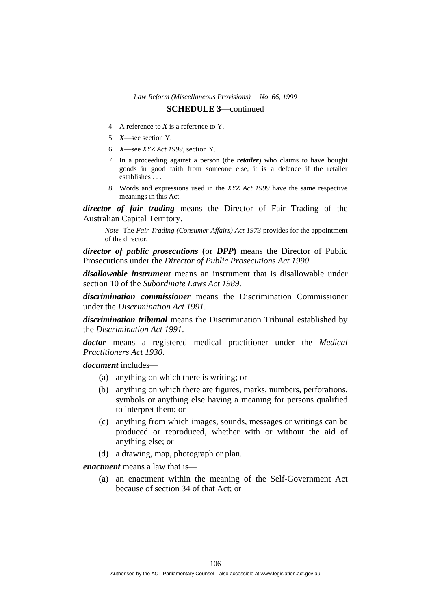# **SCHEDULE 3**—continued

- 4 A reference to *X* is a reference to Y.
- 5 *X*—see section Y.
- 6 *X*—see *XYZ Act 1999*, section Y.
- 7 In a proceeding against a person (the *retailer*) who claims to have bought goods in good faith from someone else, it is a defence if the retailer establishes . . .
- 8 Words and expressions used in the *XYZ Act 1999* have the same respective meanings in this Act.

*director of fair trading* means the Director of Fair Trading of the Australian Capital Territory.

*Note* The *Fair Trading (Consumer Affairs) Act 1973* provides for the appointment of the director.

*director of public prosecutions* **(**or *DPP***)** means the Director of Public Prosecutions under the *Director of Public Prosecutions Act 1990*.

*disallowable instrument* means an instrument that is disallowable under section 10 of the *Subordinate Laws Act 1989*.

*discrimination commissioner* means the Discrimination Commissioner under the *Discrimination Act 1991*.

*discrimination tribunal* means the Discrimination Tribunal established by the *Discrimination Act 1991*.

*doctor* means a registered medical practitioner under the *Medical Practitioners Act 1930*.

*document* includes—

- (a) anything on which there is writing; or
- (b) anything on which there are figures, marks, numbers, perforations, symbols or anything else having a meaning for persons qualified to interpret them; or
- (c) anything from which images, sounds, messages or writings can be produced or reproduced, whether with or without the aid of anything else; or
- (d) a drawing, map, photograph or plan.

*enactment* means a law that is—

 (a) an enactment within the meaning of the Self-Government Act because of section 34 of that Act; or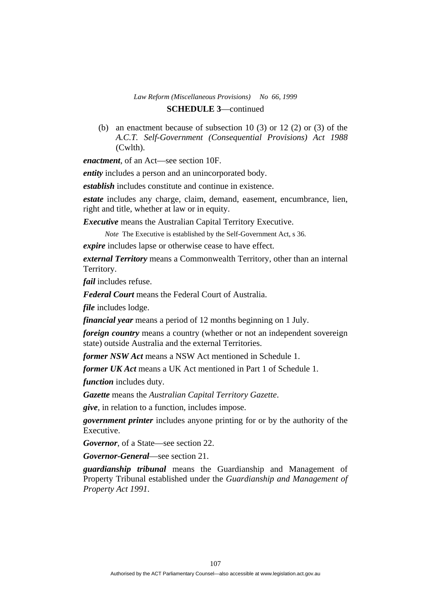(b) an enactment because of subsection 10 (3) or 12 (2) or (3) of the *A.C.T. Self-Government (Consequential Provisions) Act 1988* (Cwlth).

*enactment*, of an Act—see section 10F.

*entity* includes a person and an unincorporated body.

*establish* includes constitute and continue in existence.

*estate* includes any charge, claim, demand, easement, encumbrance, lien, right and title, whether at law or in equity.

*Executive* means the Australian Capital Territory Executive.

*Note* The Executive is established by the Self-Government Act, s 36.

*expire* includes lapse or otherwise cease to have effect.

*external Territory* means a Commonwealth Territory, other than an internal Territory.

*fail* includes refuse.

*Federal Court* means the Federal Court of Australia.

*file* includes lodge.

*financial year* means a period of 12 months beginning on 1 July.

*foreign country* means a country (whether or not an independent sovereign state) outside Australia and the external Territories.

*former NSW Act* means a NSW Act mentioned in Schedule 1.

*former UK Act* means a UK Act mentioned in Part 1 of Schedule 1.

*function* includes duty.

*Gazette* means the *Australian Capital Territory Gazette*.

*give*, in relation to a function, includes impose.

*government printer* includes anyone printing for or by the authority of the Executive.

*Governor*, of a State—see section 22.

*Governor-General*—see section 21.

*guardianship tribunal* means the Guardianship and Management of Property Tribunal established under the *Guardianship and Management of Property Act 1991*.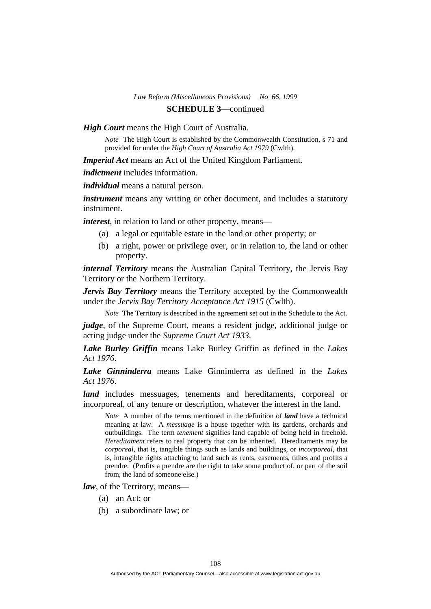*High Court* means the High Court of Australia.

*Note* The High Court is established by the Commonwealth Constitution, s 71 and provided for under the *High Court of Australia Act 1979* (Cwlth).

*Imperial Act* means an Act of the United Kingdom Parliament.

*indictment* includes information.

*individual* means a natural person.

*instrument* means any writing or other document, and includes a statutory instrument.

*interest*, in relation to land or other property, means—

- (a) a legal or equitable estate in the land or other property; or
- (b) a right, power or privilege over, or in relation to, the land or other property.

*internal Territory* means the Australian Capital Territory, the Jervis Bay Territory or the Northern Territory.

*Jervis Bay Territory* means the Territory accepted by the Commonwealth under the *Jervis Bay Territory Acceptance Act 1915* (Cwlth).

*Note* The Territory is described in the agreement set out in the Schedule to the Act.

*judge*, of the Supreme Court, means a resident judge, additional judge or acting judge under the *Supreme Court Act 1933*.

*Lake Burley Griffin* means Lake Burley Griffin as defined in the *Lakes Act 1976*.

*Lake Ginninderra* means Lake Ginninderra as defined in the *Lakes Act 1976*.

*land* includes messuages, tenements and hereditaments, corporeal or incorporeal, of any tenure or description, whatever the interest in the land.

*Note* A number of the terms mentioned in the definition of *land* have a technical meaning at law. A *messuage* is a house together with its gardens, orchards and outbuildings. The term *tenement* signifies land capable of being held in freehold. *Hereditament* refers to real property that can be inherited. Hereditaments may be *corporeal*, that is, tangible things such as lands and buildings, or *incorporeal*, that is, intangible rights attaching to land such as rents, easements, tithes and profits a prendre. (Profits a prendre are the right to take some product of, or part of the soil from, the land of someone else.)

*law*, of the Territory, means—

- (a) an Act; or
- (b) a subordinate law; or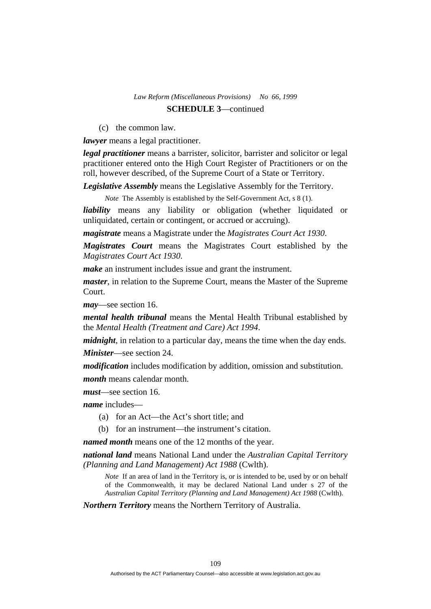(c) the common law.

*lawyer* means a legal practitioner.

*legal practitioner* means a barrister, solicitor, barrister and solicitor or legal practitioner entered onto the High Court Register of Practitioners or on the roll, however described, of the Supreme Court of a State or Territory.

*Legislative Assembly* means the Legislative Assembly for the Territory.

*Note* The Assembly is established by the Self-Government Act, s 8 (1).

*liability* means any liability or obligation (whether liquidated or unliquidated, certain or contingent, or accrued or accruing).

*magistrate* means a Magistrate under the *Magistrates Court Act 1930*.

*Magistrates Court* means the Magistrates Court established by the *Magistrates Court Act 1930*.

*make* an instrument includes issue and grant the instrument.

*master*, in relation to the Supreme Court, means the Master of the Supreme Court.

*may*—see section 16.

*mental health tribunal* means the Mental Health Tribunal established by the *Mental Health (Treatment and Care) Act 1994*.

*midnight*, in relation to a particular day, means the time when the day ends.

*Minister*—see section 24.

*modification* includes modification by addition, omission and substitution. *month* means calendar month.

*must*—see section 16.

*name* includes—

- (a) for an Act—the Act's short title; and
- (b) for an instrument—the instrument's citation.

*named month* means one of the 12 months of the year.

*national land* means National Land under the *Australian Capital Territory (Planning and Land Management) Act 1988* (Cwlth).

*Note* If an area of land in the Territory is, or is intended to be, used by or on behalf of the Commonwealth, it may be declared National Land under s 27 of the *Australian Capital Territory (Planning and Land Management) Act 1988* (Cwlth).

*Northern Territory* means the Northern Territory of Australia.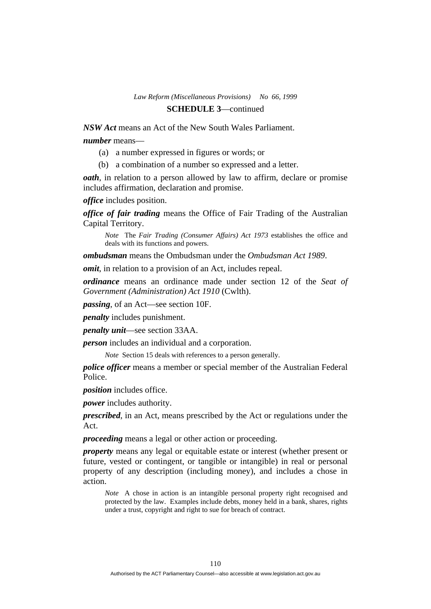*NSW Act* means an Act of the New South Wales Parliament.

*number* means—

- (a) a number expressed in figures or words; or
- (b) a combination of a number so expressed and a letter.

*oath*, in relation to a person allowed by law to affirm, declare or promise includes affirmation, declaration and promise.

*office* includes position.

*office of fair trading* means the Office of Fair Trading of the Australian Capital Territory.

*Note* The *Fair Trading (Consumer Affairs) Act 1973* establishes the office and deals with its functions and powers.

*ombudsman* means the Ombudsman under the *Ombudsman Act 1989*.

*omit*, in relation to a provision of an Act, includes repeal.

*ordinance* means an ordinance made under section 12 of the *Seat of Government (Administration) Act 1910* (Cwlth).

*passing*, of an Act—see section 10F.

*penalty* includes punishment.

*penalty unit*—see section 33AA.

*person* includes an individual and a corporation.

*Note* Section 15 deals with references to a person generally.

*police officer* means a member or special member of the Australian Federal Police.

*position* includes office.

*power* includes authority.

*prescribed*, in an Act, means prescribed by the Act or regulations under the Act.

*proceeding* means a legal or other action or proceeding.

*property* means any legal or equitable estate or interest (whether present or future, vested or contingent, or tangible or intangible) in real or personal property of any description (including money), and includes a chose in action.

*Note* A chose in action is an intangible personal property right recognised and protected by the law. Examples include debts, money held in a bank, shares, rights under a trust, copyright and right to sue for breach of contract.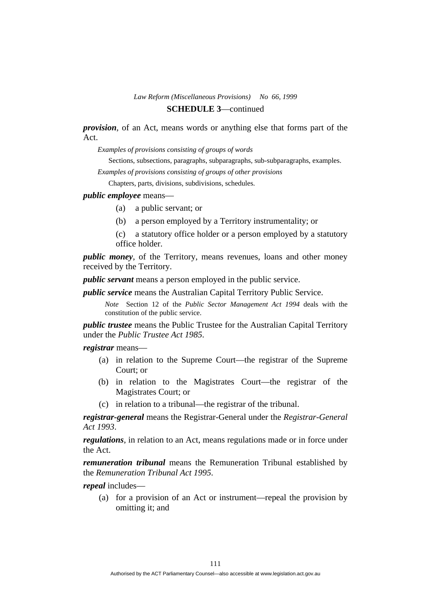*provision*, of an Act, means words or anything else that forms part of the Act.

*Examples of provisions consisting of groups of words* 

Sections, subsections, paragraphs, subparagraphs, sub-subparagraphs, examples.

*Examples of provisions consisting of groups of other provisions* 

Chapters, parts, divisions, subdivisions, schedules.

### *public employee* means—

- (a) a public servant; or
- (b) a person employed by a Territory instrumentality; or
- (c) a statutory office holder or a person employed by a statutory office holder.

*public money*, of the Territory, means revenues, loans and other money received by the Territory.

*public servant* means a person employed in the public service.

*public service* means the Australian Capital Territory Public Service.

*Note* Section 12 of the *Public Sector Management Act 1994* deals with the constitution of the public service.

*public trustee* means the Public Trustee for the Australian Capital Territory under the *Public Trustee Act 1985*.

*registrar* means—

- (a) in relation to the Supreme Court—the registrar of the Supreme Court; or
- (b) in relation to the Magistrates Court—the registrar of the Magistrates Court; or
- (c) in relation to a tribunal—the registrar of the tribunal.

*registrar-general* means the Registrar-General under the *Registrar-General Act 1993*.

*regulations*, in relation to an Act, means regulations made or in force under the Act.

*remuneration tribunal* means the Remuneration Tribunal established by the *Remuneration Tribunal Act 1995*.

*repeal* includes—

 (a) for a provision of an Act or instrument—repeal the provision by omitting it; and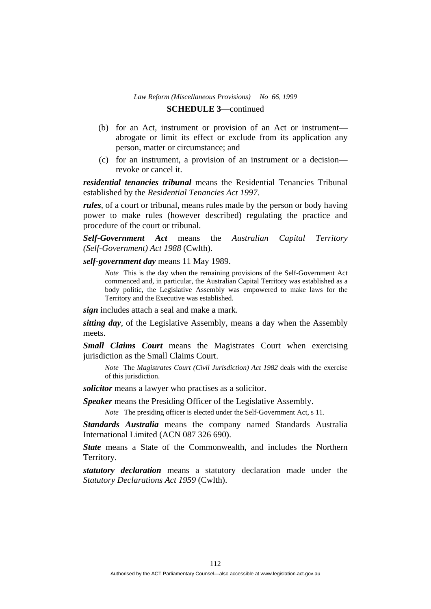- (b) for an Act, instrument or provision of an Act or instrument abrogate or limit its effect or exclude from its application any person, matter or circumstance; and
- (c) for an instrument, a provision of an instrument or a decision revoke or cancel it.

*residential tenancies tribunal* means the Residential Tenancies Tribunal established by the *Residential Tenancies Act 1997*.

*rules*, of a court or tribunal, means rules made by the person or body having power to make rules (however described) regulating the practice and procedure of the court or tribunal.

*Self-Government Act* means the *Australian Capital Territory (Self-Government) Act 1988* (Cwlth).

*self-government day* means 11 May 1989.

*Note* This is the day when the remaining provisions of the Self-Government Act commenced and, in particular, the Australian Capital Territory was established as a body politic, the Legislative Assembly was empowered to make laws for the Territory and the Executive was established.

*sign* includes attach a seal and make a mark.

*sitting day*, of the Legislative Assembly, means a day when the Assembly meets.

*Small Claims Court* means the Magistrates Court when exercising jurisdiction as the Small Claims Court.

*Note* The *Magistrates Court (Civil Jurisdiction) Act 1982* deals with the exercise of this jurisdiction.

*solicitor* means a lawyer who practises as a solicitor.

*Speaker* means the Presiding Officer of the Legislative Assembly.

*Note* The presiding officer is elected under the Self-Government Act, s 11.

*Standards Australia* means the company named Standards Australia International Limited (ACN 087 326 690).

*State* means a State of the Commonwealth, and includes the Northern Territory.

*statutory declaration* means a statutory declaration made under the *Statutory Declarations Act 1959* (Cwlth).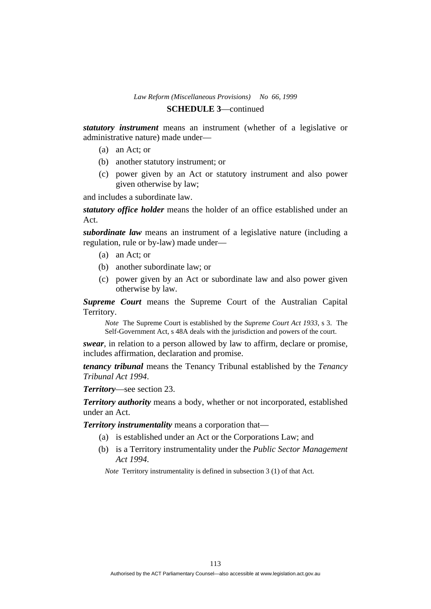# *Law Reform (Miscellaneous Provisions) No 66, 1999*

# **SCHEDULE 3**—continued

*statutory instrument* means an instrument (whether of a legislative or administrative nature) made under—

- (a) an Act; or
- (b) another statutory instrument; or
- (c) power given by an Act or statutory instrument and also power given otherwise by law;

and includes a subordinate law.

*statutory office holder* means the holder of an office established under an Act.

*subordinate law* means an instrument of a legislative nature (including a regulation, rule or by-law) made under—

- (a) an Act; or
- (b) another subordinate law; or
- (c) power given by an Act or subordinate law and also power given otherwise by law.

*Supreme Court* means the Supreme Court of the Australian Capital Territory.

*Note* The Supreme Court is established by the *Supreme Court Act 1933*, s 3. The Self-Government Act, s 48A deals with the jurisdiction and powers of the court.

*swear*, in relation to a person allowed by law to affirm, declare or promise, includes affirmation, declaration and promise.

*tenancy tribunal* means the Tenancy Tribunal established by the *Tenancy Tribunal Act 1994*.

*Territory*—see section 23.

*Territory authority* means a body, whether or not incorporated, established under an Act.

*Territory instrumentality* means a corporation that—

- (a) is established under an Act or the Corporations Law; and
- (b) is a Territory instrumentality under the *Public Sector Management Act 1994*.

*Note* Territory instrumentality is defined in subsection 3 (1) of that Act.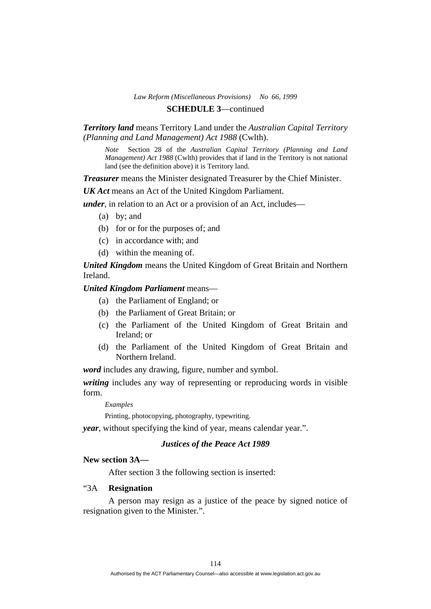# *Law Reform (Miscellaneous Provisions) No 66, 1999*

# **SCHEDULE 3**—continued

### *Territory land* means Territory Land under the *Australian Capital Territory (Planning and Land Management) Act 1988* (Cwlth).

*Note* Section 28 of the *Australian Capital Territory (Planning and Land Management) Act 1988* (Cwlth) provides that if land in the Territory is not national land (see the definition above) it is Territory land.

*Treasurer* means the Minister designated Treasurer by the Chief Minister.

*UK Act* means an Act of the United Kingdom Parliament.

*under*, in relation to an Act or a provision of an Act, includes—

- (a) by; and
- (b) for or for the purposes of; and
- (c) in accordance with; and
- (d) within the meaning of.

*United Kingdom* means the United Kingdom of Great Britain and Northern Ireland.

### *United Kingdom Parliament* means—

- (a) the Parliament of England; or
- (b) the Parliament of Great Britain; or
- (c) the Parliament of the United Kingdom of Great Britain and Ireland; or
- (d) the Parliament of the United Kingdom of Great Britain and Northern Ireland.

*word* includes any drawing, figure, number and symbol.

*writing* includes any way of representing or reproducing words in visible form.

*Examples* 

Printing, photocopying, photography, typewriting.

*year*, without specifying the kind of year, means calendar year.".

# *Justices of the Peace Act 1989*

# **New section 3A—**

After section 3 the following section is inserted:

# "3A **Resignation**

 A person may resign as a justice of the peace by signed notice of resignation given to the Minister.".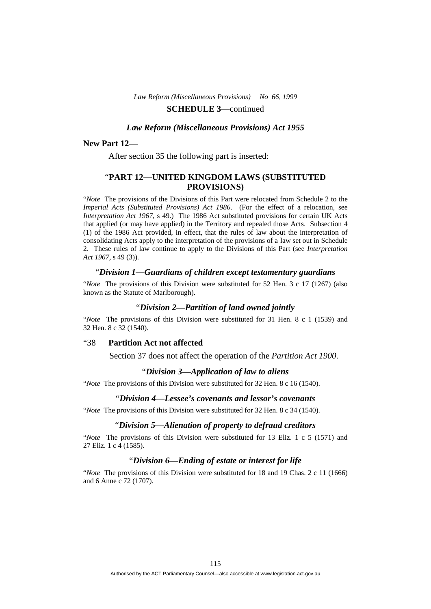#### *Law Reform (Miscellaneous Provisions) Act 1955*

#### **New Part 12—**

After section 35 the following part is inserted:

### "**PART 12—UNITED KINGDOM LAWS (SUBSTITUTED PROVISIONS)**

"*Note* The provisions of the Divisions of this Part were relocated from Schedule 2 to the *Imperial Acts (Substituted Provisions) Act 1986*. (For the effect of a relocation, see *Interpretation Act 1967*, s 49.) The 1986 Act substituted provisions for certain UK Acts that applied (or may have applied) in the Territory and repealed those Acts. Subsection 4 (1) of the 1986 Act provided, in effect, that the rules of law about the interpretation of consolidating Acts apply to the interpretation of the provisions of a law set out in Schedule 2. These rules of law continue to apply to the Divisions of this Part (see *Interpretation Act 1967*, s 49 (3)).

#### "*Division 1—Guardians of children except testamentary guardians*

"*Note* The provisions of this Division were substituted for 52 Hen. 3 c 17 (1267) (also known as the Statute of Marlborough).

#### "*Division 2—Partition of land owned jointly*

"*Note* The provisions of this Division were substituted for 31 Hen. 8 c 1 (1539) and 32 Hen. 8 c 32 (1540).

#### "38 **Partition Act not affected**

Section 37 does not affect the operation of the *Partition Act 1900*.

#### "*Division 3—Application of law to aliens*

"*Note* The provisions of this Division were substituted for 32 Hen. 8 c 16 (1540).

#### "*Division 4—Lessee's covenants and lessor's covenants*

"*Note* The provisions of this Division were substituted for 32 Hen. 8 c 34 (1540).

### "*Division 5—Alienation of property to defraud creditors*

"*Note* The provisions of this Division were substituted for 13 Eliz. 1 c 5 (1571) and 27 Eliz. 1 c 4 (1585).

#### "*Division 6—Ending of estate or interest for life*

"*Note* The provisions of this Division were substituted for 18 and 19 Chas. 2 c 11 (1666) and 6 Anne c 72 (1707).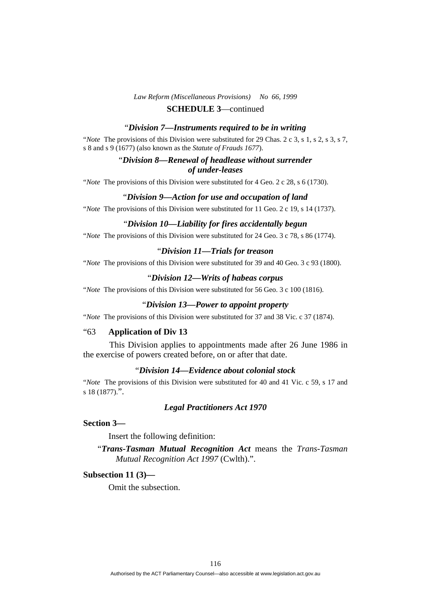# *Law Reform (Miscellaneous Provisions) No 66, 1999*

# **SCHEDULE 3**—continued

#### "*Division 7—Instruments required to be in writing*

"*Note* The provisions of this Division were substituted for 29 Chas. 2 c 3, s 1, s 2, s 3, s 7, s 8 and s 9 (1677) (also known as the *Statute of Frauds 1677*).

# "*Division 8—Renewal of headlease without surrender of under-leases*

"*Note* The provisions of this Division were substituted for 4 Geo. 2 c 28, s 6 (1730).

#### "*Division 9—Action for use and occupation of land*

"*Note* The provisions of this Division were substituted for 11 Geo. 2 c 19, s 14 (1737).

### "*Division 10—Liability for fires accidentally begun*

"*Note* The provisions of this Division were substituted for 24 Geo. 3 c 78, s 86 (1774).

#### "*Division 11—Trials for treason*

"*Note* The provisions of this Division were substituted for 39 and 40 Geo. 3 c 93 (1800).

#### "*Division 12—Writs of habeas corpus*

"*Note* The provisions of this Division were substituted for 56 Geo. 3 c 100 (1816).

#### "*Division 13—Power to appoint property*

"*Note* The provisions of this Division were substituted for 37 and 38 Vic. c 37 (1874).

### "63 **Application of Div 13**

 This Division applies to appointments made after 26 June 1986 in the exercise of powers created before, on or after that date.

# "*Division 14—Evidence about colonial stock*

"*Note* The provisions of this Division were substituted for 40 and 41 Vic. c 59, s 17 and s 18 (1877).".

#### *Legal Practitioners Act 1970*

# **Section 3—**

Insert the following definition:

"*Trans-Tasman Mutual Recognition Act* means the *Trans-Tasman Mutual Recognition Act 1997* (Cwlth).".

# **Subsection 11 (3)—**

Omit the subsection.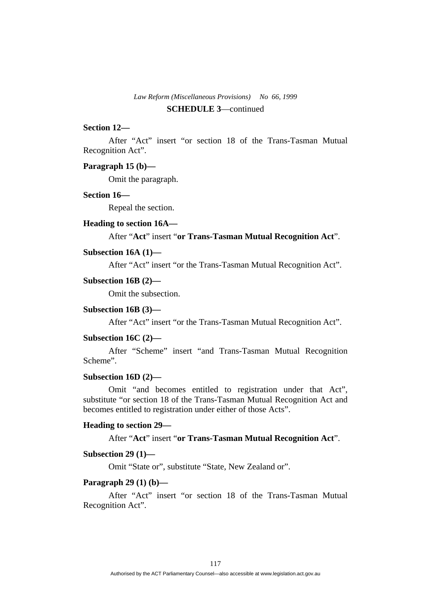# **Section 12—**

 After "Act" insert "or section 18 of the Trans-Tasman Mutual Recognition Act".

#### **Paragraph 15 (b)—**

Omit the paragraph.

# **Section 16—**

Repeal the section.

#### **Heading to section 16A—**

After "**Act**" insert "**or Trans-Tasman Mutual Recognition Act**".

### **Subsection 16A (1)—**

After "Act" insert "or the Trans-Tasman Mutual Recognition Act".

#### **Subsection 16B (2)—**

Omit the subsection.

#### **Subsection 16B (3)—**

After "Act" insert "or the Trans-Tasman Mutual Recognition Act".

#### **Subsection 16C (2)—**

 After "Scheme" insert "and Trans-Tasman Mutual Recognition Scheme".

# **Subsection 16D (2)—**

 Omit "and becomes entitled to registration under that Act", substitute "or section 18 of the Trans-Tasman Mutual Recognition Act and becomes entitled to registration under either of those Acts".

#### **Heading to section 29—**

After "**Act**" insert "**or Trans-Tasman Mutual Recognition Act**".

#### **Subsection 29 (1)—**

Omit "State or", substitute "State, New Zealand or".

#### **Paragraph 29 (1) (b)—**

After "Act" insert "or section 18 of the Trans-Tasman Mutual Recognition Act".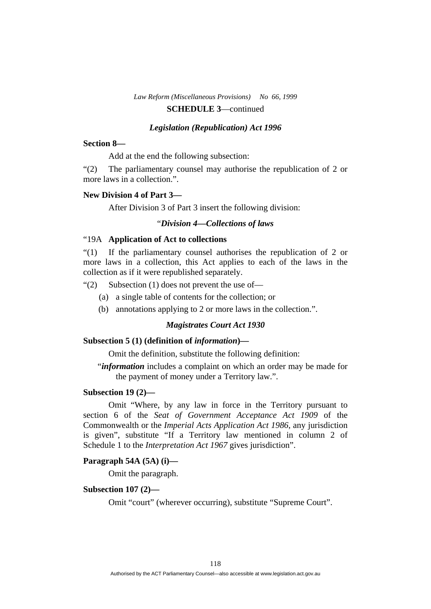#### *Legislation (Republication) Act 1996*

#### **Section 8—**

Add at the end the following subsection:

"(2) The parliamentary counsel may authorise the republication of 2 or more laws in a collection.".

# **New Division 4 of Part 3—**

After Division 3 of Part 3 insert the following division:

# "*Division 4—Collections of laws*

### "19A **Application of Act to collections**

"(1) If the parliamentary counsel authorises the republication of 2 or more laws in a collection, this Act applies to each of the laws in the collection as if it were republished separately.

" $(2)$  Subsection  $(1)$  does not prevent the use of-

- (a) a single table of contents for the collection; or
- (b) annotations applying to 2 or more laws in the collection.".

# *Magistrates Court Act 1930*

#### **Subsection 5 (1) (definition of** *information***)—**

Omit the definition, substitute the following definition:

"*information* includes a complaint on which an order may be made for the payment of money under a Territory law.".

# **Subsection 19 (2)—**

Omit "Where, by any law in force in the Territory pursuant to section 6 of the *Seat of Government Acceptance Act 1909* of the Commonwealth or the *Imperial Acts Application Act 1986*, any jurisdiction is given", substitute "If a Territory law mentioned in column 2 of Schedule 1 to the *Interpretation Act 1967* gives jurisdiction".

#### **Paragraph 54A (5A) (i)—**

Omit the paragraph.

#### **Subsection 107 (2)—**

Omit "court" (wherever occurring), substitute "Supreme Court".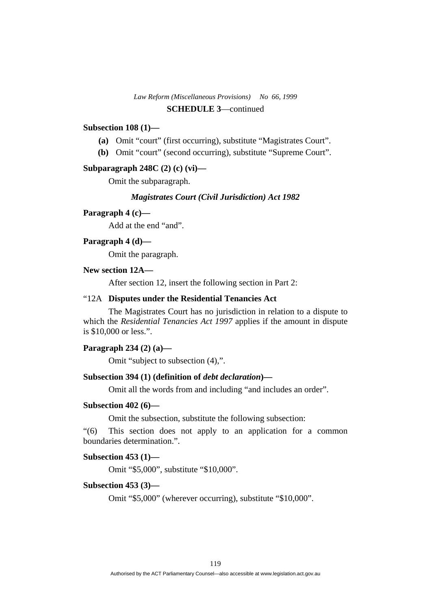### **Subsection 108 (1)—**

- **(a)** Omit "court" (first occurring), substitute "Magistrates Court".
- **(b)** Omit "court" (second occurring), substitute "Supreme Court".

#### **Subparagraph 248C (2) (c) (vi)—**

Omit the subparagraph.

### *Magistrates Court (Civil Jurisdiction) Act 1982*

### **Paragraph 4 (c)—**

Add at the end "and".

### **Paragraph 4 (d)—**

Omit the paragraph.

### **New section 12A—**

After section 12, insert the following section in Part 2:

### "12A **Disputes under the Residential Tenancies Act**

 The Magistrates Court has no jurisdiction in relation to a dispute to which the *Residential Tenancies Act 1997* applies if the amount in dispute is \$10,000 or less.".

# **Paragraph 234 (2) (a)—**

Omit "subject to subsection (4),".

# **Subsection 394 (1) (definition of** *debt declaration***)—**

Omit all the words from and including "and includes an order".

# **Subsection 402 (6)—**

Omit the subsection, substitute the following subsection:

"(6) This section does not apply to an application for a common boundaries determination.".

# **Subsection 453 (1)—**

Omit "\$5,000", substitute "\$10,000".

#### **Subsection 453 (3)—**

Omit "\$5,000" (wherever occurring), substitute "\$10,000".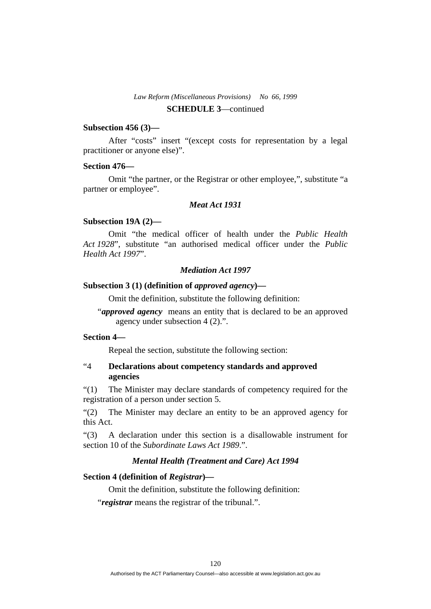#### **Subsection 456 (3)—**

After "costs" insert "(except costs for representation by a legal practitioner or anyone else)".

#### **Section 476—**

Omit "the partner, or the Registrar or other employee,", substitute "a partner or employee".

# *Meat Act 1931*

#### **Subsection 19A (2)—**

 Omit "the medical officer of health under the *Public Health Act 1928*", substitute "an authorised medical officer under the *Public Health Act 1997*".

#### *Mediation Act 1997*

### **Subsection 3 (1) (definition of** *approved agency***)—**

Omit the definition, substitute the following definition:

"*approved agency* means an entity that is declared to be an approved agency under subsection 4 (2).".

# **Section 4—**

Repeal the section, substitute the following section:

# "4 **Declarations about competency standards and approved agencies**

"(1) The Minister may declare standards of competency required for the registration of a person under section 5.

"(2) The Minister may declare an entity to be an approved agency for this Act.

"(3) A declaration under this section is a disallowable instrument for section 10 of the *Subordinate Laws Act 1989*.".

### *Mental Health (Treatment and Care) Act 1994*

#### **Section 4 (definition of** *Registrar***)—**

Omit the definition, substitute the following definition:

"*registrar* means the registrar of the tribunal.".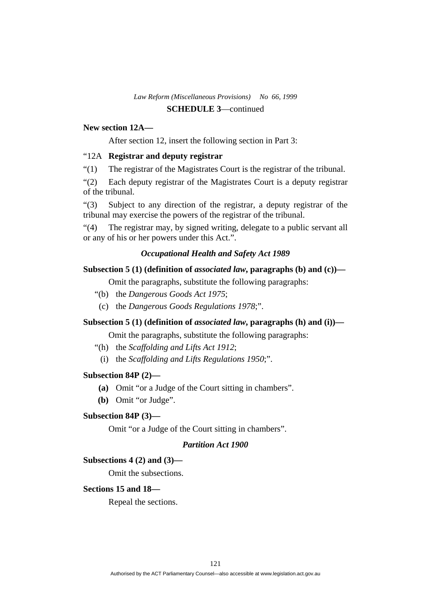### **New section 12A—**

After section 12, insert the following section in Part 3:

### "12A **Registrar and deputy registrar**

"(1) The registrar of the Magistrates Court is the registrar of the tribunal.

"(2) Each deputy registrar of the Magistrates Court is a deputy registrar of the tribunal.

"(3) Subject to any direction of the registrar, a deputy registrar of the tribunal may exercise the powers of the registrar of the tribunal.

"(4) The registrar may, by signed writing, delegate to a public servant all or any of his or her powers under this Act.".

### *Occupational Health and Safety Act 1989*

#### **Subsection 5 (1) (definition of** *associated law***, paragraphs (b) and (c))—**

Omit the paragraphs, substitute the following paragraphs:

- "(b) the *Dangerous Goods Act 1975*;
- (c) the *Dangerous Goods Regulations 1978*;".

# **Subsection 5 (1) (definition of** *associated law***, paragraphs (h) and (i))—**

Omit the paragraphs, substitute the following paragraphs:

- "(h) the *Scaffolding and Lifts Act 1912*;
	- (i) the *Scaffolding and Lifts Regulations 1950*;".

#### **Subsection 84P (2)—**

- **(a)** Omit "or a Judge of the Court sitting in chambers".
- **(b)** Omit "or Judge".

### **Subsection 84P (3)—**

Omit "or a Judge of the Court sitting in chambers".

# *Partition Act 1900*

### **Subsections 4 (2) and (3)—**

Omit the subsections.

### **Sections 15 and 18—**

Repeal the sections.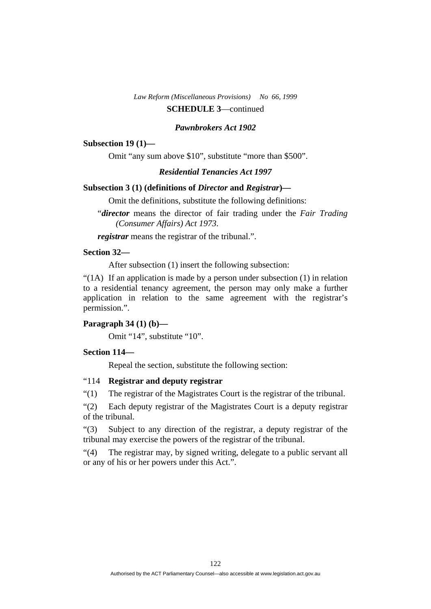#### *Pawnbrokers Act 1902*

#### **Subsection 19 (1)—**

Omit "any sum above \$10", substitute "more than \$500".

# *Residential Tenancies Act 1997*

# **Subsection 3 (1) (definitions of** *Director* **and** *Registrar***)—**

Omit the definitions, substitute the following definitions:

"*director* means the director of fair trading under the *Fair Trading (Consumer Affairs) Act 1973*.

*registrar* means the registrar of the tribunal.".

# **Section 32—**

After subsection (1) insert the following subsection:

"(1A) If an application is made by a person under subsection (1) in relation to a residential tenancy agreement, the person may only make a further application in relation to the same agreement with the registrar's permission.".

### **Paragraph 34 (1) (b)—**

Omit "14", substitute "10".

# **Section 114—**

Repeal the section, substitute the following section:

#### "114 **Registrar and deputy registrar**

"(1) The registrar of the Magistrates Court is the registrar of the tribunal.

"(2) Each deputy registrar of the Magistrates Court is a deputy registrar of the tribunal.

"(3) Subject to any direction of the registrar, a deputy registrar of the tribunal may exercise the powers of the registrar of the tribunal.

"(4) The registrar may, by signed writing, delegate to a public servant all or any of his or her powers under this Act.".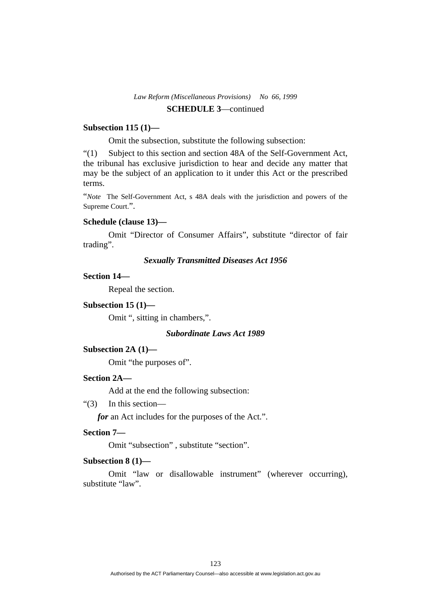### **Subsection 115 (1)—**

Omit the subsection, substitute the following subsection:

"(1) Subject to this section and section 48A of the Self-Government Act, the tribunal has exclusive jurisdiction to hear and decide any matter that may be the subject of an application to it under this Act or the prescribed terms.

"*Note* The Self-Government Act, s 48A deals with the jurisdiction and powers of the Supreme Court.".

#### **Schedule (clause 13)—**

Omit "Director of Consumer Affairs", substitute "director of fair trading".

# *Sexually Transmitted Diseases Act 1956*

#### **Section 14—**

Repeal the section.

# **Subsection 15 (1)—**

Omit ", sitting in chambers,".

# *Subordinate Laws Act 1989*

#### **Subsection 2A (1)—**

Omit "the purposes of".

### **Section 2A—**

Add at the end the following subsection:

"(3) In this section—

*for* an Act includes for the purposes of the Act.".

#### **Section 7—**

Omit "subsection" , substitute "section".

### **Subsection 8 (1)—**

Omit "law or disallowable instrument" (wherever occurring), substitute "law".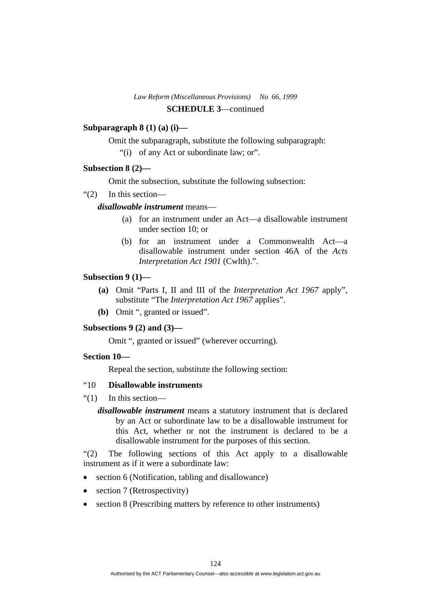# **Subparagraph 8 (1) (a) (i)—**

Omit the subparagraph, substitute the following subparagraph:

"(i) of any Act or subordinate law; or".

# **Subsection 8 (2)—**

Omit the subsection, substitute the following subsection:

"(2) In this section—

# *disallowable instrument* means—

- (a) for an instrument under an Act—a disallowable instrument under section 10; or
- (b) for an instrument under a Commonwealth Act—a disallowable instrument under section 46A of the *Acts Interpretation Act 1901* (Cwlth).".

# **Subsection 9 (1)—**

- **(a)** Omit "Parts I, II and III of the *Interpretation Act 1967* apply", substitute "The *Interpretation Act 1967* applies".
- **(b)** Omit ", granted or issued".

# **Subsections 9 (2) and (3)—**

Omit ", granted or issued" (wherever occurring).

# **Section 10—**

Repeal the section, substitute the following section:

### "10 **Disallowable instruments**

"(1) In this section—

*disallowable instrument* means a statutory instrument that is declared by an Act or subordinate law to be a disallowable instrument for this Act, whether or not the instrument is declared to be a disallowable instrument for the purposes of this section.

"(2) The following sections of this Act apply to a disallowable instrument as if it were a subordinate law:

- section 6 (Notification, tabling and disallowance)
- section 7 (Retrospectivity)
- section 8 (Prescribing matters by reference to other instruments)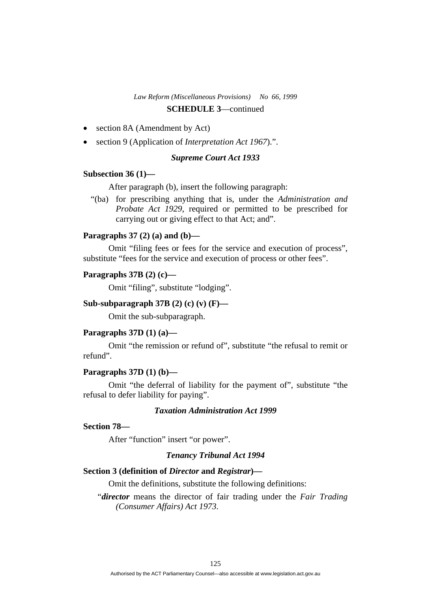# *Law Reform (Miscellaneous Provisions) No 66, 1999*

# **SCHEDULE 3**—continued

- section 8A (Amendment by Act)
- section 9 (Application of *Interpretation Act 1967*).".

# *Supreme Court Act 1933*

### **Subsection 36 (1)—**

After paragraph (b), insert the following paragraph:

 "(ba) for prescribing anything that is, under the *Administration and Probate Act 1929*, required or permitted to be prescribed for carrying out or giving effect to that Act; and".

### **Paragraphs 37 (2) (a) and (b)—**

 Omit "filing fees or fees for the service and execution of process", substitute "fees for the service and execution of process or other fees".

#### **Paragraphs 37B (2) (c)—**

Omit "filing", substitute "lodging".

# **Sub-subparagraph 37B (2) (c) (v) (F)—**

Omit the sub-subparagraph.

#### **Paragraphs 37D (1) (a)—**

 Omit "the remission or refund of", substitute "the refusal to remit or refund".

# **Paragraphs 37D (1) (b)—**

 Omit "the deferral of liability for the payment of", substitute "the refusal to defer liability for paying".

### *Taxation Administration Act 1999*

# **Section 78—**

After "function" insert "or power".

# *Tenancy Tribunal Act 1994*

# **Section 3 (definition of** *Director* **and** *Registrar***)—**

Omit the definitions, substitute the following definitions:

"*director* means the director of fair trading under the *Fair Trading (Consumer Affairs) Act 1973*.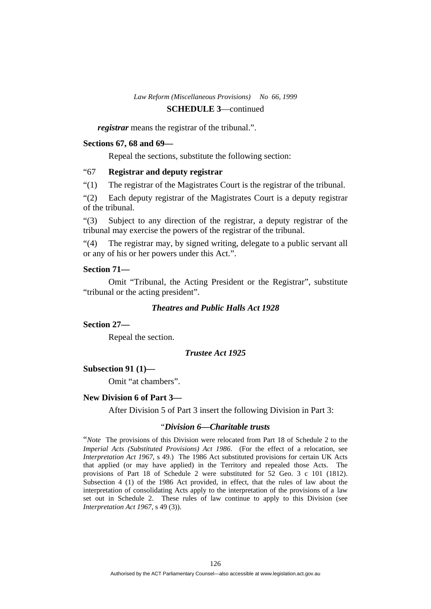*registrar* means the registrar of the tribunal.".

#### **Sections 67, 68 and 69—**

Repeal the sections, substitute the following section:

# "67 **Registrar and deputy registrar**

"(1) The registrar of the Magistrates Court is the registrar of the tribunal.

"(2) Each deputy registrar of the Magistrates Court is a deputy registrar of the tribunal.

"(3) Subject to any direction of the registrar, a deputy registrar of the tribunal may exercise the powers of the registrar of the tribunal.

"(4) The registrar may, by signed writing, delegate to a public servant all or any of his or her powers under this Act.".

### **Section 71—**

 Omit "Tribunal, the Acting President or the Registrar", substitute "tribunal or the acting president".

# *Theatres and Public Halls Act 1928*

#### **Section 27—**

Repeal the section.

# *Trustee Act 1925*

#### **Subsection 91 (1)—**

Omit "at chambers".

#### **New Division 6 of Part 3—**

After Division 5 of Part 3 insert the following Division in Part 3:

# "*Division 6—Charitable trusts*

"*Note* The provisions of this Division were relocated from Part 18 of Schedule 2 to the *Imperial Acts (Substituted Provisions) Act 1986*. (For the effect of a relocation, see *Interpretation Act 1967*, s 49.) The 1986 Act substituted provisions for certain UK Acts that applied (or may have applied) in the Territory and repealed those Acts. The provisions of Part 18 of Schedule 2 were substituted for 52 Geo. 3 c 101 (1812). Subsection 4 (1) of the 1986 Act provided, in effect, that the rules of law about the interpretation of consolidating Acts apply to the interpretation of the provisions of a law set out in Schedule 2. These rules of law continue to apply to this Division (see *Interpretation Act 1967*, s 49 (3)).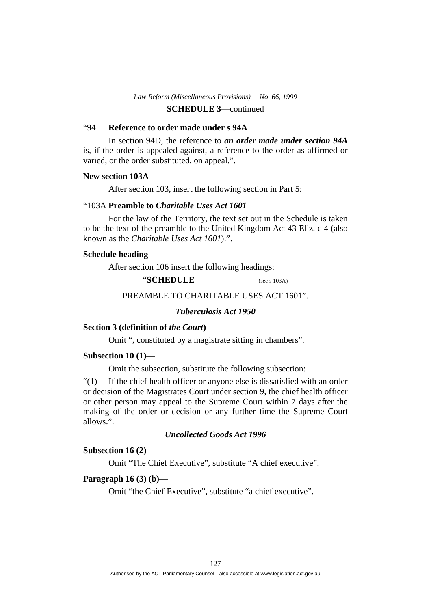# "94 **Reference to order made under s 94A**

 In section 94D, the reference to *an order made under section 94A* is, if the order is appealed against, a reference to the order as affirmed or varied, or the order substituted, on appeal.".

#### **New section 103A—**

After section 103, insert the following section in Part 5:

#### "103A **Preamble to** *Charitable Uses Act 1601*

 For the law of the Territory, the text set out in the Schedule is taken to be the text of the preamble to the United Kingdom Act 43 Eliz. c 4 (also known as the *Charitable Uses Act 1601*).".

### **Schedule heading—**

After section 106 insert the following headings:

"**SCHEDULE** (see s 103A)

### PREAMBLE TO CHARITABLE USES ACT 1601".

# *Tuberculosis Act 1950*

# **Section 3 (definition of** *the Court***)—**

Omit ", constituted by a magistrate sitting in chambers".

# **Subsection 10 (1)—**

Omit the subsection, substitute the following subsection:

"(1) If the chief health officer or anyone else is dissatisfied with an order or decision of the Magistrates Court under section 9, the chief health officer or other person may appeal to the Supreme Court within 7 days after the making of the order or decision or any further time the Supreme Court allows.".

### *Uncollected Goods Act 1996*

#### **Subsection 16 (2)—**

Omit "The Chief Executive", substitute "A chief executive".

# **Paragraph 16 (3) (b)—**

Omit "the Chief Executive", substitute "a chief executive".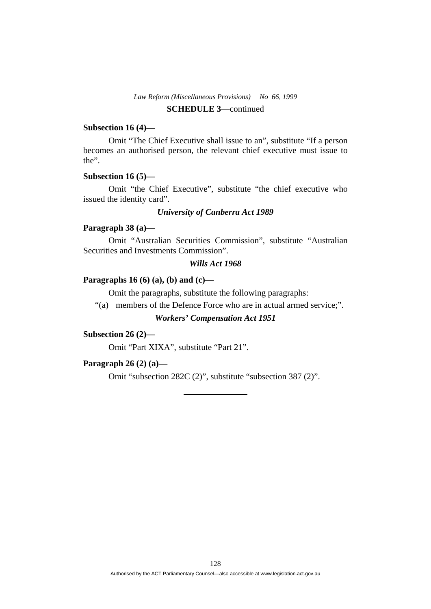# **Subsection 16 (4)—**

 Omit "The Chief Executive shall issue to an", substitute "If a person becomes an authorised person, the relevant chief executive must issue to the".

### **Subsection 16 (5)—**

 Omit "the Chief Executive", substitute "the chief executive who issued the identity card".

# *University of Canberra Act 1989*

# **Paragraph 38 (a)—**

 Omit "Australian Securities Commission", substitute "Australian Securities and Investments Commission".

### *Wills Act 1968*

### **Paragraphs 16 (6) (a), (b) and (c)—**

Omit the paragraphs, substitute the following paragraphs:

"(a) members of the Defence Force who are in actual armed service;".

# *Workers' Compensation Act 1951*

# **Subsection 26 (2)—**

Omit "Part XIXA", substitute "Part 21".

#### **Paragraph 26 (2) (a)—**

Omit "subsection 282C (2)", substitute "subsection 387 (2)".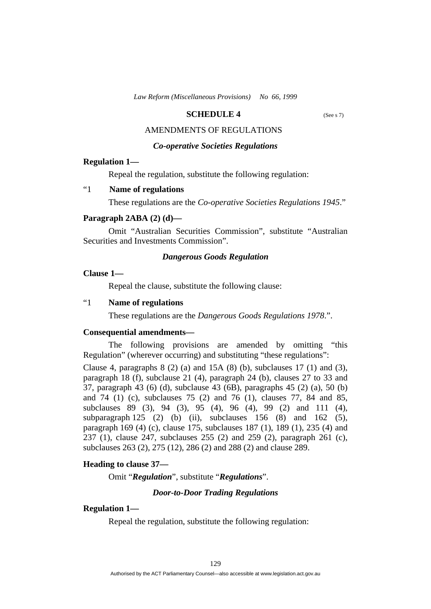### **SCHEDULE 4** (See s 7)

# AMENDMENTS OF REGULATIONS

# *Co-operative Societies Regulations*

#### **Regulation 1—**

Repeal the regulation, substitute the following regulation:

# "1 **Name of regulations**

These regulations are the *Co-operative Societies Regulations 1945*."

#### **Paragraph 2ABA (2) (d)—**

 Omit "Australian Securities Commission", substitute "Australian Securities and Investments Commission".

#### *Dangerous Goods Regulation*

### **Clause 1—**

Repeal the clause, substitute the following clause:

# "1 **Name of regulations**

These regulations are the *Dangerous Goods Regulations 1978*.".

#### **Consequential amendments—**

 The following provisions are amended by omitting "this Regulation" (wherever occurring) and substituting "these regulations":

Clause 4, paragraphs  $8(2)(a)$  and  $15A(8)(b)$ , subclauses  $17(1)$  and  $(3)$ , paragraph 18 (f), subclause 21 (4), paragraph 24 (b), clauses 27 to 33 and 37, paragraph 43 (6) (d), subclause 43 (6B), paragraphs 45 (2) (a), 50 (b) and 74 (1) (c), subclauses 75 (2) and 76 (1), clauses 77, 84 and 85, subclauses 89 (3), 94 (3), 95 (4), 96 (4), 99 (2) and 111 (4), subparagraph 125 (2) (b) (ii), subclauses  $156$  (8) and  $162$  (5), paragraph 169 (4) (c), clause 175, subclauses 187 (1), 189 (1), 235 (4) and 237 (1), clause 247, subclauses 255 (2) and 259 (2), paragraph 261 (c), subclauses 263 (2), 275 (12), 286 (2) and 288 (2) and clause 289.

#### **Heading to clause 37—**

Omit "*Regulation*", substitute "*Regulations*".

#### *Door-to-Door Trading Regulations*

### **Regulation 1—**

Repeal the regulation, substitute the following regulation: